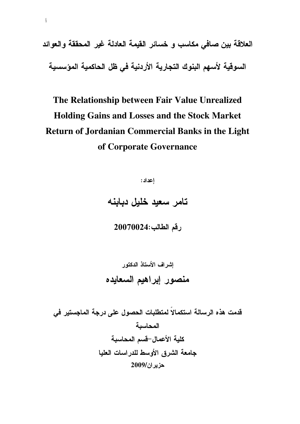العلاقة بين صافى مكاسب و خسائر القيمة العادلة غير المحققة والعوائد السوقية لأسهم البنوك التجارية الأردنية في ظل الحاكمية المؤسسية

# The Relationship between Fair Value Unrealized **Holding Gains and Losses and the Stock Market Return of Jordanian Commercial Banks in the Light** of Corporate Governance

إعداد:

تامر سعيد خليل دبابنه

رقم الطالب:20070024

قدمت هذه الرسالة استكمالاً لمتطلبات الحصول على درجة الماجستير في المحاسبة كلية الأعمال-قسم المحاسبة جامعة الشرق الأوسط للدراسات العليا حزير ان/2009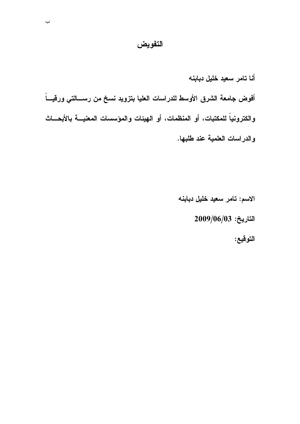## التفويض

أنا تامر سعيد خليل دبابنه أفوض جامعة الشرق الأوسط للدراسات العليا بتزويد نسخ من رســـالتي ورقيـــاً والكترونياً للمكتبات، أو المنظمات، أو الـهيئات والمؤسسات المعنيــــة بالأبحــــاتْ والدراسات العلمية عند طلبها.

> الاسم: تامر سعيد خليل دبابنه  $2009/06/03$  التاريخ:

> > التوقيع: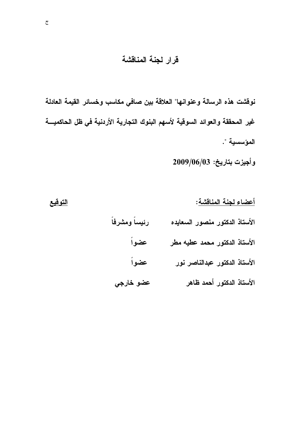## قرار لجنة المناقشة

نوفشت هذه الرسالة وعنوانها" العلاقة بين صافي مكاسب وخسائر القيمة العادلة غير المحققة والعوائد السوقية لأسهم البنوك التجارية الأردنية في ظل الحاكميـــة المؤسسية ".

وأجيزت بتاريخ: 2009/06/03

التوقيع أعضاء لجنة المناقشة: رئيساً ومشرفاً الأستاذ الدكتور منصور السعايده عضواً الأستاذ الدكتور محمد عطيه مطر عضواً الأستاذ الدكتور عبدالناصر نور الأستاذ الدكتور أحمد ظاهر عضو خارجي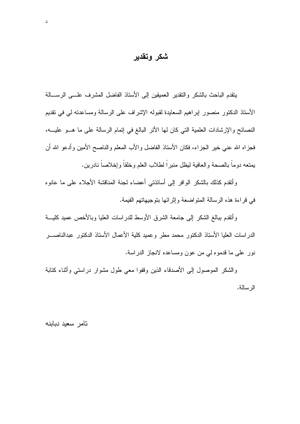### شكر وتقدير

ينقدم الباحث بالشكر والنقدير العميقين إلىى الأسناذ الفاضل المشرف علسى الرســـالـة الأستاذ الدكتور منصور إبراهيم السعايدة لقبوله الإشراف على الرسالة ومساعدته لمي في نقديم النصائح والإرشادات العلمية التي كان لها الأئر البالغ في إتمام الرسالة على ما هـــو عليـــه، فجز اه الله عنبي خير الجز اء، فكان الأستاذ الفاضل والأب المعلم والناصح الأمين وأدعو الله أن يمتعه دوماً بالصحة والعافية ليظل منبراً لطلاب العلم وخلقاً وإخلاصاً نادرين.

وأتقدم كذلك بالشكر الوافر إلىي أساتذتني أعضاء لجنة المناقشة الأجلاء علىي ما عانوه في قراءة هذه الرسالة المتواضعة وإثرائها بتوجيهاتهم القيمة.

وأتقدم ببالغ الشكر إلى جامعة الشرق الأوسط للدر اسات العليا وبالأخص عميد كليسة الدراسات العليا الأستاذ الدكتور محمد مطر وعميد كلية الأعمال الأستاذ الدكتور عبدالناصـــر نور على ما قدموه لمي من عون ومساعده لانجاز الدراسة.

والشكر الموصول إلىي الأصدقاء الذين وقفوا معى طول مشوار دراستي وأثناء كتابة الر سالة.

تامر سعيد دبابنه

 $\Delta$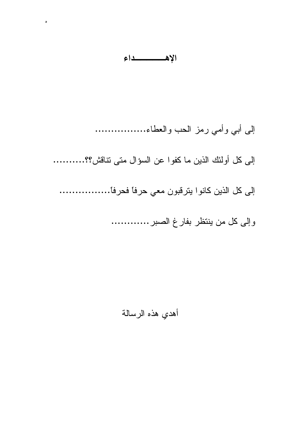الإهسسسداء

 $\circ$ 

إلى أبي وأمي رمز الحب والعطاء................ إلى كل أولئك الذين ما كفوا عن السؤال متى تناقش؟؟........... إلى كل الذين كانوا بنرقبون معي حرفاً فحرفاً................ وإلى كل من ينتظر بفارغ الصبر ............

أهدي هذه الرسالة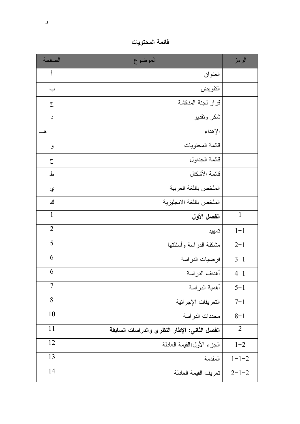فائمة المحتويات

| الصفحة         | الموضوع                                       | الرمز          |
|----------------|-----------------------------------------------|----------------|
| أ              | العنوان                                       |                |
| ب              | التفويض                                       |                |
| $\overline{C}$ | قرار لجنة المناقشة                            |                |
| د              | شكر وتقدير                                    |                |
| _۵             | الإهداء                                       |                |
| و              | فائمة المحتويات                               |                |
| $\zeta$        | قائمة الجداول                                 |                |
| ط              | فائمة الأشكال                                 |                |
| ي              | الملخص باللغة العربية                         |                |
| ك              | الملخص باللغة الانجليزية                      |                |
| $\mathbf{1}$   | الفصل الأول                                   | $\mathbf{1}$   |
| $\overline{2}$ | تمهيد                                         | $1 - 1$        |
| 5              | مشكلة الدراسة وأسئلتها                        | $2 - 1$        |
| 6              | فرضيات الدر اسة                               | $3 - 1$        |
| 6              | أهداف الدراسة                                 | $4 - 1$        |
| $\overline{7}$ | أهمية الدراسة                                 | $5 - 1$        |
| 8              | التعريفات الإجرائية                           | $7 - 1$        |
| 10             | محددات الدراسة                                | $8 - 1$        |
| 11             | الفصل الثاني: الإطار النظري والدراسات السابقة | $\overline{2}$ |
| 12             | الحزء الأول:القيمة العادلة                    | $1 - 2$        |
| 13             | المقدمة                                       | $1 - 1 - 2$    |
| 14             | تعريف القيمة العادلة                          | $2 - 1 - 2$    |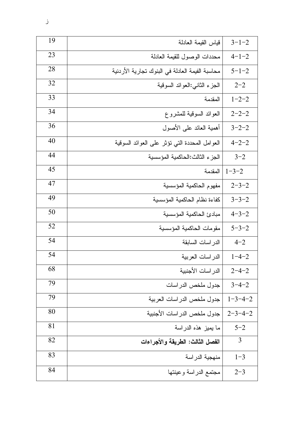| 19 | قياس القيمة العادلة                             | $3 - 1 - 2$     |
|----|-------------------------------------------------|-----------------|
| 23 | محددات الوصول للقيمة العادلة                    | $4 - 1 - 2$     |
| 28 | محاسبة الفيمة العادلة في البنوك تجارية الأردنية | $5 - 1 - 2$     |
| 32 | الجزء الثانى:العوائد السوقية                    | $2 - 2$         |
| 33 | المقدمة                                         | $1 - 2 - 2$     |
| 34 | العوائد السوقية للمشروع                         | $2 - 2 - 2$     |
| 36 | أهمية العائد على الأصول                         | $3 - 2 - 2$     |
| 40 | العوامل المحددة التي نؤثر على العوائد السوقية   | $4 - 2 - 2$     |
| 44 | الجزء الثالث:الحاكمية المؤسسية                  | $3 - 2$         |
| 45 | المقدمة                                         | $1 - 3 - 2$     |
| 47 | مفهوم الحاكمية المؤسسية                         | $2 - 3 - 2$     |
| 49 | كفاءة نظام الحاكمية المؤسسية                    | $3 - 3 - 2$     |
| 50 | مبادئ الحاكمية المؤسسية                         | $4 - 3 - 2$     |
| 52 | مقومات الحاكمية المؤسسية                        | $5 - 3 - 2$     |
| 54 | الدر اسات السابقة                               | $4 - 2$         |
| 54 | الدر اسات العربية                               | $1 - 4 - 2$     |
| 68 | الدر اسات الأجنبية                              | $2 - 4 - 2$     |
| 79 | جدول ملخص الدراسات                              | $3 - 4 - 2$     |
| 79 | جدول ملخص الدراسات العربية                      | $1 - 3 - 4 - 2$ |
| 80 | جدول ملخص الدراسات الأجنبية                     | $2 - 3 - 4 - 2$ |
| 81 | ما يميز هذه الدراسة                             | $5 - 2$         |
| 82 | الفصل الثالث: الطريقة والأجراءات                | 3               |
| 83 | منهجية الدر اسة                                 | $1 - 3$         |
| 84 | مجتمع الدراسة وعينتها                           | $2 - 3$         |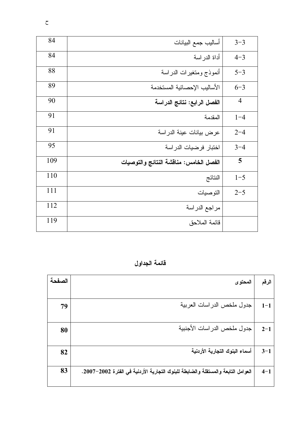| 84  | أساليب جمع البيانات                    | $3 - 3$        |
|-----|----------------------------------------|----------------|
| 84  | أداة الدراسة                           | $4 - 3$        |
| 88  | أنموذج ومتغيرات الدراسة                | $5 - 3$        |
| 89  | الأساليب الإحصائية المستخدمة           | $6 - 3$        |
| 90  | الفصل الرابع: نتائج الدراسة            | $\overline{4}$ |
| 91  | المقدمة                                | $1 - 4$        |
| 91  | عرض بيانات عينة الدراسة                | $2 - 4$        |
| 95  | اختبار فرضيات الدراسة                  | $3 - 4$        |
| 109 | الفصل الخامس: مناقشة النتائج والتوصيات | 5              |
| 110 | النتائج                                | $1 - 5$        |
| 111 | التوصيات                               | $2 - 5$        |
| 112 | مراجع الدراسة                          |                |
| 119 | قائمة الملاحق                          |                |

قائمة الجداول

| الصفحة | المحتوى                                                                          | الرقم   |
|--------|----------------------------------------------------------------------------------|---------|
|        |                                                                                  |         |
| 79     | جدول ملخص الدر اسات العربية                                                      | $1 - 1$ |
| 80     | جدول ملخص الدر اسات الأجنبية                                                     | $2 - 1$ |
| 82     | أسماء البنوك التجارية الأردنية                                                   | $3 - 1$ |
| 83     | العوامل التابعة والمستقلة والضابطة للبنوك التجارية الأردنية في الفترة 2002–2007. | $4 - 1$ |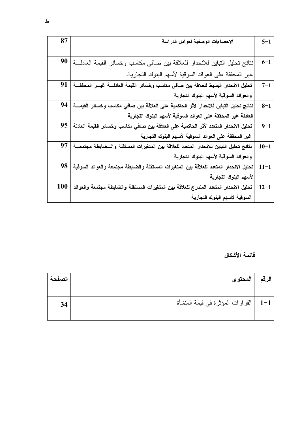| $5 - 1$  | الاحصاءات الوصفية لعوامل الدراسة                                                        | 87  |
|----------|-----------------------------------------------------------------------------------------|-----|
|          |                                                                                         |     |
| $6 - 1$  | نتائج تحليل التباين للانحدار للعلاقة بين صافي مكاسب وخسائر القيمة العادلة               | 90  |
|          | غير المحققة على العوائد السوقية لأسهم البنوك التجارية.                                  |     |
| $7 - 1$  | تحليل الاحدار البسيط للعلاقة بين صافى مكاسب وخسائر القيمة العادلسة غيسر المحققسة        | 91  |
|          | والعوائد السوقية لأسهم البنوك التجارية                                                  |     |
| $8 - 1$  | نتائج تحليل التباين للانحدار لأثر الحاكمية على العلاقة بين صافى مكاسب وخسائر القيمــــة | 94  |
|          | العادلة غير المحققة على العوائد السوقية لأسهم البنوك التجارية                           |     |
| $9 - 1$  | تحليل الانحدار المتعدد لأثر الحاكمية على العلاقة بين صافى مكاسب وخسائر القيمة العادلة   | 95  |
|          | غير المحققة على العوائد السوقية لأسهم البنوك التجارية                                   |     |
| $10 - 1$ | نتائج تحليل التباين للانحدار المتعدد للعلاقة بين المتغيرات المستقلة والسضابطة مجتمعسة   | 97  |
|          | والعوائد السوقية لأسهم البنوك التجارية                                                  |     |
| $11 - 1$ | تحليل الاحدار المتعدد للعلاقة بين المتغيرات المستقلة والضابطة مجتمعة والعوائد السوقية   | 98  |
|          | لأسهم البنوك التجارية                                                                   |     |
| $12 - 1$ | تحليل الانحدار المتعدد المتدرج للعلاقة بين المتغيرات المستقلة والضابطة مجتمعة والعوائد  | 100 |
|          | السوقية لأسهم البنوك التجارية                                                           |     |

## قائمة الأشكال

| الصفحة | المحتو ي                                | الرقم |
|--------|-----------------------------------------|-------|
| 34     | 1–1   القرار ات المؤثرة في قيمة المنشأة |       |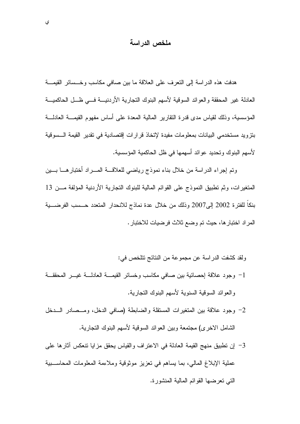### ملخص الدر اسة

هدفت هذه الدر اسة إلى النعرف على العلاقة ما بين صافى مكاسب وخــسائر القيمـــة العادلة غير المحققة والعوائد السوقية لأسهم البنوك التجارية الأردنيـــة فـــي ظـــل الحاكميـــة المؤسسية، وذلك لقياس مدى قدرة النقارير المالية المعدة على أساس مفهوم القيمـــة العادلـــة بنزويد مستخدمي البيانات بمعلومات مفيدة لإتخاذ قرارات إقتصادية في تقدير القيمة السسوقية لأسهم البنوك و تحديد عو ائد أسهمها في ظل الحاكمية المؤسسية.

وتم إجراء الدراسة من خلال بناء نموذج رياضي للعلاقـــة المــــراد أختبارهــــا بــــين المتغيرات، وثم تطبيق النموذج على القوائم المالية للبنوك التجارية الأردنية المؤلفة مـــن 13 بنكاً للفترة 2002 إلى2007 وذلك من خلال عدة نماذج للانحدار المتعدد حـــسب الفرضــــبة المراد اختبارها، حيث تم وضع ثلاث فرضيات للاختبار .

ولقد كشفت الدراسة عن مجموعة من النتائج تتلخص في:

- 1- وجود علاقة إحصائية بين صافى مكاسب وخسائر القيمـــة العادلـــة غيـــر المحققـــة والعوائد السوقية السنوية لأسهم البنوك التجارية.
- 2- وجود علاقة بين المتغيرات المستقلة والضابطة (صافى الدخل، ومــصادر الـــدخل الشامل الاخر ي) مجتمعة وبين العوائد السوقية لأسهم البنوك التجارية.
- 3- إن نطبيق منهج القيمة العادلة في الاعتراف والقياس يحقق مزايا نتعكس أثارها على عملية الإبلاغ المالي، بما يساهم في تعزيز موثوقية وملاءمة المعلومات المحاسبية التي تعرضها القوائم المالية المنشورة.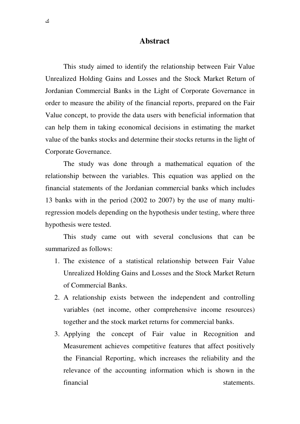#### **Abstract**

This study aimed to identify the relationship between Fair Value Unrealized Holding Gains and Losses and the Stock Market Return of Jordanian Commercial Banks in the Light of Corporate Governance in order to measure the ability of the financial reports, prepared on the Fair Value concept, to provide the data users with beneficial information that can help them in taking economical decisions in estimating the market value of the banks stocks and determine their stocks returns in the light of Corporate Governance.

The study was done through a mathematical equation of the relationship between the variables. This equation was applied on the financial statements of the Jordanian commercial banks which includes 13 banks with in the period (2002 to 2007) by the use of many multiregression models depending on the hypothesis under testing, where three hypothesis were tested.

This study came out with several conclusions that can be summarized as follows:

- 1. The existence of a statistical relationship between Fair Value Unrealized Holding Gains and Losses and the Stock Market Return of Commercial Banks.
- 2. A relationship exists between the independent and controlling variables (net income, other comprehensive income resources) together and the stock market returns for commercial banks.
- 3. Applying the concept of Fair value in Recognition and Measurement achieves competitive features that affect positively the Financial Reporting, which increases the reliability and the relevance of the accounting information which is shown in the financial statements.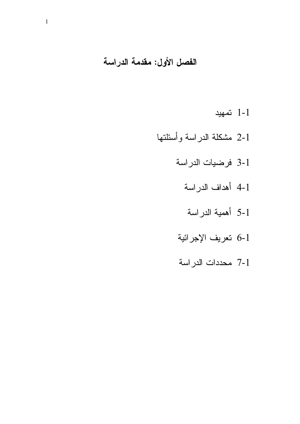# الفصل الأول: مقدمة الدراسة

- 1-1 تمهيد
- 2-1 مشكلة الدراسة وأسئلتها
	- 3-1 فرضيات الدراسة
		- 4-1 أهداف الدراسة
		- 5-1 أهمية الدراسة
	- 6-1 تعريف الإجرائية
	- 7-1 محددات الدراسة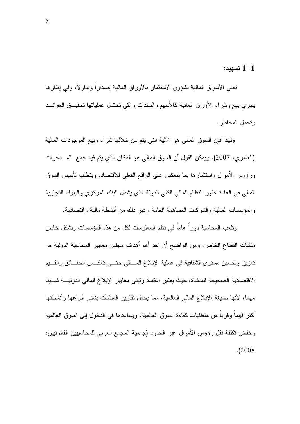1-1 تمهيد:

تعني الأسواق المالية بشؤون الاستثمار بالأوراق المالية إصداراً ونداولاً، وفي إطارها يجري بيع وشراء الأوراق المالية كالأسهم والسندات والتبي تحتمل عملياتها تحقيــق العوائـــد وتحمل المخاطر .

ولهذا فإن السوق المالي هو الألية التي يتم من خلالها شراء وبيع الموجودات المالية (العامري، 2007). ويمكن القول أن السوق المالي هو المكان الذي يتم فيه جمع المسدخرات ورؤوس الأموال واستثمارها بما ينعكس على الواقع الفعلى للاقتصاد. ويتطلب نأسبس السوق المالي في العادة نظور النظام المالي الكلي للدولة الذي بشمل البنك المركزي والبنوك النجارية والمؤسسات المالية والشركات المساهمة العامة وغير ذلك من أنشطة مالية واقتصادية.

ونلعب المحاسبة دوراً هاماً في نظم المعلومات لكل من هذه المؤسسات وبشكل خاص منشآت القطاع الخاص، ومن الواضح أن احد أهم أهداف مجلس معايير المحاسبة الدولية هو تعزيز وتحسين مستوى الشفافية في عملية الإبلاغ المسالي حتسى تعكس الحقائق والقسيم الاقتصادية الصحيحة للمنشاة، حيث يعتبر اعتماد ونبنى معايير الإبلاغ المالي الدوليـــة شــــيئا مهما، لأنها صبغة الإبلاغ المالي العالمية، مما يجعل نقارير المنشآت بشتى أنواعها وأنشطتها أكثر فهما وقربا من منطلبات كفاءة السوق العالمية، ويساعدها في الدخول إلى السوق العالمية وخفض نكلفة نقل رؤوس الأموال عبر الحدود (جمعية المجمع العربي للمحاسبيين القانونيين،  $. (2008$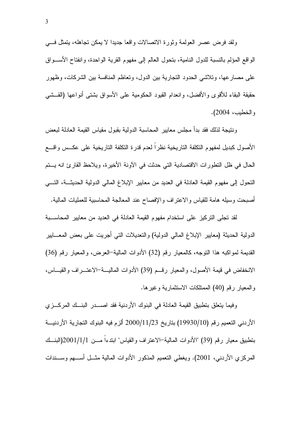ولقد فرض عصر العولمة وثورة الاتصالات واقعا جديدا لا يمكن تجاهله، يتمثل فسي الواقع المؤلم بالنسبة للدول النامية، بتحول العالم إلى مفهوم القرية الواحدة، وانفتاح الأســـواق على مصارعها، وتلاشي الحدود التجارية بين الدول، وتعاظم المنافسة بين الشركات، وظهور حقيقة البقاء للأقوى والأفضل، وانعدام القيود الحكومية على الأسواق بشتى أنواعها (القــشي والخطيب، 2004).

وننتيجة لذلك فقد بدأ مجلس معايير المحاسبة الدولية بقبول مقياس القيمة العادلة لبعض الأصول كبديل لمفهوم النكلفة الناريخية نظر ا لعدم قدرة النكلفة الناريخية على عكــس واقـــع الحال في ظل التطورات الاقتصادية التي حدثت في الأونة الأخيرة، ويلاحظ القارئ انه يستم النحول إلى مفهوم القيمة العادلة في العديد من معايير الإبلاغ المالي الدولية الحديثــة، التـــي أصبحت وسيله هامة للقياس والاعتراف والإفصاح عند المعالجة المحاسبية للعمليات المالية.

لقد نجلِّي النِّرِ كبر على استخدام مفهوم القيمة العادلة في العديد من معايير المحاســـبة الدولية الحديثة (معايير الإبلاغ المالي الدولية) والنعديلات التي أجريت على بعض المعـــابير القديمة لمواكبه هذا النوجه، كالمعيار رقم (32) الأدوات المالية–العرض، والمعيار رقم (36) الانخفاض في قيمة الأصول، والمعيار رقسم (39) الأدوات الماليـــة–الاعتــــراف والقيــــاس، والمعيار رقم (40) الممتلكات الاستثمارية وغيرها.

وفيما بِتعلَّقِ بِتطْبِيقِ الْقِيمةِ الْعادلةِ في البِنوكِ الأردنبةِ فقد اصــــدرِ البِنـــكِ المركـــزِ ي الأردني التعميم رقم (19930/10) بتاريخ 2000/11/23 ألزم فيه البنوك التجارية الأردنيـــة بتطبيق معيار رقم (39) "الأدوات المالية–الاعتراف والقياس" ابندءاً مـــن 1/1/1(2001(البنـــك المركزي الأردني، 2001). ويغطي النعميم المذكور الأدوات المالية مثـــل أســـهم وســـندات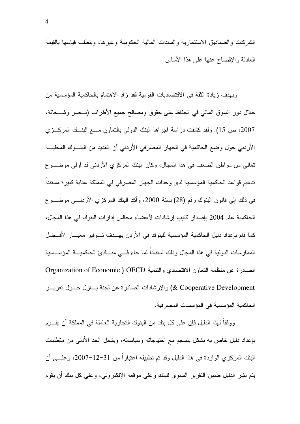الشركات والصناديق الاستثمارية والسندات المالية الحكومية وغيرها، ويتطلب قياسها بالقيمة العادلة والإفصاح عنها على هذا الأساس.

وبهدف زيادة الثقة في الاقتصاديات القومية فقد زاد الاهتمام بالحاكمية المؤسسية من خلال دور السوق المالي في الحفاظ على حقوق ومصالح جميع الأطراف (نـــصر وشــــحاتة، 2007، ص 15). ولقد كشفت دراسة أجراها البنك الدولي بالنعاون مـــع البنـــك المركــــزي الأردني حول وضع الحاكمية في الجهاز المصرفي الأردني أن العديد من البنـــوك المحليـــة نعاني من مواطن الضعف في هذا المجال، وكان البنك المركزي الأردني قد أولى موضـــو ع تدعيم قواعد الحاكمية المؤسسية لدى وحدات الجهاز المصرفي في المملكة عناية كبيرة مستندا في ذلك إلى قانون البنوك رقم (28) لسنة 2000، وأكد البنك المركزي الأردنـــي موضــــو ع الحاكمية عام 2004 بإصدار كتيب إرشادات لأعضاء مجالس إدارات البنوك في هذا المجال، كما قام بإعداد دليل الحاكمية المؤسسية للبنوك في الأردن بهـــدف تـــوفير معيــــار لأفـــضل الممارسات الدولية في هذا المجال وذلك استنادا لما جاء فـــي مبـــادئ الحاكميـــة المؤســـسية الصادرة عن منظمة النعاون الاقتصادي والنتمية Organization of Economic ) OECD & Cooperative Development) والإرشادات الصادرة عن لجنة بسازل حسول تعزيسز الحاكمية المؤسسية في المؤسسات المصرفية.

ووفقا لـهذا الدليل فإن علـى كل بنك من البنوك النجارية العاملة فـي المملكة أن يقـــوم بإعداد دليل خاص به بشكل بنسجم مع احتياجاته وسياساته، ويشمل الحد الأدنىي من منطلبات البنك المركزي الواردة في هذا الدليل وقد تم تطبيقه اعتبارا من 31−12−2007، وعلــــى أن يتم نشر الدليل ضمن النقرير السنوي للبنك وعلى موقعه الإلكتروني، وعلى كل بنك أن يقوم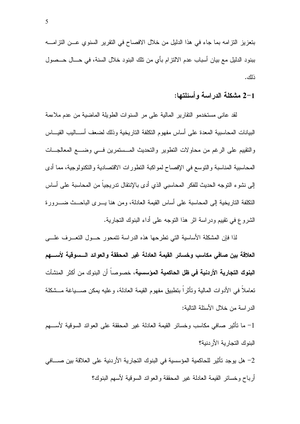بتعزيز النزامه بما جاء في هذا الدليل من خلال الافصاح في النقرير السنوي عــن النزامـــه ببنود الدليل مع بيان أسباب عدم الالتزام بأى من تلك البنود خلال السنة، في حـــال حــصول ذلك .

### 2–1 مشكلة الدراسة وأسئلتها:

لقد عاني مستخدمو النقارير المالية على مر السنوات الطويلة الماضية من عدم ملاءمة البيانات المحاسبية المعدة على أساس مفهوم النكلفة الناريخية وذلك لضعف أســـاليب القيـــاس والنقييم على الرغم من محاولات النطوير والنحديث المسستمرين فسي وضسع المعالجــات المحاسبية المناسبة والنوسع في الإفصاح لمواكبة النطورات الاقتصادية والنكنولوجية، مما أدى إلى نشوء التوجه الحديث للفكر المحاسبي الذي أدى بالإنتقال تدريجياً من المحاسبة على أساس النكلفة الناريخية إلىي المحاسبة على أساس القيمة العادلة، ومن هنا يـــرى الباحـــث ضــــرورة الشروع في نقييم ودراسة اثر هذا النوجه على أداء البنوك النجارية.

لذا فإن المشكلة الأساسية التي تطرحها هذه الدراسة نتمحور حـــول التعـــرف علــــي العلاقة بين صافى مكاسب وخسائر القيمة العادلة غير المحققة والعوائد السسوقية لأسسهم **البنوك التجارية الأردنية في ظل الحاكمية المؤسسية،** خصوصاً أن البنوك من أكثر المنشآت نعاملاً في الأدوات المالية ونأثراً بنطبيق مفهوم القيمة العادلة، وعليه يمكن صــــياغة مـــشكلة الدر اسة من خلال الأسئلة التالية:

1– ما تأثير صافي مكاسب وخسائر القيمة العادلة غير المحققة على العوائد السوقية لأســــهم البنوك التجار بة الأر دنبة؟

2– هل يوجد تأثير للحاكمية المؤسسية في البنوك التجارية الأردنية على العلاقة بين صــــافي أر بـاح و خسائر القيمة الـعادلـة غير المحققة و الـعو ائد السو قيـة لأسهم البنو ك؟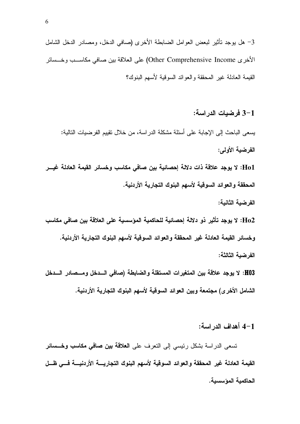3– هل يوجد تأثير لبعض العوامل الضابطة الأخرى (صافى الدخل، ومصادر الدخل الشامل الأخر ي Other Comprehensive Income) على العلاقة بين صافي مكاســب وخــسائر القيمة العادلة غير المحققة والعوائد السوقية لأسهم البنوك؟

3–1 فر ضبات الدر اسة:

يسعى الباحث إلى الإجابة على أسئلة مشكلة الدراسة، من خلال نقييم الفرضيات النالية: الفرضية الأولم:

Ho1: لا يوجد علاقة ذات دلالة إحصائية بين صافي مكاسب وخسائر القيمة العادلة غيـــر المحققة والعوائد السوقية لأسهم البنوك التجارية الأردنية.

الفر ضبة الثانبة:

Ho2: لا يوجد تأثير ذو دلالة إحصائية للحاكمية المؤسسية على العلاقة بين صافي مكاسب وخسائر القيمة العادلة غير المحققة والعوائد السوقية لأسهم البنوك التجارية الأردنية. الفرضية الثالثة:

H03: لا يوجد علاقة بين المتغيرات المستقلة والضابطة (صافى السدخل ومسصادر السدخل الشامل الأخر ى) مجتمعة وبين العوائد السوقية لأسهم البنوك التجارية الأردنية.

1-4 أهداف الدراسة:

تسعى الدراسة بشكل رئيسي إلى التعرف على **العلاقة بين صافي مكاسب وخـــسائر** القيمة العادلة غير المحققة والعوائد السوقية لأسهم البنوك التجاريسة الأردنيسة فسي ظسل الحاكمية المؤسسية.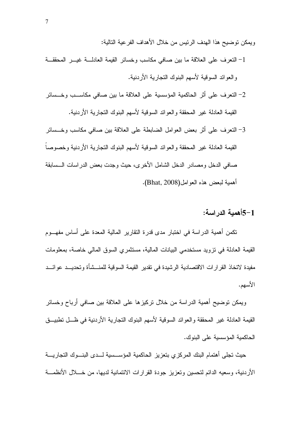ويمكن نوضيح هذا الهدف الرئيس من خلال الأهداف الفر عية التالية: 1- النعرف على العلاقة ما بين صافى مكاسب وخسائر القيمة العادلة غيــر المحققــة والعوائد السوقية لأسهم البنوك التجارية الأردنية.

- 2– النعرف على أثر الحاكمية المؤسسية على العلاقة ما بين صافى مكاســب وخــسائر القيمة العادلة غير المحققة والعوائد السوقية لأسهم البنوك النجارية الأردنية.
- 3– النعر ف على أثر بعض العو امل الضابطة على العلاقة بين صافي مكاسب و خـــسائر القيمة العادلة غير المحققة والعوائد السوقية لأسهم البنوك التجارية الأردنية وخصوصاً صافى الدخل ومصادر الدخل الشامل الأخرى، حيث وجدت بعض الدراسات الـــسابقة أهمية لبعض هذه العوامل(Bhat, 2008).

1–5أهمية الدر اسة:

نكمن أهمية الدراسة في اختبار مدى قدرة النقارير المالية المعدة على أساس مفهـــوم القيمة العادلة في نزويد مستخدمي البيانات المالية، مستثمري السوق المالي خاصة، بمعلومات مفيدة لاتخاذ القر ار ات الاقتصادية الر شيدة في تقدير القيمة السوقية للمنـــشأة و تحديـــد عو ائـــد الأسهم.

ويمكن توضيح أهمية الدراسة من خلال تركيزها على العلاقة بين صافي أرباح وخسائر القيمة العادلة غير المحققة والعوائد السوقية لأسهم البنوك التجارية الأردنية في ظـــل تطبيـــق الحاكمية المؤسسية على البنوك.

حيث نجلى أهتمام البنك المركزي بتعزيز الحاكمية المؤسسسية لسدى البنسوك التجاريسة الأردنية، وسعيه الدائم لتحسين وتعزيز جودة القرارات الائتمانية لديها، من خـــلل الأنظمـــة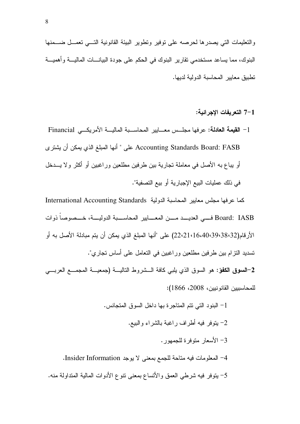7-1 التعريفات الاجر ائية:

1− ا**لقيمة العادلة:** عرفها مجلـــس معـــايير المحاســـبة الماليـــة الأمريكـــي Financial Accounting Standards Board: FASB على " أنها المبلغ الذي يمكن أن يشترى أو يباع به الأصل في معاملة تجارية بين طرفين مطلعين وراغبين أو أكثر ولا يـــدخل في ذلك عمليات البيع الإجبارية أو بيع التصفية".

كما عرفها مجلس معايير المحاسبة الدولية International Accounting Standards Board: IASB فــــي العديـــــد مـــــن المعـــــابير المحاســـــبة الدوليــــة، خــــصوصـا ذوات الأرقام(38،32-16،40،39 22،21،16) على "أنها المبلغ الذي يمكن أن يتم مبادلة الأصل به أو تسديد النز ام بين طرفين مطلعين وراغبين في النعامل على أساس نجاري".

2–السوق الكفؤ: هو السوق الذي يلبي كافة الـــشروط الناليـــة (جمعيـــة المحمـــع العربــــي للمحاسبيين القانونيين، 2008، 1866):

1– البنود التي نتم المناجرة بها داخل السوق المنجانس. 2– يتوفر فيه أطراف راغبة بالشراء والبيع. 3– الأسعار متوفرة للجمهور . 4– المعلومات فيه مناحة للجمع بمعنى لا يوجد Insider Information. 5– يتوفر فيه شرطي العمق والأتساع بمعنى نتوع الأدوات المالية المتداولة منه.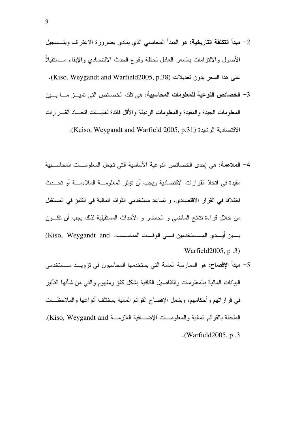- 2- مبدأ التكلفة التاريخية: هو المبدأ المحاسبي الذي ينادي بضرورة الاعتراف وبتــسجيل الأصول والالتزامات بالسعر العادل لحظة وقوع الحدث الاقتصادي والإبقاء مستقبلا على هذا السعر بدون تعديلات (Kiso, Weygandt and Warfield2005, p.38).
- 3– الخصائص النوعية للمعلومات المحاسبية: هي نلك الخصائص التي تميــز مـــا بـــين المعلومات الجيدة و المفيدة و المعلومات الر ديئة و الأقل فائدة لغايسات اتخساذ القسر ار ات الاقتصادية الرشيدة (Keiso, Weygandt and Warfield 2005, p.31).
- 4– الملاءمة: هي إحدى الخصائص النوعية الأساسية التي تجعل المعلومــات المحاســبية مفيدة في اتخاذ القرارات الاقتصادية ويجب أن نؤثر المعلومـــة الملاءمـــة أو تحـــدث اختلافا في القرار الاقتصادي، و تساعد مستخدمي القوائم المالية في النتبوً في المستقبل من خلال قراءة نتائج الماضي و الحاضر و الأحداث المستقبلية لذلك يجب أن نكـــون بسين أيسدى المسستخدمين فسي الوقست المناسسب. Kiso, Weygandt and) Warfield 2005, p.3)
- 5– **مبدأ الإفصاح:** هو الممارسة العامة التي يستخدمها المحاسبون في نزويـــد مـــستخدمي البيانات المالية بالمعلومات والنفاصيل الكافية بشكل كفؤ ومفهوم والنبي من شأنها التأثير في قر إر اتهم و أحكامهم، ويشمل الإفصاح القو ائم المالية بمختلف أنو اعها و الملاحظـــات الملحقة بالقوائم المالية والمعلومسات الإضسافية اللازمسة Kiso, Weygandt and).  $\cdot$ (Warfield 2005, p.3).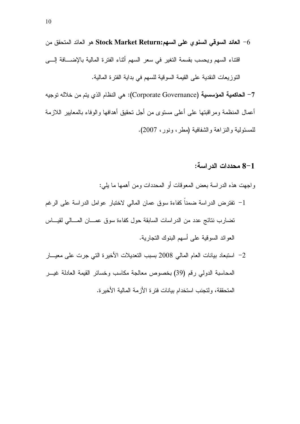العائد السوقى السنوى على السهم:Stock Market Return هو العائد المتحقق من " اقتناء السهم ويحسب بقسمة التغير في سعر السهم أثناء الفترة المالية بالإضـــافة إلـــي النَّوز بِعاتِ النقديةِ على القيمةِ السوقيةِ للسهمِ في بدايةِ الفترِ ةِ الماليةِ.

7– الحاكمية المؤسسية (Corporate Governance): هي النظام الذي يتم من خلاله توجيه أعمال المنظمة ومر اقبتها على أعلى مستوى من أجل تحقيق أهدافها والوفاء بالمعابير اللازمة للمسئولية والنز اهة والشفافية (مطر ، ونور ، 2007).

### 8-1 محددات الدر اسة:

و اجهت هذه الدر اسة بعض المعوقات أو المحددات ومن أهمها ما بلي:

- 1– نفترض الدراسة ضمناً كفاءة سوق عمان المالي لاختبار عوامل الدراسة على الرغم تضارب نتائج عدد من الدر اسات السابقة حول كفاءة سوق عمـــان المـــالي لقيـــاس العو ائد السوقية على أسهم البنوك التجارية.
- 2– استبعاد بيانات العام المالي 2008 بسبب التعديلات الأخيرة التي جرت على معيـــار المحاسبة الدولي رقم (39) بخصوص معالجة مكاسب وخسائر القيمة العادلة غيـــر المتحققة، ولتجنب استخدام بيانات فتر ة الأز مة المالية الأخير ة.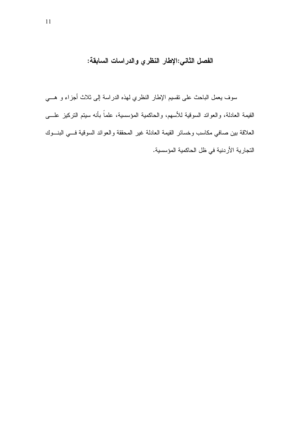الفصل الثاني:الإطار النظري والدراسات السابقة:

سوف يعمل الباحث على نقسيم الإطار النظري لهذه الدراسة إلى ثلاث أجزاء و هـــي القيمة العادلة، والعوائد السوقية للأسهم، والحاكمية المؤسسية، علماً بأنه سيتم التركيز علـــي العلاقة ببين صافي مكاسب وخسائر القيمة العادلة غير المحققة والعوائد السوقية فسي البنسوك التجارية الأردنية في ظل الحاكمية المؤسسية.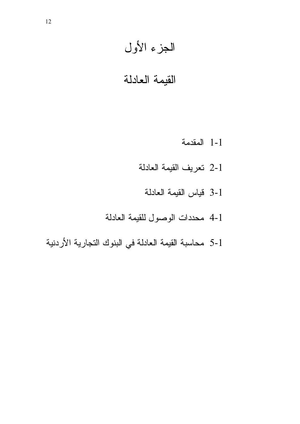# الجزء الأول

# القيمة العادلة

- 1-1 المقدمة
- 2-1 تعريف القيمة العادلة
	- 3-1 قياس القيمة العادلة
- 4-1 محددات الوصول للقيمة العادلة
- 5-1 محاسبة القيمة العادلة في البنوك التجارية الأردنية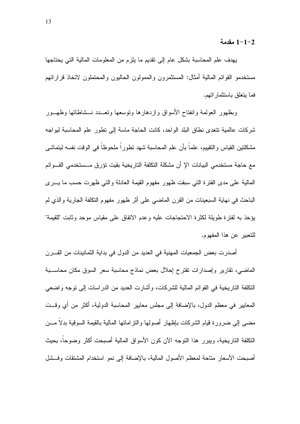1-1-2 مقدمة

يهدف علم المحاسبة بشكل عام إلى نقديم ما يلزم من المعلومات المالية التي يحتاجها مستخدمو القوائم المالية أمثال: المستثمرون والممولون الحاليون والمحتملون لاتخاذ قراراتهم فما يتعلق باستثمار اتهم.

وبظهور العولمة وانفتاح الأسواق وازدهارها ونوسعها ونعسدد نسشاطاتها وظهسور شركات عالمية تتعدى نطاق البلد الواحد، كانت الحاجة ماسة إلى نطور علم المحاسبة ليواجه مشكلتين القياس والنقييم، علماً بأن علم المحاسبة شهد تطوراً ملحوظاً في الوقت نفسه ليتماشى مع حاجة مستخدمي البيانات الإ أن مشكلة التكلفة التاريخية بقيت تؤرق مــستخدمي القـــوائم المالية على مدى الفترة التي سبقت ظهور مفهوم القيمة العادلة والتي ظهرت حسب ما يسرى الباحث في نهاية السبعينات من القرن الماضبي على أثر ظهور مفهوم النكلفة الجارية والذي لم يؤخذ به لفتر ة طويلة لكثر ة الاحتجاجات عليه وعدم الاتفاق على مقياس موحد وثابت "للقيمة" للتعبير عن هذا المفهوم.

أصدرت بعض الجمعيات المهنية في العديد من الدول في بداية الثمانينات من القـــرن الماضي، تقارير وإصدارات تقترح إحلال بعض نماذج محاسبة سعر السوق مكان محاســـبة النكلفة الناريخية في القوائم المالية للشركات، وأشارت العديد من الدراسات إلى نوجه واضعى المعايير في معظم الدول، بالإضافة إلى مجلس معايير المحاسبة الدولية، أكثر من أي وقــت مضبي إلى ضرورة فيام الشركات بإظهار أصولها والنز امانها المالية بالقيمة السوقية بدلاً مـــن النكلفة الناريخية، ويبرر هذا النوجه الآن كون الأسواق المالية أصبحت أكثر وضوحاً، بحيث أصبحت الأسعار مناحة لمعظم الأصول المالية، بالإضافة إلى نمو استخدام المشتقات وفسشل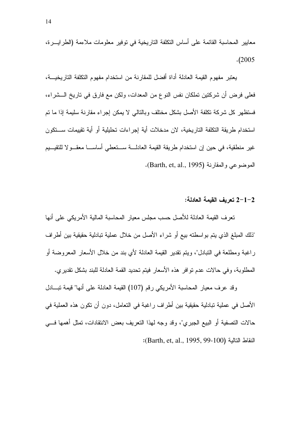معايير المحاسبة القائمة على أساس التكلفة التاريخية في توفير معلومات ملاءمة (الطرايـــرة،  $. (2005$ 

يعتبر مفهوم القيمة العادلة أداة أفضل للمقارنة من استخدام مفهوم التكلفة التاريخيـــة، فعلي فرض أن شركتين تملكان نفس النوع من المعدات، ولكن مع فارق في تاريخ الـــشراء، فستظهر كل شركة نكلفة الأصل بشكل مختلف وبالنالي لا يمكن إجراء مقارنة سليمة إذا ما تم استخدام طريقة التكلفة التاريخية، لان مدخلات أية إجراءات تحليلية أو أية تقييمات ســـتكون غير منطقية، في حين إن استخدام طريقة القيمة العادلـــة ســـتعطـي أساســـا معقـــو لا للنقيـــيم الموضوعي والمقارنة (Barth, et, al., 1995).

### 2–1–2 تعريف القيمة العادلة:

تعرف القيمة العادلة للأصل حسب مجلس معيار المحاسبة المالية الأمريكي على أنها "ذلك المبلغ الذي يتم بواسطته بيع أو شراء الأصل من خلال عملية تبادلية حقيقية بين أطراف راغبة ومطلعة في التبادل"، ويتم نقدير القيمة العادلة لأي بند من خلال الاسعار المعروضة أو المطلوبة، وفي حالات عدم توافر هذه الأسعار فيتم تحديد القمة العادلة للبند بشكل تقديري.

وقد عرف معيار المحاسبة الأمريكي رقم (107) القيمة العادلة على أنها" قيمة نبـــادل الأصل في عملية تبادلية حقيقية بين أطراف راغبة في التعامل، دون أن تكون هذه العملية في حالات التصفية أو البيع الجبري"، وقد وجه لهذا التعريف بعض الانتقادات، تمثل أهمها فـــي النقاط التالية (Barth, et, al., 1995, 99-100):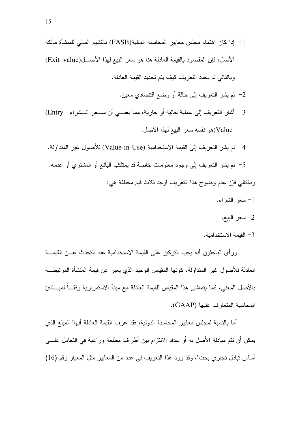- 1 إذا كان اهتمام مجلس معايير المحاسبة المالية(FASB) بالتقييم المالي للمنشأة مالكة الأصل، فإن المقصود بالقيمة العادلة هنا هو سعر البيع لهذا الأصـــل(Exit value) وبالنالي لم يحدد النعريف كيف يتم تحديد القيمة العادلة.
	- 2– لم يشر النعريف إلى حالة أو وضع اقتصادي معين.
- 3- أشار النعريف إلى عملية حالية أو جارية، مما يعنـــي أن ســعر الــشراء Entry) Value)هو نفسه سعر البيع لهذا الأصل.
- 4- لم يشر التعريف إلى القيمة الاستخدامية (Value-in-Use) للأصول غير المتداولة. 5– لم يشر التعريف إلى وجود معلومات خاصة قد يمتلكها البائع أو المشترى أو عدمه. وبالنالبي فإن عدم وضوح هذا النعريف اوجد ثلاث قيم مختلفة هي:
	- 1- سعر الشراء.
		- 2- سعر البيع.
	- 3– القبمة الاستخدامبة.

ورأى الباحثون أنه بجب التركيز على القيمة الاستخدامية عند التحدث عـــن القيمـــة العادلة للأصول غير المتداولة، كونها المقياس الوحيد الذي يعبر عن قيمة المنشأة المرتبطـــة بالأصل المعنى، كما يتماشى هذا المقياس للقيمة العادلة مع مبدأ الاستمرارية وفقـــاً لمبــــادئ المحاسبة المتعار ف عليها (GAAP).

أما بالنسبة لمجلس معايير المحاسبة الدولية، فقد عرف القيمة العادلة أنها" المبلغ الذي يمكن أن نتم مبادلة الأصل به أو سداد الالتزام بين أطراف مطلعة وراغبة في التعامل علـــي أساس نبادل تجاري بحت"، وقد ورد هذا النعريف في عدد من المعايير مثل المعيار رقم (16)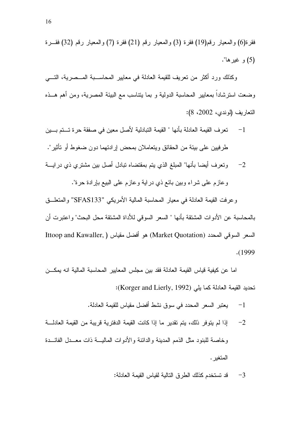#( (32) < (7) #( (21) < (3) #( (19) < (6)#( ." \$O (5)

وكذلك ورد أكثر من تعريف للقيمة العادلة في معايير المحاســـبة المـــصرية، التــــي وضعت استرشادا بمعايير المحاسبة الدولية و بما بتناسب مع البيئة المصرية، ومن أهم هــذه التعاريف (لوندي، 2002، 8):

- 1− تعرف القيمة العادلة بأنها " القيمة التبادلية لأصل معين في صفقة حرة تـــتم بـــين طرفيين على بيئة من الحقائق ويتعاملان بمحض إرادتهما دون ضغوط أو تأثير".
- 2– وتعرف أيضا بأنها" المبلغ الذي يتم بمقتضاه تبادل أصل بين مشتري ذي در ايــــة وعازم على شراء وبين بائع ذي دراية وعازم على الببيع بإرادة حرة".

وعرفت القيمة العادلة في معيار المحاسبة المالية الأمريكي "SFAS133" والمتعلـــق بالمحاسبة عن الأدوات المشتقة بأنها " السعر السوقي للأداة المشتقة محل البحث" واعتبرت أن Ittoop and Kawaller, ) هو أفضل مقياس (Market Quotation) هو أفضل مقياس . (1999

اما عن كيفية قياس القيمة العادلة فقد بين مجلس المعايير المحاسبة المالية انه يمكـــن : (Korger and Lierly, 1992) ' 

- 1− يعتبر السعر المحدد في سوق نشط أفضل مقياس للقيمة العادلة.
- 2– إذا لم يتوفر ذلك، يتم تقدير ما إذا كانت القيمة الدفترية قريبة من القيمة العادلــــة وخاصة للبنود مثل الذمم المدينة والدائنة والأدوات الماليـــة ذات معـــدل الفائـــدة المتغير .
	- 3— قد تستخدم كذلك الطرق التالية لقياس القيمة العادلة: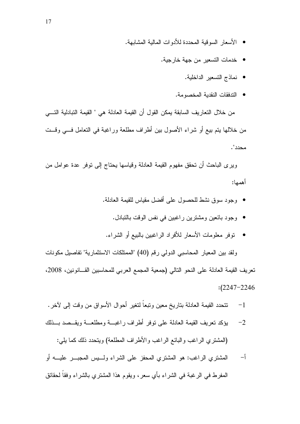- الأسعار السوقية المحددة للأدوات المالية المشابهة.
	- خدمات التسعير من جهة خارجية.
		- نماذج التسعير الداخلية.
		- الندفقات النقدية المخصومة.

من خلال التعاريف السابقة يمكن القول أن القيمة العادلة هي " القيمة التبادلية التـــي من خلالها بنم بيع أو شراء الأصول بين أطراف مطلعة وراغبة في النعامل فـــي وقـــت محدد".

ويرى الباحث أن نحقق مفهوم القيمة العادلة وقياسها يحتاج إلى نوفر عدة عوامل من أهمها:

- وجود سوق نشط للحصول على أفضل مقياس للقيمة العادلة.
	- وجود بائعين ومشترين راغبين في نفس الوقت بالنبادل.
	- توفر معلومات الأسعار للأفراد الراغبين بالبيع أو الشراء.

ولقد بين المعيار المحاسبي الدولي رقم (40) "الممتلكات الاستثمارية" تفاصيل مكونات تعريف القيمة العادلة على النحو النالي (جمعية المجمع العربي للمحاسبين القـــانونين، 2008،  $:(2247 - 2246)$ 

- . 5V +< @ / F 7 [ H1
- 2– بؤكد تعريف القيمة العادلة على نوفر أطراف راغبـــة ومطلعـــة ويقــصد بـــذلك (المشتري الراغب والبائع الراغب والأطراف المطلعة) ويتحدد ذلك كما يلي:
- لمشتري الراغب: هو المشتري المحفز على الشراء ولــــيس المـجبــــر عليــــه أو  $-$ اُ المفرط في الرغبة في الشراء بأي سعر، ويقوم هذا المشتري بالشراء وفقا لحقائق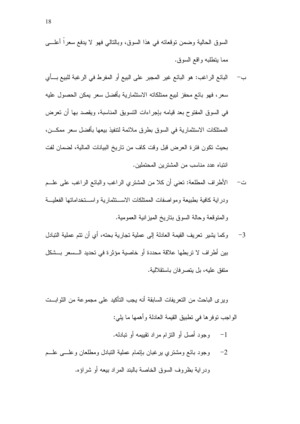السوق الحالية وضمن نوقعاته في هذا السوق، وبالنالي فهو لا يدفع سعراً أعلــــي مما بتطلبه واقع السوق.

- ب- البائع الراغب: هو البائع غير المجبر على البيع أو المفرط في الرغبة للبيع بــأي سعر ، فهو بائع محفز لبيع ممتلكاته الاستثمارية بأفضل سعر يمكن الحصول عليه في السوق المفتوح بعد قيامه بإجراءات التسويق المناسبة، ويقصد بها أن تعرض الممتلكات الاستثمار بـة فـي السو ق بطر ق ملائمة لتتفيذ بيعها بـأفضل سعر ممكـــن، بحيث تكون فترة العرض قبل وقت كاف من تاريخ البيانات المالية، لضمان لفت انتباه عدد مناسب من المشتر بن المحتملين.
- ت− الأطراف المطلعة: تعني أن كلا من المشتري الراغب والبائع الراغب على علـــم ودراية كافية بطبيعة ومواصفات الممتلكات الاستنثمارية واستخداماتها الفعلية و المنوقعة وحالة السوق بناريخ الميز انية العمومية.
- وكما يشير تعريف القيمة العادلة إلى عملية تجارية بحته، أي أن تتم عملية التبادل  $-3$ بين أطر اف لا تربطها علاقة محددة أو خاصية مؤثر ة في تحديد الـــسعر بـــشكل متفق عليه، بل بتصر فان باستقلالية.

و بر ي الباحث من النعر بفات السابقة أنه يجب التأكيد على مجمو عة من الثو ابـــت الو اجب نو فر ها في نطبيق القيمة العادلة و أهمها ما يلي:

- وجود أصل أو النزام مراد تقييمه أو تبادله.  $-1$
- وجود بائع ومشتري برغبان بإتمام عملية النبادل ومطلعان وعلسى علسم  $-2$ ودراية بظروف السوق الخاصة بالبند المراد بيعه أو شراؤه.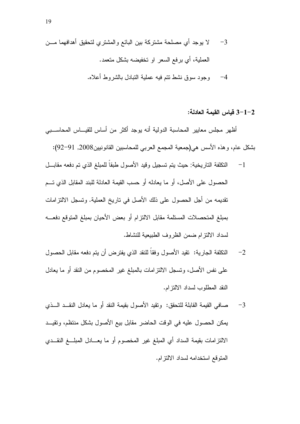3–1–3 قياس القيمة العادلة:

أظهر مجلس معايير المحاسبة الدولية أنه يوجد أكثر من أساس للقيــــاس المحاســـبي بشكل عام، وهذه الأسس هي(جمعية المجمع العربي للمحاسبين القانونيين2008, 91−92):

- النكلفة التاريخية: حيث يتم تسجيل وقيد الأصول طبقاً للمبلغ الذي تم دفعه مقابـــل  $-1$ الحصول على الأصل، أو ما يعادله أو حسب القيمة العادلة للبند المقابل الذي تـــم تقديمه من أجل الحصول على ذلك الأصل في ناريخ العملية. ونسجل الالتزامات بمبلغ المتحصلات المستلمة مقابل الالتزام أو بعض الأحيان بمبلغ المتوقع دفعـــه لسداد الالتز ام ضمن الظر وف الطبيعية للنشاط.
- النكلفة الجارية: نقيد الأصول وفقاً للنقد الذي يفترض أن يتم دفعه مقابل الحصول  $-2$ على نفس الأصل، ونسجل الالنز امات بالمبلغ غير المخصوم من النقد أو ما يعادل النقد المطلوب لسداد الالتز ام.
- صافي القبمة القابلة للتحقق: وتقبد الأصول بقبمة النقد أو ما بعادل النقــد الـــذي  $-3$ يمكن الحصول عليه في الوقت الحاضر مقابل بيع الأصول بشكل منتظم، وتقيــد الالتز امات بقيمة السداد أى المبلغ غير المخصوم أو ما يعــادل المبلـــغ النقــدى المنوقع استخدامه لسداد الالتزام.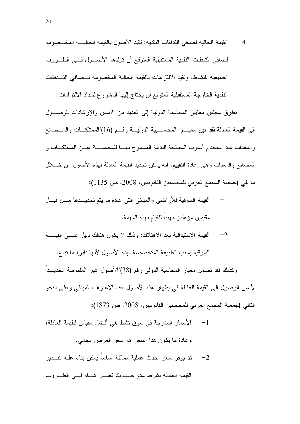4– القيمة الحالية لصافي الندفقات النقدية: تقيد الأصول بالقيمة الحاليـــة المخـــصومة لصافي الندفقات النقدية المستقبلية المتوقع أن تولدها الأصسول فسى الظرروف الطبيعية للنشاط، وتقيد الالتز امات بالقيمة الحالية المخصومة لــصافى التــدفقات النقدية الخارجة المستقبلية المتوقع أن يحتاج إليها المشروع لسداد الالتز امات.

تطرق مجلس معايير المحاسبة الدولية إلى العديد من الأسس والإرشادات للوصـــول إلى القيمة العادلة فقد بين معيـــار المحاســـبية الدوليـــة رقـــم (16)"الممتلكـــات والمـــصـانـع و المعدات"عند استخدام أسلوب المعالجة البديلة المسموح بهـــا للمحاســــبة عـــن الممتلكــــات و المصـانـع والمـعدات وهي إعادة التقييم، انـه يمكن تـحديد القيمـة الـعادلـة لـهذه الأصـول من خــــلال ما يلي (جمعية المجمع العربي للمحاسبين القانونيين، 2008، ص 1135):

- القيمة السوقية للأراضبي والمبانبي التبي عادة ما يتم تحديـــدها مــــن قبـــل  $-1$ مقيمين مؤ هلين مهنياً للقيام بهذه المهمة.
- القيمة الاستبدالية بعد الاهتلاك: وذلك لا يكون هنالك دليل علـــى القيمـــة  $-2$ السوقية بسبب الطبيعة المتخصصة لهذه الأصول لأنها نادر ا ما نباع.

وكذلك فقد تضمن معيار المحاسبة الدولي رقم (38)"الأصول غير الملموسة" تحديــداً لأسس الوصول إلى القيمة العادلة في إظهار هذه الأصول عند الاعتراف المبدئي وعلى النحو التالي (جمعية المجمع العربي للمحاسبين القانونيين، 2008، ص 1873):

الأسعار المدرجة في سوق نشط هي أفضل مقياس للقيمة العادلة،  $-1$ وعادة ما يكون هذا السعر هو سعر العرض الحالبي. قد بوفر سعر احدث عملية مماثلة أساساً بمكن بناء عليه نقـــدير  $-2$ القيمة العادلة بشرط عدم حسدوث نغيسر هسام فسى الظسروف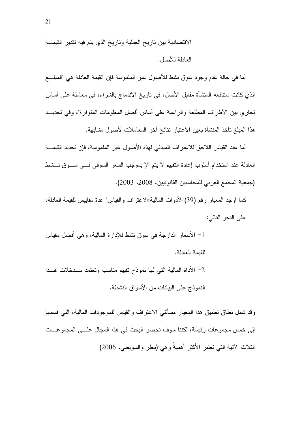الاقتصادية بين تاريخ العملية وتاريخ الذي يتم فيه تقدير القيمـــة العادلة للأصل.

أما في حالة عدم وجود سوق نشط للأصول غير الملموسة فإن القيمة العادلة هي "المبلــــغ الذي كانت سندفعه المنشأة مقابل الأصل، في تاريخ الاندماج بالشراء، في معاملة على أساس تجاري بين الأطراف المطلعة والراغبة على أساس أفضل المعلومات المتوفرة"، وفي تحديــد هذا المبلغ تأخذ المنشأة بعين الاعتبار نتائج آخر المعاملات لأصول مشابهة.

أما عند القياس اللاحق للاعتراف المبدئي لهذه الأصول غير الملموسة، فإن تحديد القيمـــة العادلة عند استخدام أسلوب إعادة النقييم لا يتم الإ بموجب السعر السوقي فسي ســـوق نـــشط (جمعية المجمع العربي للمحاسبين القانونيين، 2008، 2003).

كما اوجد المعيار رقم (39)"الأدوات المالية:الاعتراف والقياس" عدة مقاييس للقيمة العادلة، على النحو التالي:

1– الأسعار الدارجة في سوق نشط للإدارة المالية، وهي أفضل مقياس للقيمة العادلة.

2– الأداة المالية التبي لمها نموذج نقييم مناسب وتعتمد مـــدخلات هـــذا النموذج على البيانات من الأسواق النشطة.

وقد شمل نطاق نطبيق هذا المعيار مسألتي الاعتراف والقياس للموجودات المالية، التي قسمها إلى خمس مجموعات رئيسة، لكننا سوف نحصر البحث في هذا المجال علـــي المجموعـــات الثلاث الأننية النبي نعتبر الأكثر أهميةً وهي:(مطر والسويطي، 2006)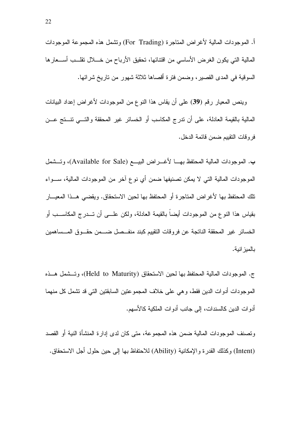أ. الموجودات المالية لأغراض المتاجرة (For Trading) وتشمل هذه المجموعة الموجودات المالية التي يكون الغرض الأساسي من اقتنائها، تحقيق الأرباح من خــــلل تقلــــب أســــعار ها السوقية في المدى القصير، وضمن فترة أقصاها ثلاثة شهور من تاريخ شرائها.

وينص المعيار رقم (**39**) على أن يقاس هذا النوع من الموجودات لأغراض إعداد البيانات المالية بالقيمة العادلة، على أن ندرج المكاسب أو الخسائر غير المحققة والتــــي نتـــنج عـــن فروقات النقييم ضمن قائمة الدخل.

ب. الموجودات المالية المحتفظ بهـــا لأغــــراض البيــــع (Available for Sale)، وتـــشمل الموجودات المالية التي لا يمكن تصنيفها ضمن أي نوع اخر من الموجودات المالية، ســـواء تلك المحتفظ بها لأغراض المتاجرة أو المحتفظ بها لحين الاستحقاق. ويقضي هــذا المعيـــار بقياس هذا النوع من الموجودات أيضا بالقيمة العادلة، ولكن علـــي أن تـــدرج المكاســـب أو الخسائر غير المحققة الناتجة عن فروقات النقييم كبند منفــصل ضـــمن حقــوق المـــساهمين بالميز انية.

ج. الموجودات المالية المحتفظ بها لحين الاستحقاق (Held to Maturity)، وتـــشمل هـــذه الموجودات أدوات الدين فقط، و هي على خلاف المجموعتين السابقتين التي قد تشمل كل منهما أدوات الدين كالسندات، إلى جانب أدوات الملكية كالأسهم.

وتصنف الموجودات المالية ضمن هذه المجموعة، متى كان لدى إدارة المنشأة النية أو القصد (Intent) وكذلك القدرة والإمكانية (Ability) للاحتفاظ بها إلى حين حلول أجل الاستحقاق.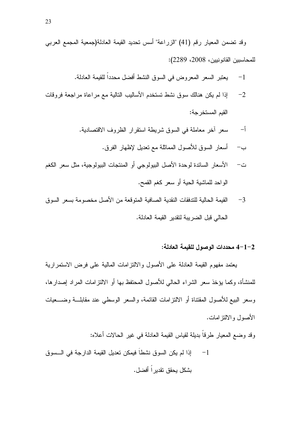وقد تضمن المعيار رقم (41) "الزراعة" أسس تحديد القيمة العادلة(جمعية المجمع العربي للمحاسبين القانونيين، 2008، 2289):

- يعتبر السعر المعروض في السوق النشط أفضل محدداً للقيمة العادلة.  $-1$
- إذا لم يكن هنالك سوق نشط تستخدم الأساليب النالية مع مراعاة مراجعة فروقات  $-2$ القيم المستخر جة:
	- سعر أخر معاملة في السوق شريطة استقرار الظروف الاقتصادية.  $-\mathfrak{f}$ 
		- ب— أسعار السوق للأصول المماثلة مع نعديل لإظهار الفرق.
- الأسعار السائدة لوحدة الأصل البيولوجي أو المنتجات البيولوجية، مثل سعر الكغم ت – الواحد للماشية الحية أو سعر كغم القمح.
- القيمة الحالية للتدفقات النقدية الصافية المتوقعة من الأصل مخصومة بسعر السوق  $-3$ الحالي قبل الضر ببة لتقدير القبمة العادلة.

### 2–1–4 محددات الوصول للقيمة العادلة:

يعتمد مفهوم القيمة العادلة على الأصول والالتز امات المالية على فرض الاستمرارية للمنشأة، وكما يؤخذ سعر الشراء الحالي للأصول المحتفظ بها أو الالتزامات المراد إصدارها، وسعر البيع للأصول المقتناة أو الالتز امات القائمة، والسعر الوسطى عند مقابلـــة وضـــعيات الأصبول والالتز امات.

وقد وضع المعيار طرقاً بديلة لقياس القيمة العادلة في غير الحالات أعلاه:

إذا لم يكن السوق نشطاً فيمكن تعديل القيمة الدارجة في الـــسوق  $-1$ يشكل بـحقق تقدير اً أفضل.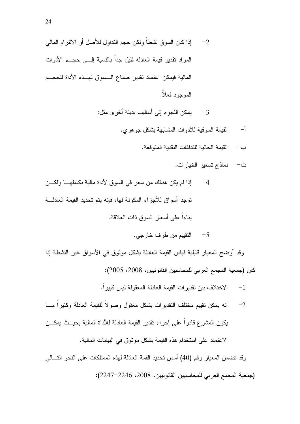' 3 A / %Y 4 78& @ H2 + 4 - & 74 < " < 4 # 6- @ B&% ( . 7:( 4 

3<sup>—</sup> يمكن اللجوء إلى أساليب بديلة أخرى مثل:

- لقيمة السوقية للأدوات المشابهة بشكل جوهري.  $\mathfrak{f}$ 
	- ب— القيمة الحالية للندفقات النقدية المنوقعة.
		- ث– نماذج تسعير الخيار ات.
- لم يكن هنالك من سعر في السوق لأداة مالية بكاملهــــا ولكـــن  $-4$ توجد أسواق للأجزاء المكونة لمها، فإنه يتم تحديد القيمة العادلــــة بناءا على أسعار السوق ذات العلاقة.

5 التقييم من طرف خارجي.

وقد أوضىح المعيار قابلية قياس القيمة العادلة بشكل موثوق في الأسواق غير النشطة إذا كان (جمعية المجمع العربي للمحاسبين القانونيين، 2008، 2005):

- 1 الاختلاف بين تقدير ات القيمة العادلة المعقولة ليس كبير ا.
- 2– انه يمكن نقييم مختلف النقديرات بشكل معقول وصولا للقيمة العادلة وكثيرا مـــا يكون المشرع قادرا على إجراء تقدير القيمة العادلة للأداة المالية بحيـــث يمكـــن الاعتماد على استخدام هذه القيمة بشكل موثوق في البيانات المالية.

وقد تضمن المعيار رقم (40) أسس تحديد القمة العادلة لهذه الممتلكات على النحو التـــالي (جمعية المجمع العربي للمحاسبيين القانونيين، 2008، 2246–2247):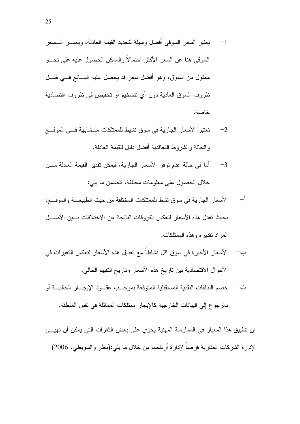- يعتبر السعر السوقى أفضل وسيلة لتحديد القيمة العادلة، ويعبـــر الـــسعر  $-1$ السو في هنا عن السعر الأكثر احتمالاً والممكن الحصول عليه على نحـــو معقول من السوق، وهو أفضل سعر قد يحصل عليه البسائع فسي ظلَّ ظروف السوق العادية دون أي تضخيم أو تخفيض في ظروف اقتصادية خاصة.
- تعتبر الأسعار الجارية في سوق نشيط للممتلكات مـــشابهة فـــي الموقـــع  $-2$ والحالة والشروط النعاقدية أفضل دليل للقيمة العادلة.
- أما في حالة عدم توفر الأسعار الجارية، فيمكن تقدير القيمة العادلة مـــن  $-3$ خلال الحصول على معلومات مختلفة، تتضمن ما يلي:
- \_–∫ الأسعار الجارية في سوق نشط للممتلكات المختلفة من حيث الطبيعــــة والموقــــع، بحبث تعدل هذه الأسعار لتعكس الفر وقات الناتجة عن الاختلافات بسبن الأصسل المر اد نقدبر ه و هذه الممتلكات.
- ب— الأسعار الأخير ة في سوق اقل نشاطاً مع تعديل هذه الأسعار لتعكس التغير ات في الأحوال الاقتصادية بين ناريخ هذه الأسعار وناريخ النقييم الحالي.
- ت— خصم التدفقات النقدية المستقبلية المتوقعة بموجــب عقـــود الإيجـــار الحاليـــة أو بالر جو ع إلى الببانات الخار جبة كالإبجار ممتلكات المماثلة في نفس المنطقة.

إن تطبيق هذا المعيار في الممارسة المهنية يحوى على بعض الثغرات التي يمكن أن تهيئ لإدارة الشركات العقارية فرصاً لإدارة أرباحها من خلال ما بلي:(مطر والسويطي، 2006)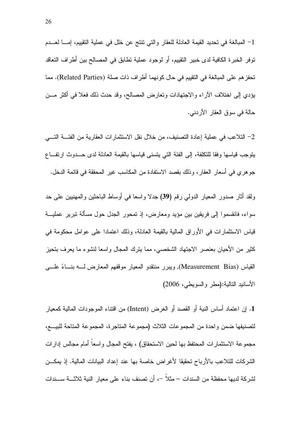1– المبالغة في تحديد القيمة العادلة للعقار والتي نتنج عن خلل في عملية التقييم، إمــــا لعــــدم توفر الخبرة الكافية لدى خبير التقييم، أو لوجود عملية تطابق في المصالح بين أطراف التعاقد تحفز هم على المبالغة في التقييم في حال كونهما أطراف ذات صلة (Related Parties). مما يؤدي إلى اختلاف الاراء والاجتهادات وتعارض المصالح، وقد حدث ذلك فعلا في اكثر مـــن حالة في سوق العقار الأردني.

2– التلاعب في عملية إعادة التصنيف، من خلال نقل الاستثمار ات العقارية من الفئــــة التــــي يتوجب قياسها وفقا للنكلفة، إلى الفئة التي يتسنى قياسها بالقيمة العادلة لدى حـــدوث ارتفـــاع جو هر ي في أسعار العقار ، وذلك بقصد الاستفادة من المكاسب غير المحققة في قائمة الدخل.

ولقد أثار صدور المعيار الدول*ي ر*قم **(39)** جدلا واسعا في أوساط الباحثين والمهنيين على حد سواء، فانقسموا إلى فريقين بين مؤيد ومعارض، إذ تمحور الجدل حول مسألة نبرير عمليـــة قياس الاستثمارات في الأوراق المالية بالقيمة العادلة، وذلك اعتمادا على عوامل محكومة في كثير من الأحيان بعنصر الاجتهاد الشخصـي، مما يترك المجال واسعا لنشوء ما يعرف بتحيز القياس (Measurement Bias), ويبرر منتقدو المعيار موقفهم المعارض لــــه بنــــاءً علــــي الأسانيد النالية:(مطر والسويطي، 2006)

1. إن اعتماد أساس النية أو القصد أو الغرض (Intent) من اقتناء الموجودات المالية كمعيار لتصنيفها ضمن واحدة من المجموعات الثلاث (مجموعة المتاجرة، المجموعة المتاحة للبيـــع، مجموعة الاستثمارات المحتفظ بها لحين الاستحقاق) ، يفتح المجال واسعا أمام مجالس إدارات الشركات للتلاعب بالأرباح تحقيقا لأغراض خاصة بها عند إعداد البيانات المالية. إذ يمكـــن لشركة لديها محفظة من السندات – مثلا –، أن تصنف بناء على معيار النية ثلاثـــة ســـندات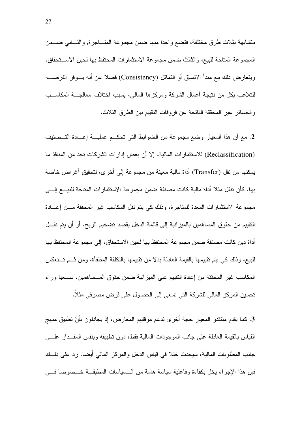متشابهة بثلاث طرق مختلفة، فتضع واحدا منها ضمن مجموعة المتـــاجرة, والثـــاني ضــــمن المجموعة المتاحة للبيع، والثالث ضمن مجموعة الاستثمارات المحتفظ بها لحين الاســـتحقاق. ويتعارض ذلك مع مبدأ الاتساق أو التماثل (Consistency) فضلاً عن أنه يـــوفر الفرصــــه للتلاعب بكل من نتيجة أعمال الشركة ومركزها المالي، بسبب اختلاف معالجـــة المكاســـب والخسائر غير المحققة الناتجة عن فروقات النقييم بين الطرق الثلاث.

2. مع أن هذا المعيار وضع مجموعة من الضوابط التي تحكــم عمليـــة إعـــادة التـــصنيف (Reclassification) للاستثمارات المالية، إلا أن بعض إدارات الشركات تجد من المنافذ ما يمكنها من نقل (Transfer) أداة مالية معينة من مجموعة إلى أخرى، لتحقيق أغراض خاصة بها. كأن نتقل مثلا أداة مالية كانت مصنفة ضمن مجموعة الاستثمارات المتاحة للبيـــع إلـــي مجموعة الاستثمارات المعدة للمتاجرة، وذلك كي بنم نقل المكاسب غير المحققة مـــن إعـــادة النقيبِم من حقوق المساهمين بالميزانية إلى قائمة الدخل بقصد نضخيم الربح. أو أن يتم نقـــل أداة دين كانت مصنفة ضمن مجموعة المحتفظ بها لحين الاستحقاق، إلى مجموعة المحتفظ بها للبيع، وذلك كي يتم نقييمها بالقيمة العادلة بدلا من نقييمها بالنكلفة المطفأة، ومن ثـــم تـــنعكس المكاسب غير المحققة من إعادة النقييم على الميزانية ضمن حقوق المـــساهمين، ســـعيا وراء تحسين المركز المالي للشركة التي تسعى إلى الحصول على قرض مصرفي مثلا.

3. كما يقدم منتقدو المعيار حجة أخر ي تدعم موقفهم المعارض، إذ يجادلون بأنّ تطبيق منهج القياس بالقيمة العادلة على جانب الموجودات المالية فقط، دون تطبيقه وبنفس المقــدار علــــى جانب المطلوبات المالية، سيحدث خللا في قياس الدخل والمركز المالي أيضا. زد على ذلـــك فإن هذا الإجراء يخل بكفاءة وفاعلية سياسة هامة من الـــسياسات المطبقـــة خـــصوصـا فــــي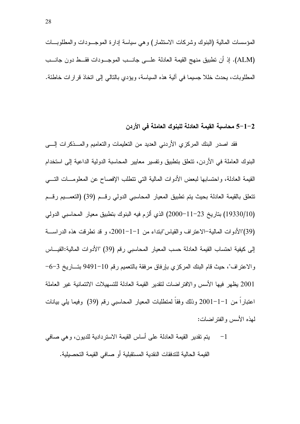#### 1–2 محاسبة القيمة العادلة للبنوك العاملة في الأردن

فقد اصدر البنك المركزي الأردني العديد من النعليمات والنعاميم والمسذكرات إلسى البنوك العاملة في الأردن، نتعلق بتطبيق وتفسير معايير المحاسبة الدولية الداعية إلى استخدام القيمة العادلة، واحتسابها لبعض الأدوات المالية التي تتطلب الإفصاح عن المعلومـــات التـــي نتعلق بالقيمة العادلة بحيث يتم تطبيق المعيار المحاسبي الدولي رقــم (39) (التعمـــيم رقـــم (19330/10) بتاريخ 23−11−2000) الذي ألزم فيه البنوك بتطبيق معيار المحاسبي الدولي (39)"الأدوات المالية–الاعتراف والقياس"ابنداء من 1−1−2001، و قد تطرقت هذه الدراســــة إلى كيفية احتساب القيمة العادلة حسب المعيار المحاسبي رقم (39) "الأدوات المالية:القيـــاس والاعتراف"، حيث قام البنك المركزي بإرفاق مرفقة بالتعميم رقم 10–9491 بتـــاريخ 3–6– 2001 يظهر فيها الأسس والافتراضات لنقدير القيمة العادلة للتسهيلات الائتمانية غير العاملة اعتباراً من 1–1–2001 وذلك وفقاً لمتطلبات المعيار المحاسبي رقم (39) وفيما يلي بيانات لمهذه الأسس والفتر اضبات:

1- يتم تقدير القيمة العادلة على أساس القيمة الاستردادية للديون، و هي صافي القيمة الحالية للتدفقات النقدية المستقبلية أو صافى القيمة التحصيلية.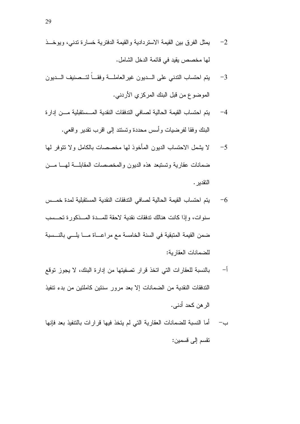- يمثل الفرق بين القيمة الاستردادية والقيمة الدفترية خسارة تدنى، ويوخــذ  $-2$ لَّها مخصصٍ بقدٍ في قائمة الدخل الشامل.
- يتم احتساب الندنبي على السديون غير العاملة وفقا لتسصنيف السديون  $-3$ الموضوع من قبل البنك المركزي الأردني.
- يتم احتساب القيمة الحالية لصافي التدفقات النقدية المـــستقبلية مـــن إدار ة  $-4$ البنك وفقا لفر ضبات و أسس محددة و تستند إلى اقر ب تقدير ٬و اقعى.
- لا يشمل الاحتساب الديون المأخوذ لمها مخصصات بالكامل ولا نتوفر لمها  $-5$ ضمانات عقارية وتستبعد هذه الديون والمخصصات المقابلسة لهسا مسن التقدبر .
- يتم احتساب القيمة الحالية لصافى التدفقات النقدية المستقبلية لمدة خمــس  $-6$ سنو ات، وإذا كانت هنالك تدفقات نقدية لاحقة للمسدة المسذكور ة تحسسب ضمن القيمة المتبقية في السنة الخامسة مع مراعـــاة مـــا يلـــى بالنـــسبة للضمانات العقار بة:
- $-\mathfrak{f}$ بالنسبة للعقارات التي اتخذ قرار تصفيتها من إدارة البنك، لا يجوز توقع الندفقات النقدية من الضمانات إلا بعد مرور سنتين كاملتين من بدء تتفيذ الر هن كحد أدني.
- أما النسبة للضمانات العقارية التي لم يتخذ فيها قر ار ات بالتنفيذ بعد فإنها  $-$ ب نقسم إلى قسمين: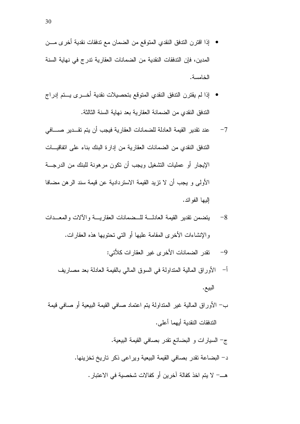- إذا اقترن الندفق النقدي المتوقع من الضمان مع تدفقات نقدية أخر ى مـــن المدين، فإن التدفقات النقدية من الضمانات العقار بة ندر ج في نهاية السنة الخامسة.
- إذا لم يقترن الندفق النقدي المتوقع بتحصيلات نقدية أخـــرى يـــتم إدراج الندفق النقدي من الضمانة العقارية بعد نهاية السنة الثالثة.
- عند نقدير القيمة العادلة للضمانات العقار ية فيجب أن يتم نقـــدير صــــافي  $-7$ الندفق النقدي من الضمانات العقارية من إدارة البنك بناء على انفاقيـــات الإيجار أو عمليات التشغيل ويجب أن نكون مرهونة للبنك من الدرجـــة الأولى و يجب أن لا تزيد القيمة الاستردادية عن قيمة سند الرهن مضافا إليها الفو ائد.
- بتضمن نقدبر القبمة العادلــــة للـــضمانات العقار بــــة و الآلات و المعـــدات  $-8$ والإنشاءات الأخرى المقامة عليها أو التبي نحتويها هذه العقارات.
	- نقدر الضمانات الأخر ى غير العقار ات كلأتي:  $-9$
	- أ– الأوراق المالية المتداولة في السوق المالي بالقيمة العادلة بعد مصاريف البيع.
- ب— الأوراق المالية غير المتداولة يتم اعتماد صافي القيمة البيعية أو صافي قيمة الندفقات النقدبة أبهما أعلى.
	- ج– السيارات و البضائع نقدر بصافى القيمة البيعية. د– البضاعة نقدر بصافي القيمة البيعية ويراعي ذكر ناريخ نخزينها. هـــــ لا يتم اخذ كفالة آخرين أو كفالات شخصية في الاعتبار .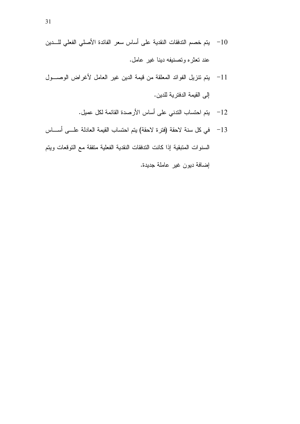- 10 يتم خصم التدفقات النقدية على أساس سعر الفائدة الأصلي الفعلي للـــدين عند تعثَّره وتصنيفه دينا غير عامل.
- 11- يتم نتزيل الفوائد المعلقة من قيمة الدين غير العامل لأغراض الوصــول إلى القيمة الدفترية للدين.
	- 12 يتم احتساب الندني على أساس الأرصدة القائمة لكل عميل.
- 13 في كل سنة لاحقة (فترة لاحقة) يتم احتساب القيمة العادلة علـــى أســــاس

السنوات المتبقية إذا كانت التدفقات النقدية الفعلية متفقة مع التوقعات ويتم إضافة ديون غير عاملة جديدة.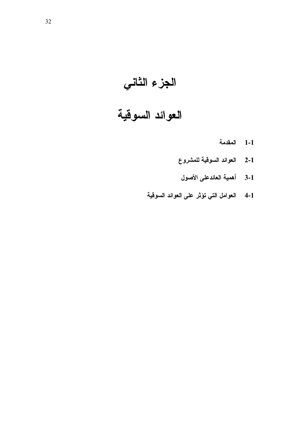# الجزء الثاني<br>العوائد السوقية

#### المقدمة  $1-1$

- العوائد السوقية للمشروع  $2 - 1$ 
	- 3-1 أهمية العائدعلى الأصول
- 4-1 العوامل التي تؤثر على العوائد السوقية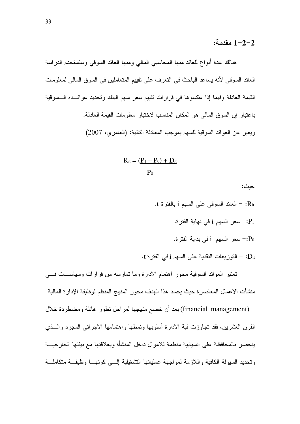#### 1−2−2 مقدمة:

هنالك عدة أنواع للعائد منها المحاسبي المالي ومنها العائد السوقي وستستخدم الدراسة العائد السوقي لأنه يساعد الباحث في النعرف على نقييم المتعاملين في السوق المالي لمعلومات القيمة العادلة وفيما إذا عكسوها في قرارات نقييم سعر سهم البنك وتحديد عوائــده الــسوقية باعتبار إن السوق المالي هو المكان المناسب لاختيار معلومات القيمة العادلة. ويعبر عن العوائد السوقية للسهم بموجب المعادلة النالية: (العامري، 2007)

$$
R_{it} = (\underline{P_1 - P_0}) + \underline{D_{it}}
$$

$$
P_0
$$

حبث:

- .t : العائد السوقي على السهم j بالفترة t.
	- :P1= سعر السهم i في نهاية الفترة.
	- سعر السهم i في بداية الفترة: $\mathbf{P}_0$
- .t : التوزيعات النقدية على السهم i في الفترة t.

تعتبر العوائد السوقية محور اهتمام الادارة وما تمارسه من قرارات وسياســـات فــــى منشأت الاعمال المعاصرة حيث يجسد هذا الهدف محور المنهج المنظم لوظيفة الإدارة المالية

(financial management) بعد أن خضع منهجها لمراحل نطور هائلة ومضطردة خلال القرن العشرين، فقد نجاوزت فية الادارة أسلوبها ونمطها واهتمامها الاجرائي المجرد والسذي ينحصر بالمحافظة على انسيابية منظمة للاموال داخل المنشأة وبعلاقتها مع بيئتها الخار جيسة ونحديد السيولة الكافية واللازمة لمواجهة عملياتها التشغيلية إلسي كونهسا وظيفة متكاملة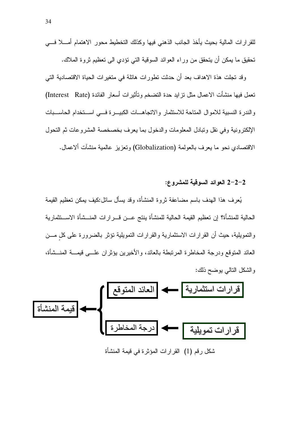وقد نجلت هذة الاهداف بعد أن حدثت نطورات هائلة في منغيرات الحياة الاقتصادية التي تعمل فيها منشأت الاعمال مثل نزايد حدة التضخم وتأثيرات أسعار الفائدة (Interest Rate) والندرة النسبية للاموال المناحة للاستثمار والاتجاهــات الكبيــرة فـــى اســـتخدام الحاســـبات الإلكترونية وفي نقل ونبادل المعلومات والدخول بما يعرف بخصخصة المشروعات ثم النحول الاقتصادي نحو ما يعرف بالعولمة (Globalization) وتعزيز عالمية منشآت ألاعمال.

#### 2-2-2 العوائد السوقية للمشروع:

يُعرف هذا الهدف باسم مضاعفة ثروة المنشأة، وقد يسأل سائل:كيف يمكن تعظيم القيمة الحالية للمنشأة؟ إن تعظيم القيمة الحالية للمنشأة ينتج عــن قـــر إر ات المنـــشأة الاســـنثمارية والتمويلية، حيث أن القرارات الاستثمارية والقرارات التمويلية نؤثر بالضرورة على كل مـــن العائد المتوقع ودرجة المخاطرة المرتبطة بالعائد، والأخيرين بؤثران علـــي قيمـــة المنـــشأة، والشكل النالي بوضح ذلك:

شكل رقم (1) القرارات المؤثرة في قيمة المنشأة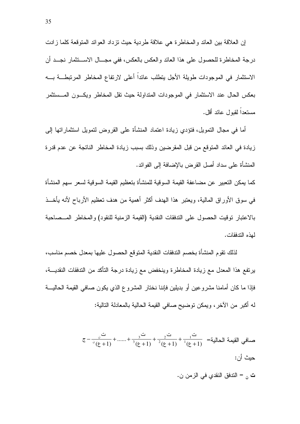إن العلاقة بين العائد والمخاطرة هي علاقة طردية حيث نزداد العوائد المتوقعة كلما زادت درجة المخاطرة للحصول على هذا العائد والعكس بالعكس، ففي مجـــال الاســـنثمار نجـــد أن الاستثمار في الموجودات طويلة الأجل يتطلب عائداً أعلى لارتفاع المخاطر المرتبطـــة بــــه بعكس الحال عند الاستثمار في الموجودات المتداولة حيث نقل المخاطر ويكـــون المـــستثمر مستعداً لقبول عائد أقل.

أما في مجال النمويل، فتؤدي زيادة اعتماد المنشأة على القروض لنمويل استثماراتها إلى زيادة في العائد المتوقع من قبل المقرضين وذلك بسبب زيادة المخاطر الناتجة عن عدم قدرة المنشأة على سداد أصل القرض بالإضافة إلى الفوائد.

كما يمكن التعبير عن مضـاعفة القيمة السوقية للمنشأة بتعظيم القيمة السوقية لسعر سهم المنشأة في سوق الأوراق المالية، ويعتبر هذا الهدف أكثر أهمية من هدف نعظيم الأرباح لأنه يأخــذ بالاعتبار توقيت الحصول على التدفقات النقدية (القيمة الزمنية للنقود) والمخاطر المسصاحبة لمذه التدفقات.

لذلك نقوم المنشأة بخصم الندفقات النقدية المتوقع الحصول عليها بمعدل خصم مناسب، يرتفع هذا المعدل مع زيادة المخاطرة وينخفض مع زيادة درجة التأكد من التدفقات النقديـــة، فإذا ما كان أمامنا مشروعين أو بديلين فإننا نختار المشروع الذي يكون صافى القيمة الحاليـــة له أكبر من الآخر ، ويمكن توضيح صافي القيمة الحالية بالمعادلة التالية:

> $\sigma = \frac{1}{\sigma^2} \frac{1}{\sigma^2} + \dots + \frac{1}{\sigma^2} + \frac{1}{\sigma^2} + \frac{1}{\sigma^2} + \frac{1}{\sigma^2} = \frac{1}{\sigma^2}$ صافي القيمة الحالية =  $\frac{1}{\sigma^2}$  + 11 حبث أن: <mark>ت</mark> <sub>ن</sub> = الندفق النقدي في الزمن ن.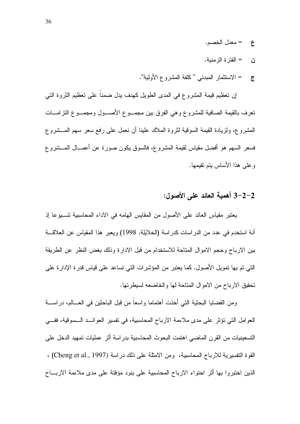- = معدل الخصم.  $\epsilon$
- = الفتر ة الز منبة. ڽ
- = الاستثمار المبدئي "كلفة المشروع الأولية".  $\overline{C}$

إن تعظيم قيمة المشروع في المدى الطويل كهدف يدل ضمنا على تعظيم الثروة التي تعرف بالقيمة الصافية للمشروع وهي الفرق ببن مجمـــوع الأصــــول ومجمـــوع النز امــــات المشروع، ولزيادة القيمة السوقية لثروة الملاك علينا أن نعمل على رفع سعر سهم المسشروع فسعر السهم هو أفضل مقياس لقيمة المشروع، فالسوق يكون صورة عن أعمـــال المـــشروع و علي هذا الأساس بتم تقبمها.

### 2-2-3 أهمية العائد على الأصول:

يعتبر مقياس العائد على الأصول من المقايس الهامه في الاداء المحاسبية شــــيوعا إذ أنة استخدم في عدد من الدراسات كدراسة (الخلايلة, 1998) ويعبر هذا المقياس عن العلاقـــة بين الارباح وحجم الاموال المتاحة للاستخدام من قبل الادارة وذلك بغض النظر عن الطريقة التي تم بها تمويل الأصول. كما يعتبر من المؤشرات التي تساعد على قياس قدرة الإدارة على تحقيق الارباح من الاموال المتاحة لها والخاضعه لسيطرتها.

ومن القضايا البحثية التي أخذت أهتماما واسعاً من قبل الباحثين في العـــالم، در اســــة العوامل التي نؤثر على مدى ملاءمة الارباح المحاسبية، في نفسير العوائــد الــسوفية، ففـــي التسعينيات من القرن الماضبي اهتمت البحوث المحاسبية بدر اسة أثر عمليات تمهيد الدخل على القوة التفسيرية للارباح المحاسبية، ومن الامثلة على ذلك در اسة (Cheng et al., 1997) ، الذين اختبروا بها أثر احتواء الارباح المحاسبية على بنود مؤقتة على مدى ملاءمة الاربـــاح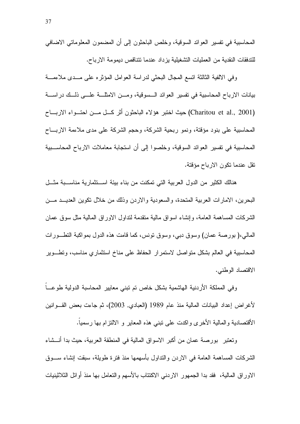المحاسبية في نفسير العوائد السوقية، وخلص الباحثون إلى أن المضمون المعلوماتي الاضافي للتدفقات النقدية من العمليات التشغيلية يزداد عندما تتناقص ديمومة الارباح.

وفي الالفية الثالثة انسع المجال البحثي لدراسة العوامل المؤثره على مــدى ملاءمـــة بيانات الارباح المحاسبية في نفسير العوائد الـــسوقية، ومـــن الامثلـــة علـــي ذلـــك دراســــة (Charitou et al., 2001) حيث اختبر هؤلاء الباحثون أثر كل مــن احتــواء الاربــاح المحاسبية على بنود مؤقتة، ونمو ربحية الشركة، وحجم الشركة على مدى ملاءمة الاربـــاح المحاسبية في تفسير العوائد السوقية، وخلصوا إلى أن استجابة معاملات الارباح المحاســبية نقل عندما نكون الارباح مؤقتة.

هنالك الكثير من الدول العربية التي تمكنت من بناء بيئة استثمارية مناسبة مثل البحرين، الامارات العربية المتحدة، والسعودية والاردن وذلك من خلال نكوين العديــد مـــن الشركات المساهمة العامة، وإنشاء اسواق مالية منقدمة لنداول الاوراق المالية مثل سوق عمان المالي،( بورصة عمان) وسوق دبي، وسوق نونس، كما قامت هذه الدول بمواكبة النطــورات المحاسبية في العالم بشكل متواصل لاستمرار الحفاظ على مناخ استثماري مناسب، ونطـــوير الاقتصاد الوطني.

وفي المملكة الأردنية الهاشمية بشكل خاص نم نبني معايير المحاسبة الدولية طوعـــا لأغراض إعداد البيانات المالية منذ عام 1989 (العبادي, 2003)، ثم جاءت بعض القـــوانين الأقتصادية والمالية الأخرى واكدت على نبنى هذه المعاير و الالتزام بها رسمياً.

وتعتبر \_ بورصة عمان من أكبر الاسواق المالية في المنطقة العربية، حيث بدا أنـــشاء الشركات المساهمة العامة في الاردن والنداول بأسهمها منذ فترة طويلة، سبقت إنشاء ســـوق الاوراق المالية، فقد بدا الجمهور الاردنبي الاكتتاب بالأسهم والتعامل بها منذ أوائل الثلاثينيات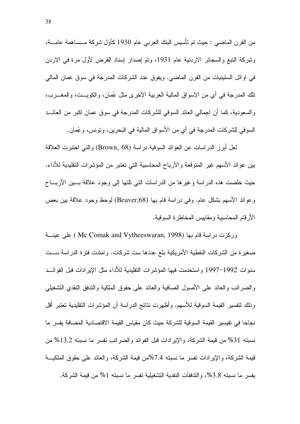من القرن الماضبي : حيث تم تأسيس البنك العربي عام 1930 كأول شركة مـــساهمة عامـــة، وشركة التبغ والسجائر الاردنية عام 1931، وتم إصدار إسناد القرض لأول مرة في الاردن في اوائل الستينيات من القرن الماضي. ويفوق عدد الشركات المدرجة في سوق عمان المالي نلك المدرجة في أي من الاسواق المالية العربية الاخرى مثل عُمان، والكويـــت، والمغــــرب، والسعودية، كما أن اجمالي العائد السوقي للشركات المدرجة في سوق عمان اكبر من العائـــد السوفي للشركات المدرجة في أي من الأسواق المالية في البحرين، وتونس، وعُمان.

لعل أبرز الدر اسات عن العوائد السوقية در اسة (Brown, 68) و التبي اختبرت العلاقة بين عوائد الأسهم غير المنوقعة والأرباح المحاسبية التي تعتبر من المؤشرات التقليدية للأداء. حيث خلصت هذه الدر اسة وغير ها من الدر اسات التي نلتها إلى وجود علاقة بسين الأربساح وعوائد الأسهم بشكل عام. وفي دراسة قام بها (Beaver,68) لوحظ وجود علاقة بين بعض الأر قام المحاسبية ومقابيس المخاطر ة السوقية.

وركزت در اسة قام بـها (Mc Comak and Vytheeswaran, 1998 ) علمي عينــــة صغيرة من الشركات النفطية الأمريكية بلغ عددها ست شركات. وامتدت فترة الدراسة ســت سنوات 1992–1997 واستخدمت فيها المؤشرات النقليدية للأداء مثل الإيرادات قبل الفوائـــد والضرائب والعائد على الأصول الصافية والعائد على حقوق الملكية والتدفق النقدى التشغيلي وذلك لتفسير القيمة السوقية للأسهم. و أظهر ت نتائج الدر اسة أن المؤشر ات التقليدية تعتبر أقل نجاحا في تفيسير القيمة السوقية للشركة حيث كان مقياس القيمة الاقتصادية المضافة يفسر ما نسبته 31% من قيمة الشركة، والإيرادات قبل الفوائد والضرائب نفسر ما نسبته 13.2% من قيمة الشركة، والإيرادات تفسر ما نسبته 7.4%من قيمة الشركة، والعائد على حقوق الملكيـــة يفسر ما نسبته 3.8%، والتدفقات النقدية التشغيلية تفسر ما نسبته 1% من قيمة الشركة.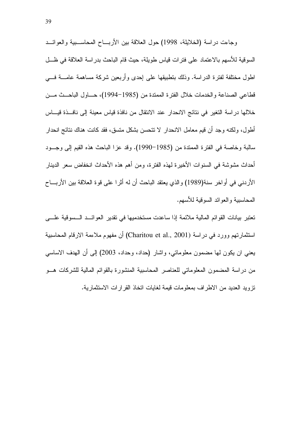وجاءت دراسة (الخلايلة، 1998) حول العلاقة بين الأربـــاح المحاســـبية والعوائـــد السوقية للأسهم بالاعتماد على فترات قياس طويلة، حيث قام الباحث بدراسة العلاقة في ظـــل اطول مختلفة لفترة الدراسة. وذلك بتطبيقها على إحدى وأربعين شركة مساهمة عامــــة فــــي قطاعي الصناعة والخدمات خلال الفترة الممتدة من (1985–1994)، حساول الباحــث مـــن خلالها در اسة التغير. في نتائج الانحدار ٍ عند الانتقال من نافذة قياس معينة إلى نافـــذة قيـــاس أطول، ولكنه وجد أن قيم معامل الانحدار لا تتحسن بشكل متسق، فقد كانت هناك نتائج انحدار سالبة وخاصة في الفترة الممتدة من (1985–1990). وقد عزا الباحث هذه القيم إلى وجــود أحداث مشوشة في السنوات الأخيرة لهذه الفترة، ومن أهم هذه الأحداث انخفاض سعر الدينار الأردني في أو اخر سنة(1989) و الذي يعتقد الباحث أن له أثر ا على قوة العلاقة بين الأربـــاح المحاسبية والعوائد السوقية للأسهم.

تعتبر بيانات القوائم المالية ملائمة إذا ساعدت مستخدميها في تقدير العوائــد الــسوقية علـــي استثمارتهم وورد في دراسة (Charitou et al., 2001) أن مفهوم ملاءمة الارقام المحاسبية يعني ان يكون لمها مضمون معلوماتي، واشار (حداد، وحداد، 2003) إلىي أن الهدف الاساسي من در اسة المضمون المعلوماتي للعناصر المحاسبية المنشورة بالقوائم المالية للشركات هــو تزويد العديد من الاطراف بمعلومات قيمة لغايات اتخاذ القرارات الاستثمارية.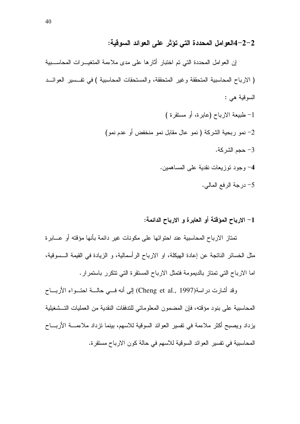#### 2–2–4العوامل المحددة التي تؤثر على العوائد السوقية:

إن العوامل المحددة التي تم اختبار أثارها على مدى ملاءمة المتغيـــرات المحاســـبية ( الارباح المحاسبية المتحققة وغير المتحققة، والمستحقات المحاسبية ) في تفــسير العوائـــد السوقية هي : 1- طبيعة الارباح (عابرة، أو مستقرة ) 2– نمو ربحية الشركة ( نمو عال مقابل نمو منخفض أو عدم نمو) حجم الشركة. $-3$ 4- وجود نوزيعات نقدية على المساهمين. 5– درجة الرفع المالي.

#### 1– الإرباح المؤقتة أو العابرة و الإرباح الدائمة:

تمتاز الارباح المحاسبية عند احتوائها على مكونات غير دائمة بأنها مؤقته أو عـــابرة مثل الخسائر الناتجة عن إعادة الهيكلة، او الارباح الرأسمالية، و الزيادة في القيمة الـــسوقية، اما الارباح التي تمتاز بالديمومة فتمثل الارباح المستقرة التي تتكرر باستمرار.

وقد أشارت دراسة(Cheng et al., 1997) إلى أنه فسي حالسة احتسواء الأربساح المحاسبية على بنود مؤقته، فإن المضمون المعلوماتي للتدفقات النقدية من العمليات التــشغيلية يزداد ويصبح أكثر ملاءمة في تفسير العوائد السوقية للاسهم، بينما نزداد ملاءمــــة الأربــــاح المحاسبية في تفسير العوائد السوقية للاسهم في حالة كون الارباح مستقرة.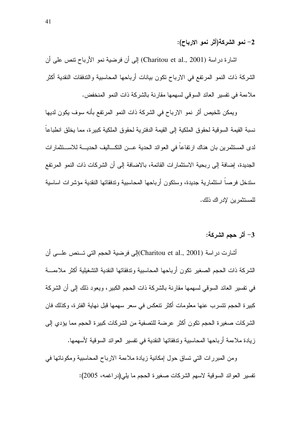#### 2– نمو الشركة(أثر نمو الارباح):

اشارة دراسة (Charitou et al., 2001) إلى أن فرضية نمو الأرباح نتص على أن الشركة ذات النمو المرتفع في الارباح تكون بيانات أرباحها المحاسبية والتدفقات النقدية أكثر ملاءمة في تفسير العائد السوقي لسهمها مقارنة بالشركة ذات النمو المنخفض.

ويمكن تلخيص أثر نمو الارباح في الشركة ذات النمو المرتفع بأنه سوف يكون لديها نسبة القيمة السوقية لحقوق الملكية إلى القيمة الدفتر ية لحقوق الملكية كبير ة، مما يخلق انطباعا لدى المستثمرين بان هناك ارتفاعا في العوائد الحدية عـــن التكـــاليف الحديــــة للاســـتثمار ات الجديدة، إضافة إلى ربحية الاستثمارات القائمة، بالاضافة إلى أن الشركات ذات النمو المرتفع سندخل فرصا استثمارية جديدة، وسنكون أرباحها المحاسبية وندفقاتها النقدية مؤشرات اساسية للمستثمر بن لإدر اك ذلك.

#### 3– أثر حجم الشركة:

أشارت در اسة (Charitou et al., 2001)إلى فرضية الحجم التي تــنص علـــي أن الشركة ذات الحجم الصغير تكون أر باحها المحاسبية و تدفقاتها النقدية التشغيلية أكثر ملاءمــــة في نفسير العائد السوقي لسهمها مقارنة بالشركة ذات الحجم الكبير ، ويعود ذلك إلىي أن الشركة كبير ة الحجم تتسر ب عنها معلومات أكثر تتعكس في سعر سهمها قبل نهاية الفتر ة، وكذلك فان الشر كات صغير ة الحجم تكون أكثر عر ضنة للتصفية من الشر كات كبير ة الحجم مما يؤدي إلى زِيادة ملاءمة أرباحها المحاسبية وتدفقاتها النقدية في تفسير العوائد السوقية لأسهمها.

ومن المبررات التي تساق حول إمكانية زيادة ملاءمة الارباح المحاسبية ومكوناتها في تفسير العوائد السوقية لاسهم الشركات صغيرة الحجم ما يلي(در اغمه، 2005):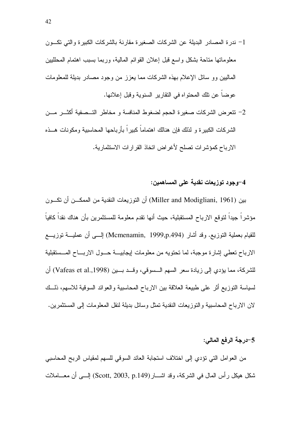2- تتعرض الشركات صغيرة الحجم لضغوط المنافسة و مخاطر التــصفية أكثـــر مـــن الشر كات الكبير ة و لذلك فإن هنالك اهتماماً كبير اً بأر باحها المحاسبية و مكو نات هـــذه الارباح كمؤشرات تصلح لأغراض اتخاذ القرارات الاستثمارية.

#### 4-وجود توزيعات نقدية على المساهمين:

بين (Miller and Modigliani, 1961) أن النوزيعات النقدية من الممكـــن أن نكــــون مؤشر اً جيداً لتوقع الارباح المستقبلية، حيث أنها تقدم معلومة للمستثمرين بأن هناك نقداً كافياً للقيام بعملية النوزيع. وقد أشار (Mcmenamin, 1999,p.494) إلـــي أن عمليـــة نوزيـــع الارباح تعطي إشار ة موجبة، لما تحتويه من معلومات إيجابيسة حسول الاربساح المسستقبلية للشركة، مما يؤدي إلى زيادة سعر السهم الـــسوفي، وقـــد بـــين (Vafeas et al.,1998) أن لسياسة التوزيع أثر على طبيعة العلاقة بين الارباح المحاسبية والعوائد السوقية للاسهم، ذلــك لان الارباح المحاسبية والنوزيعات النقدية تمثل وسائل بديلة لنقل المعلومات إلى المستثمرين.

#### 5-درجة الرفع المالي:

من العوامل التي نؤدي إلى اختلاف استجابة العائد السوقي للسهم لمقياس الربح المحاسبي شكل هيكل رأس المال في الشركة، وقد اشــــار(Scott, 2003, p.149) إلــــي أن معــــاملات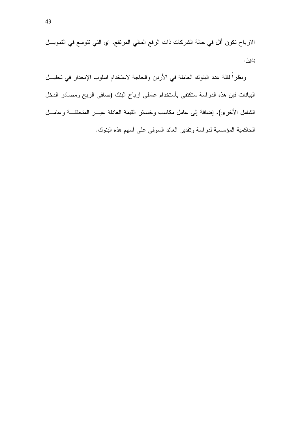الارباح نكون أقل في حالة الشركات ذات الرفع المالي المرتفع، اي التي نتوسع في التمويــل بدين.

ونظراً لقلة عدد البنوك العاملة في الأردن والحاجة لاستخدام اسلوب الإنحدار في تحليــل البيانات فإن هذه الدراسة ستكتفي بأستخدام عاملي ارباح البنك (صافي الربح ومصادر الدخل الشَّامل الأخرى)، إضافة إلى عامل مكاسب وخسائر القيمة العادلة غيــــر المتحقَّقـــة وعامــــل الحاكمية المؤسسية لدراسة ونقدير العائد السوقى على أسهم هذه البنوك.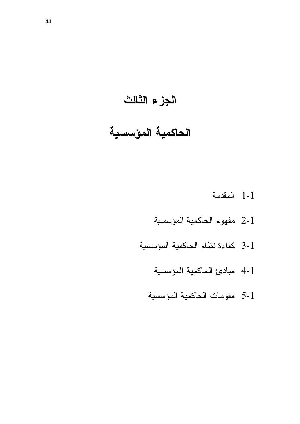## الجزء الثالث

## الحاكمية المؤسسية

- 1-1 المقدمة
- 2-1 مفهوم الحاكمية المؤسسية
- 3-1 كفاءة نظام الحاكمية المؤسسية
	- 4-1 مبادئ الحاكمية المؤسسية
	- 5-1 مقومات الحاكمية المؤسسية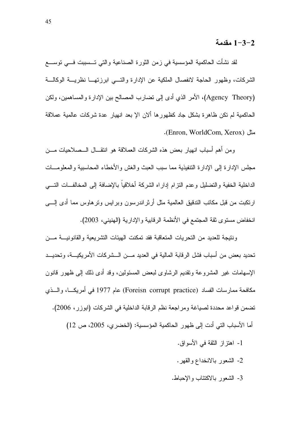#### 1−3−2 مقدمة

لقد نشأت الحاكمية المؤسسية في زمن الثورة الصناعية والتي تـــسببت فـــي توســــع الشركات، وظهور الحاجة لانفصال الملكية عن الإدارة والتسى ابرزتهــا نظريـــة الوكالـــة (Agency Theory)، الأمر الذي أدى إلى نضارب المصالح بين الإدارة والمساهمين، ولكن الحاكمية لم تكن ظاهرة بشكل جاد كظهورها ألان الإ بعد انهيار عدة شركات عالمية عملاقة مثل (Enron, WorldCom, Xerox).

ومن أهم أسباب انهيار بعض هذه الشركات العملاقة هو انتقـــال الـــصـلاحيات مــــن مجلس الإدارة إلى الإدارة التنفيذية مما سبب العبث والغش والأخطاء المحاسبية والمعلومسات الداخلية الخفية والنضليل وعدم النزام إداراه الشركة أخلاقياً بالإضافة إلى المخالفــات النــــي ارنكبت من قبل مكانب الندقيق العالمية مثل أرثر اندرسون وبرايس ونرهاوس مما أدى إلــــي انخفاض مستوى ثقة المجتمع في الأنظمة الرقابية والإدارية (الهنيني، 2003).

ونتيجة للعديد من التحريات المتعاقبة فقد تمكنت الهيئات التشريعية والقانونيسة مسن تحديد بعض من أسباب فشل الرقابة المالية في العديد مـــن الـــشركات الأمريكيـــة، وتحديـــد الإسهامات غير المشروعة وتقديم الرشاوي لبعض المسئولين، وقد أدى ذلك إلى ظهور قانون مكافحة ممارسات الفساد (Foreisn corrupt practice) عام 1977 في أمريكـــا، والـــذي تضمن قواعد محددة لصياغة ومراجعة نظم الرقابة الداخلية في الشركات (ابوزر ، 2006).

أما الأسباب التي أدت إلى ظهور الحاكمية المؤسسية: (الخضرى، 2005، ص 12)

- 1- اهتز از الثقة في الأسواق.
- 2- الشعور بالانخداع والقهر .
- 3- الشعور بالاكتئاب والإحباط.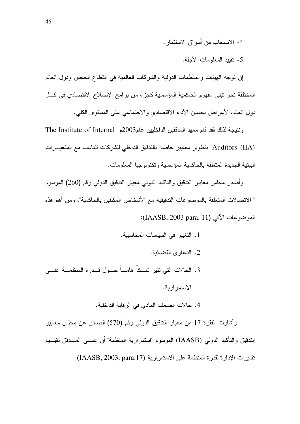4- الانسحاب من أسو اق الاستثمار .

5- نقييد المعلومات الأجلة.

إن نوجه الهيئات والمنظمات الدولية والشركات العالمية في القطاع الخاص ودول العالم المختلفة نحو تبني مفهوم الحاكمية المؤسسية كجزء من برامج الإصلاح الاقتصادي في كـــل دول العالم، لأغراض تحسين الأداء الاقتصادي والاجتماعي على المستوى الكلي.

ونتيجة لذلك فقد قام معهد المدققين الداخليين عام2003م The Institute of Internal Auditors (IIA) بتطوير معايير خاصة بالتدقيق الداخلي للشركات تتناسب مع المتغيـــرات البيئية الجديدة المتعلقة بالحاكمية المؤسسية وتكنولوجيا المعلومات.

وأصدر مجلس معابير التدقيق والتاكيد الدولي معيار الندقيق الدولي رقم (260) الموسوم " الاتصالات المتعلقة بالموضوعات التدقيقية مع الأشخاص المكلفين بالحاكمية"، ومن أهم هذه الموضوعات الآتي (IAASB, 2003 para. 11):

1. التغيير في السياسات المحاسبية. 2. الدعاوى القضائية. 3. الحالات التي تثير شــكا هامـــا حـــول قـــدرة المنظمـــة علــــي الاستمر اربة. 4. حالات الضعف المادي في الرقابة الداخلية.

وأشارت الفقرة 17 من معيار الندقيق الدولي رقم (570) الصـادر عن مـجلس معايير الندقيق والتأكيد الدولي (IAASB) الموسوم "استمرارية المنظمة" أن علـــى المـــدقق تقيـــيم تقدير ات الإدار ة لقدر ة المنظمة على الاستمر ارية (IAASB, 2003, para.17).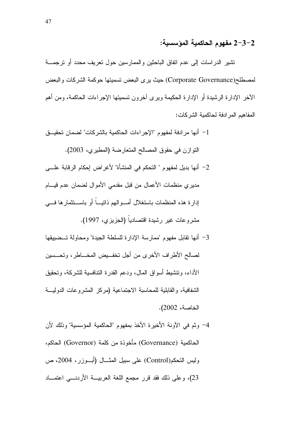#### 2–3−2 مفهوم الحاكمية المؤسسية:

تشير الدراسات إلى عدم اتفاق الباحثين والممارسين حول تعريف محدد أو نرجمـــة لمصطلح(Corporate Governance) حيث يرى البعض تسميتها حوكمة الشركات والبعض الأخر الإدارة الرشيدة أو الإدارة الحكيمة ويرى اخرون تسميتها الإجراءات الحاكمة، ومن أهم المفاهيم المر ادفة لحاكمية الشركات:

- 1− أنها مرادفة لمفهوم "الإجراءات الحاكمية بالشركات" لضمان تحقيــق النوازن في حقوق المصالح المتعارضة (المطيري، 2003). 2– أنها بديل لمفهوم " التحكم في المنشأة" لأغراض إحكام الرقابة علـــى مديري منظمات الأعمال من قبل مقدمي الأموال لضمان عدم قيــــام إدارة هذه المنظمات باستغلال أمـــوالـهم ذاتيـــا أو بـاســـتثمارها فــــي مشروعات غير رشيدة اقتصاديا (الجزيزي، 1997).
- 3– أنها نقابل مفهوم "ممارسة الإدارة للسلطة الجيدة" ومحاولة تــضييقها لصالح الأطراف الأخرى من أجل تخفـــيض المخـــاطر، وتحـــسين الأداء، وتتشيط أسواق المال، ودعم القدرة التنافسية للشركة، وتحقيق الشفافية، والقابلية للمحاسبة الاجتماعية (مركز المشروعات الدوليـــة الخاصة، 2002).
- 4– وثم في الأونة الأخيرة الأخذ بمفهوم "الحاكمية المؤسسية" وذلك لأن الحاكمية (Governance) مأخوذة من كلمة (Governor) الحاكم، وليس النحكم(Control) على سبيل المثـــال (أبـــوزر، 2004، ص 23)، وعلى ذلك فقد قرر مجمع اللغة العربيـــة الأردنــــي اعتمـــاد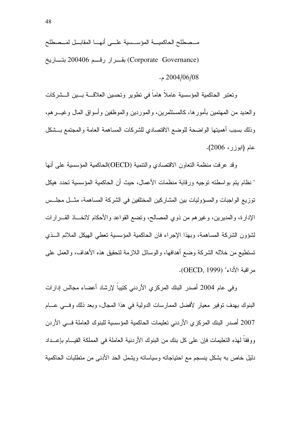مــصطلح الحاكميــــة المؤســـسية علــــى أنهــــا المقابـــل لمـــصطلح [ 200406 < (Corporate Governance)  $.2004/06/08$  م

وتعتبر الحاكمية المؤسسية عاملا هاما في تطوير وتحسين العلاقــــة بــــين الـــشركات والعديد من المهتمين بأمورها، كالمستثمرين، والموردين والموظفين وأسواق المال وغيـــرهم، وذلك بسبب أهميتها الواضحة للوضع الاقتصادي للشركات المساهمة العامة والمجتمع بـــشكل عام (ابوزر، 2006).

وقد عرفت منظمة التعاون الاقتصادي والنتمية (OECD)الحاكمية المؤسسية على أنها " نظام يتم بواسطته توجيه ورقابة منظمات الأعمال، حيث أن الحاكمية المؤسسية تحدد هيكل نوزيع الواجبات والمسؤوليات بين المشاركين المختلفين في الشركة المساهمة، مثـــل مجلـــس الإدارة، والمديرين، وغيرهم من ذوي المصالح، ونضع القواعد والأحكام لاتخـــاذ القــــرارات لشؤون الشركة المساهمة، وبهذا الإجراء فان الحاكمية المؤسسية تعطي الهيكل الملائم الـــذي نستطيع من خلاله الشركة وضـع أهدافـها، والوسائل اللازمة لنحقيق هذه الأهداف، والـعمل علـى مر اقبة الأداء" (OECD, 1999).

وفي عام 2004 أصدر البنك المركزي الأردني كنيبا لإرشاد أعضاء مجالس إدارات البنوك بهدف توفير معيار لأفضل الممارسات الدولية في هذا المجال، وبعد ذلك وفـــي عــــام 2007 أصدر البنك المركزي الأردني تعليمات الحاكمية المؤسسية للبنوك العاملة فــي الأردن ووفقا لـهذه التعليمات فإن علـى كل بنك من البنوك الأردنية العاملة فـي المملكة القيـــام بـإعـــداد دليل خاص به بشكل بنسجم مع احتياجاته وسياساته وبشمل الحد الأدنى من متطلبات الحاكمية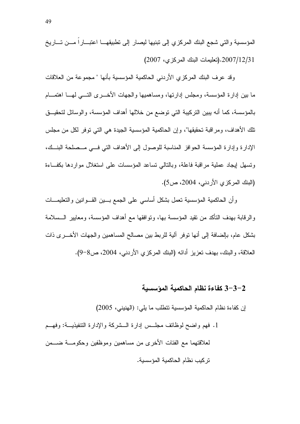المؤسسية والتي شجع البنك المركزي إلى تبنيها ليصار إلى نطبيقهـــا اعتبـــاراً مـــن تــــاريخ 2007/12/31.(تعليمات البنك المركزي، 2007)

وقد عرف البنك المركزي الأردني الحاكمية المؤسسية بأنها " مجموعة من العلاقات ما بين إدارة المؤسسة، ومجلس إدارتها، ومساهميها والجهات الأخــــري التــــي لمهــــا اهتمــــام بالمؤسسة، كما أنه يبين النركيبة التي نوضع من خلالها أهداف المؤسسة، والوسائل لتحقيـــق تلك الأهداف، ومر اقبة تحقيقها"، و إن الحاكمية المؤسسية الجيدة هي التي توفر لكل من مجلس الإدارة وإدارة المؤسسة الحوافز المناسبة للوصول إلى الأهداف التي فسي مــصلحة البنــك، وتسهل ليجاد عملية مراقبة فاعلة، وبالتالي تساعد المؤسسات على استغلال مواردها بكفاءة (البنك المركزي الأردني، 2004، ص5).

وأن الحاكمية المؤسسية تعمل بشكل أساسي على الجمع بسين القسوانين والتعليمسات والرقابة بهدف التأكد من تقيد المؤسسة بها، وتوافقها مع أهداف المؤسسة، ومعايير الــسلامة بشكل عام، بالضافة إلى أنها نوفر آلية للربط بين مصالح المساهمين والجهات الأخـــرى ذات العلاقة، والبنك، بهدف تعزيز أدائه (البنك المركزي الأردنبي، 2004، ص8–9).

#### 3–3–3 كفاءة نظام الحاكمية المؤسسية

إن كفاءة نظام الحاكمية المؤسسية نتطلب ما يلي: (الهنيني، 2005)

1. فهم واضح لوظائف مجلَّــس إدارة الـــشركة والإدارة التنفيذيـــة: وفهـــم لعلاقتهما مع الفئات الأخرى من مساهمين وموظفين وحكومـــة ضــــمن تر كبب نظام الحاكمبة المؤسسبة.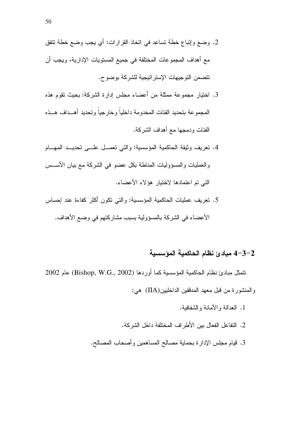- 2. وضع وإنباع خطة تساعد في اتخاذ القرارات: أي يجب وضع خطة تتفق مع أهداف المجموعات المختلفة في جميع المستويات الإدارية، ويجب أن تتضمن التوجيهات الإستر اتيجية للشركة بوضوح.
- 3. اختيار مجموعة ممثلة من أعضاء مجلس إدارة الشركة: بحيث تقوم هذه المجموعة بتحديد الفئات المخدومة داخلياً وخارجياً وتحديد أهسداف هسذه الفئات ودمجها مع أهداف الشركة.
- 4. نعريف وثيقة الحاكمية المؤسسية: والتي نعمـــل علـــي نحديـــد المهـــام والعمليات والمسؤوليات المناطة بكل عضو في الشركة مع بيان الأســس التي تم اعتمادها لاختيار هؤلاء الأعضاء.
- 5. نعريف عمليات الحاكمية المؤسسية: والتي نكون أكثر كفاءة عند إحساس الأعضاء في الشركة بالمسؤولية بسبب مشاركتهم في وضع الأهداف.

#### 4-3-2 مبادئ نظام الحاكمية المؤسسية

تتمثّل مبادئ نظام الحاكمية المؤسسية كما أوردها (Bishop, W.G., 2002) عام 2002 والمنشورة من قبل معهد المدفقين الداخليين(IIA) هي:

- 1. العدالة والأمانة والشفافية.
- 2. النفاعل الفعال بين الأطراف المختلفة داخل الشركة.
- 3. فيام مجلس الإدارة بحماية مصالح المساهمين وأصحاب المصالح.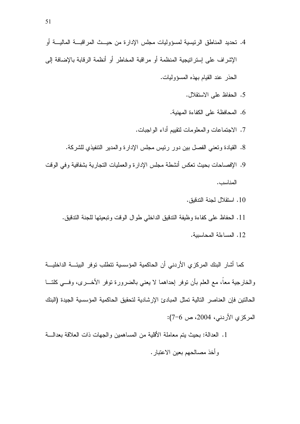- 4. تحديد المناطق الرئيسية لمسؤوليات مجلس الإدارة من حيــث المراقبـــة الماليـــة أو الإشر اف على إستر اتبجبة المنظمة أو مر اقبة المخاطر أو أنظمة الرقابة بالإضافة إلى الحذر عند القيام بهذه المسؤوليات.
	- 5. الحفاظ على الاستقلال.
	- 6. المحافظة على الكفاءة المهنية.
	- 7. الاجتماعات والمعلومات لتقييم أداء الواجبات.
	- 8. القيادة وتعني الفصل بين دور رئيس مجلس الإدارة والمدير التنفيذي للشركة.
- 9. الإفصاحات بحيث تعكس أنشطة مجلس الإدار ة و العمليات التجار ية بشفافية و في الوقت المناسب.
	- 10 . استقلال لجنة التدقيق.
	- 11. الحفاظ على كفاءة وظيفة الندقيق الداخلي طوال الوقت وتبعيتها للجنة الندقيق.
		- 12. المساءلة المحاسبية.

كما أشار البنك المركزى الأردني أن الحاكمية المؤسسية نتطلب توفر البيئـــة الداخليـــة والخارجية معا، مع العلم بأن نوفر إحداهما لا يعني بالضرورة نوفر الأخـــري، وفـــي كلتـــا الحالتين فإن العناصر النالية تمثل المبادئ الإر شادية لتحقيق الحاكمية المؤسسية الجيدة (البنك المركزي الأردني، 2004، ص 6–7):

1. العدالة: بحيث بنم معاملة الأقلية من المساهمين والجهات ذات العلاقة بعدالــــة وأخذ مصالحهم بعين الاعتبار.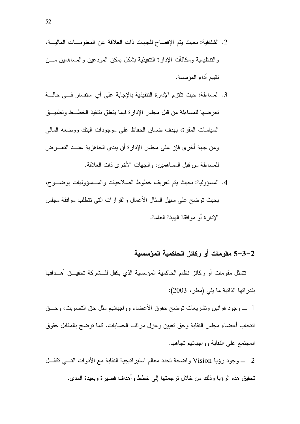- 2. الشفافية: بحيث يتم الإفصاح للجهات ذات العلاقة عن المعلومـات الماليــة، و التنظيمية و مكافآت الإدار ة التنفيذية بشكل بمكن المودعين و المساهمين مــــن تقييم أداء المؤسسة.
- 3. المساءلة: حيث نلتزم الإدارة التنفيذية بالإجابة على أي استفسار فـــي حالـــة تعرضها للمساءلة من قبل مجلس الإدارة فيما يتعلق بتتفيذ الخطـــط وتطبيـــق السياسات المقرة، بهدف ضمان الحفاظ على موجودات البنك ووضعه المالي ومن جهة أخرى فإن على مجلس الإدارة أن يبدي الجاهزية عنـــد النعــــرض للمساءلة من قبل المساهمين، والجهات الأخرى ذات العلاقة.
- 4. المسؤولية: بحيث يتم تعريف خطوط الصلاحيات والمسسؤوليات بوضــوح، بحيث نوضح على سبيل المثال الأعمال والقرارات التبي نتطلب موافقة مجلس الإدار ة أو مو افقة الهدئة العامة.

#### 2–3–5 مقومات أو ركائز الحاكمية المؤسسية

تتمثل مقومات أو ركائز نظام الحاكمية المؤسسية الذي يكفل للـــشركة تحقيـــق أهـــدافها بقدراتها الذاتية ما يلي (مطر، 2003):

1 \_ وجود قوانين وتشريعات توضح حقوق الأعضاء وواجباتهم مثل حق التصويت، وحـــق انتخاب أعضاء مجلس النقابة وحق نعيين وعزل مراقب الحسابات. كما نوضح بالمقابل حقوق المجتمع على النقابة وواجباتهم تجاهها.

2 ــــــــــوجود رؤيا Vision واضحة تحدد معالم استير اتيجية النقابة مع الأدوات التـــــي تكفــــل تحقيق هذه الرؤيا وذلك من خلال ترجمتها إلى خطط وأهداف قصيرة وبعيدة المدى.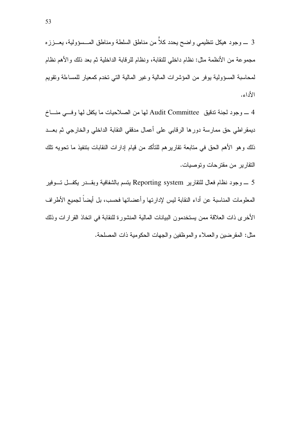3 \_ وجود هيكل نتظيمي واضح يحدد كلاَّ من مناطق السلطة ومناطق المـــسؤولية، يعـــززه مجموعة من الأنظمة مثل: نظام داخلي للنقابة، ونظام للرقابة الداخلية ثم بعد ذلك والأهم نظام لمحاسبة المسؤولية يوفر من المؤشرات المالية وغير المالية التي نخدم كمعيار للمساءلة ونقويم الأداء.

4 ـــ وجود لجنة تدقيق Audit Committee لها من الصلاحيات ما يكفل لها وفسى منساخ ديمقراطي حق ممارسة دورها الرقابي على أعمال مدققي النقابة الداخلي والخارجي ثم بعــد ذلك و هو الأهم الحق في متابعة تقارير هم للتأكد من قيام إدارات النقابات بتنفيذ ما تحويه تلك النقار بر من مقتر حات و توصيات.

5 ـــ وجود نظام فعال للنقارير Reporting system يتسم بالشفافية وبقـــدر يكفـــل تـــوفير المعلومات المناسبة عن أداء النقابة ليس لإدارتها وأعضائها فحسب، بل أيضا لجميع الأطراف الأخر ي ذات العلاقة ممن بستخدمون البيانات المالية المنشور ة للنقابة في اتخاذ القر ار ات وذلك مثل: المقرضين والعملاء والموظفين والجهات الحكومية ذات المصلحة.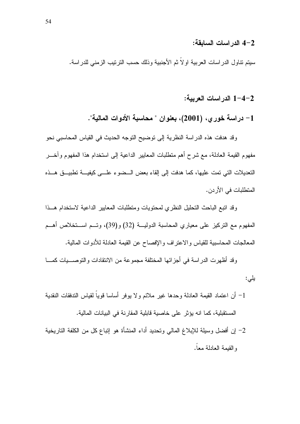#### 4–2 الدر اسات السابقة:

سيتم نتاول الدراسات العربية اولاً ثم الأجنبية وذلك حسب الترنيب الزمني للدراسة.

1-4-2 الدر اسات العربية:

1– دراسة خور ي، (2001)، بعنوان " محاسبة الأدوات المالية".

وقد هدفت هذه الدراسة النظرية إلى نوضيح النوجه الحديث في القياس المحاسبي نحو مفهوم القيمة العادلة، مع شرح أهم منطلبات المعايير الداعية إلى استخدام هذا المفهوم وأخـــر التعديلات التي تمت عليها، كما هدفت إلى إلقاء بعض السضوء علـــي كيفيـــة تطبيـــق هـــذه المتطلبات في الأر دن.

وقد انبع الباحث التحليل النظرى لمحتويات ومتطلبات المعابير الداعية لاستخدام هــذا المفهوم مع التركيز على معياري المحاسبة الدوليـــة (32) و(39)، وتـــم اســـتخلاص أهـــم المعالجات المحاسبية للقياس والاعتراف والإفصاح عن القيمة العادلة للأدوات المالية.

وقد أظهرت الدر اسة في أجز ائها المختلفة مجموعة من الانتقادات والتوصــــيات كمـــا يلي:

1– أن اعتماد القيمة العادلة وحدها غير ملائم ولا يوفر أساسا قوياً لقياس التدفقات النقدية المستقبلية، كما انه يؤثِّر على خاصية قابلية المقارنة في البيانات المالية. 2– إن أفضل وسيلة للإبلاغ المالي وتحديد أداء المنشأة هو إتباع كل من الكلفة التاريخية والقبمة العادلة معا.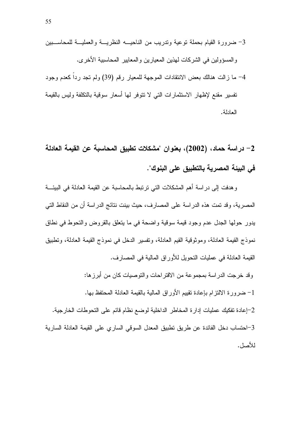2– دراسة حماد، (2002)، بعنوان "مشكلات تطبيق المحاسبة عن القيمة العادلة في البيئة المصرية بالتطبيق على البنوك".

و هدفت إلى در اسة أهم المشكلات التي ترتبط بالمحاسبة عن القيمة العادلة في البيئة المصرية، وقد تمت هذه الدراسة على المصارف، حيث بينت نتائج الدراسة أن من النقاط التي يدور حولها الجدل عدم وجود قيمة سوقية واضحة في ما يتعلق بالقروض والتحوط في نطاق نموذج القيمة العادلة، وموثوقية القيم العادلة، وتفسير الدخل في نموذج القيمة العادلة، وتطبيق القيمة العادلة في عمليات النحويل للأوراق المالية في المصار ف.

وقد خرجت الدراسة بمجموعة من الاقتراحات والتوصيات كان من أبرزها: 1– ضرورة الالتزام بإعادة تقييم الأوراق المالية بالقيمة العادلة المحتفظ بها. 2-إعادة تفكيك عمليات إدارة المخاطر الداخلية لوضع نظام فائم على التحوطات الخارجية. 3–احتساب دخل الفائدة عن طريق تطبيق المعدل السوقي السارى على القيمة العادلة السارية

للأصل.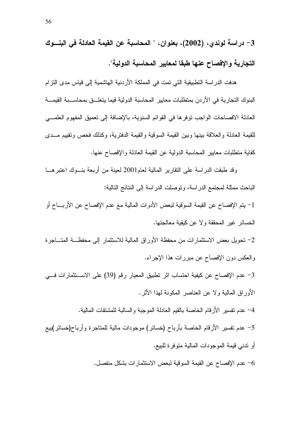3– دراسة لوندي، (2002)، بعنوان، " المحاسبة عن القيمة العادلة في البنسوك التجارية و الافصاح عنها طبقا لمعايير المحاسبة الدولية".

هدفت الدر اسة التطبيقية التي تمت في المملكة الأردنية الهاشمية إلى قياس مدى التزام البنوك التجارية في الأردن بمنطلبات معايير المحاسبة الدولية فيما يتعلـــق بمحاســـبة القيمــــة العادلة الافصاحات الواجب توفرها في القوائم السنوية، بالإضافة إلى تعميق المفهوم العلمـــي للقيمة العادلة والعلاقة بينها وبين القيمة السوقية والقيمة الدفترية، وكذلك فحص وتقييم مــدى كفاية منطلبات معابير المحاسبة الدولية عن القيمة العادلة والإفصاح عنها.

وقد طبقت الدر اسة على التقارير المالية لعام2001 لعينة من أربعة بنـــوك اعتبر هـــا الباحث ممثلة لمجتمع الدراسة، وتوصلت الدراسة إلى النتائج التالية:

1– يتم الإفصاح عن القيمة السوقية لبعض الأدوات المالية مع عدم الإفصاح عن الأربـــاح أو الخسائر غير المحققة ولا عن كيفية معالجتها.

2– تحويل بعض الاستثمار ات من محفظة الأور اق المالية للاستثمار الى محفظـــة المتـــاجر ة والعكس دون الإفصاح عن مبررات هذا الإجراء.

3– عدم الإفصاح عن كيفية احتساب اثر تطبيق المعيار رقم (39) على الاســـتثمارات فـــي الأوراق المالية ولا عن العناصر المكونة لهذا الأثر.

4– عدم تفسير الأرقام الخاصة بالقيم العادلة الموجبة والسالبة للمشتقات المالية.

5– عدم تفسير الأرقام الخاصة بأرباح (خسائر ) موجودات مالية للمتاجر ة وأرباح(خسائر )بيع أو ندني قيمة المو جو دات المالية منو فر ۃ للبيع.

حدم الإفصاح عن القيمة السوقية لبعض الاستثمارات بشكل منفصل.  $\sim$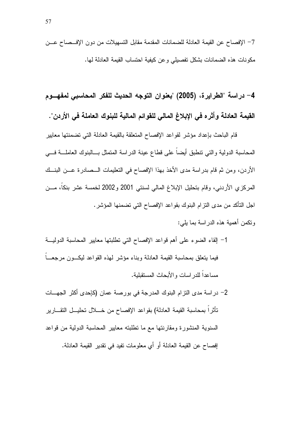4– در اسة "الطرايرة، (2005) "بعنوان التوجه الحديث للفكر المحاسبي لمفهـــوم القيمة العادلة وأثر ه في الإبلاغ المالي للقوائم المالية للبنوك العاملة في الأردن".

قام الباحث بإعداد مؤشر لقواعد الإفصاح المتعلقة بالقيمة العادلة التي تضمنتها معايير المحاسبة الدولية والنبي نتطبق أيضاً على قطاع عينة الدراسة المتمثل بـــالبنوك العاملــــة فــــي الأردن، ومن ثم قام بدراسة مدى الأخذ بهذا الإفصاح في التعليمات الـــصادرة عـــن البنـــك المركزي الأردني، وقام بتحليل الإبلاغ المالي لسنتي 2001 و2002 لخمسة عشر بنكاً، مـــن اجل التأكد من مدى النزام البنوك بقواعد الإفصاح التي نضمنها المؤشر .

- وتكمن أهمية هذه الدر اسة بما يلي:
- 1– إلقاء الضوء على أهم قواعد الإفصاح التي تطلبتها معابير المحاسبة الدوليـــة فيما يتعلق بمحاسبة القيمة العادلة وبناء مؤشر لمهذه القواعد ليكسون مرجعسا مساعداً للدر اسات والأبحاث المستقبلية.
- 2– در اسة مدى التزام البنوك المدرجة في بورصة عمان (كإحدى أكثر الجهـــات تأثراً بمحاسبة القيمة العادلة) بقواعد الإفصاح من خــــلل تحليـــل التقــــارير السنوية المنشورة ومقارنتها مع ما نطلبته معايير المحاسبة الدولية من قواعد إفصاح عن القيمة العادلة أو أي معلومات تفيد في تقدير القيمة العادلة.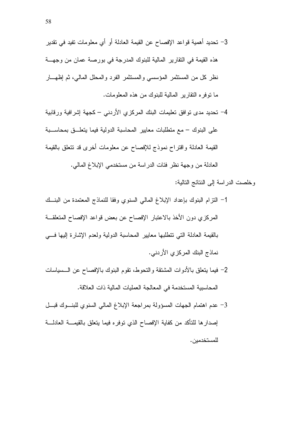- 3– تحديد أهمية قواعد الإفصاح عن القيمة العادلة أو أي معلومات تفيد في تقدير هذه القيمة في التقارير المالية للبنوك المدرجة في بورصة عمان من وجهـــة نظر كل من المستثمر المؤسسي والمستثمر الفرد والمحلل المالي، ثم إظهـــار ما نوفره النقارير المالية للبنوك من هذه المعلومات.
- 4– تحديد مدى نوافق نعليمات البنك المركزي الأردنبي كجهة إشرافية ورقابية على البنوك – مع منطلبات معايير المحاسبة الدولية فيما يتعلـــق بمحاســــبة القيمة العادلة واقتراح نموذج للإفصاح عن معلومات أخرى قد نتعلق بالقيمة العادلة من وجهة نظر فئات الدراسة من مستخدمي الإبلاغ المالي.

وخلصت الدر اسة إلى النتائج التالية:

- 1– النزام البنوك بإعداد الإبلاغ المالي السنوى وفقا للنماذج المعتمدة من البنسك المركزي دون الأخذ بالاعتبار الإفصاح عن بعض قواعد الإفصاح المتعلقة بالقيمة العادلة التي نتطلبها معايير المحاسبة الدولية ولعدم الإشارة إليها فسي نماذج البنك المركزي الأردني.
- 2– فيما بتعلق بالأدوات المشتقة والتحوط، تقوم البنوك بالإفصاح عن السسياسات المحاسبية المستخدمة في المعالجة العمليات المالية ذات العلاقة.
- 3- عدم اهتمام الجهات المسؤولة بمر اجعة الإبلاغ المالي السنوى للبنوك فبل إصدار ها للتأكد من كفاية الإفصاح الذي نوفر ه فيما يتعلق بالقيمـــة العادلـــة للمستخدمبن.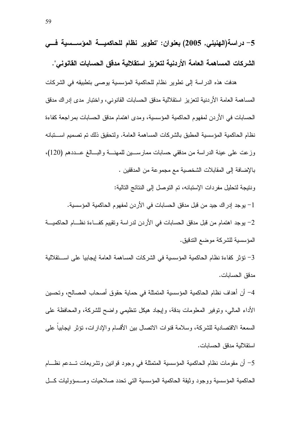هدفت هذه الدراسة إلى نطوير نظام للحاكمية المؤسسية يوصبي بتطبيقه في الشركات المساهمة العامة الأردنية لتعزيز استقلالية مدقق الحسابات القانوني، واختبار مدى إدراك مدقق الحسابات في الأردن لمفهوم الحاكمية المؤسسية، ومدى اهتمام مدقق الحسابات بمراجعة كفاءة نظام الحاكمية المؤسسية المطبق بالشركات المساهمة العامة. ولتحقيق ذلك تم تصميم اســـتبانه وزعت على عينة الدراسة من مدققي حسابات ممارســين للمهنـــة والبـــالـغ عـــددهم (120)، بالإضافة إلى المقابلات الشخصية مع مجموعة من المدققين . ونتيجة لتحليل مفردات الإستبانه، تم التوصل إلى النتائج التالية: 1– يوجد إدر اك جيد من قبل مدقق الحسابات في الأردن لمفهو م الحاكمية المؤسسية.

2– يوجد اهتمام من قبل مدقق الحسابات في الأردن لدراسة وتقييم كفـــاءة نظـــام الحاكميــــة المؤسسية للشركة موضع التدقيق.

3– تؤثِّر كفاءة نظام الحاكمية المؤسسية في الشركات المساهمة العامة إيجابيا على اســـتقلالية مدقق الحسابات.

4– أن أهداف نظام الحاكمية المؤسسية المتمثلة في حماية حقوق أصحاب المصالح، وتحسين الأداء المالي، ونوفير المعلومات بدقة، وإيجاد هيكل نتظيمي واضح للشركة، والمحافظة على السمعة الاقتصادية للشركة، وسلامة قنوات الاتصال بين الأقسام والإدار ات، تؤثر ايجابيا على استقلالية مدقق الحسابات.

5– أن مقومات نظام الحاكمية المؤسسية المتمثلة في وجود قوانين ونتثىريعات تـــدعم نظــــام الحاكمية المؤسسية ووجود وثيقة الحاكمية المؤسسية التي تحدد صلاحيات ومــسؤوليات كـــل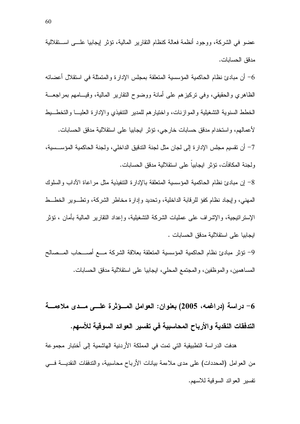عضو في الشركة، ووجود أنظمة فعالة كنظام النقارير المالية، تؤثِّر إيجابيا علـــي اســـتقلالية مدقق الحسابات.

أن مبادئ نظام الحاكمية المؤسسية المتعلقة بمجلس الإدارة والمتمثلة في استقلال أعضائه  $\rm 6$ الظاهري والحقيقي، وفي نركيزِهم على أمانـة ووضوح النقارير المالية، وقيـــامـهم بمراجعـــة الخطط السنوية التشغيلية والموازنات، واختيارهم للمدير التنفيذي والإدارة العليسا والتخطسيط لأعمالهم، واستخدام مدفق حسابات خارجي، نؤثر ابجابيا على استقلالية مدفق الحسابات. 7– أن نقسيم مجلس الإدار ة إلى لجان مثل لجنة الندقيق الداخلي، ولجنة الحاكمية المؤســسية، ولجنة المكافآت، تؤثر ابجابيا على استقلالية مدقق الحسابات.

8– إن مبادئ نظام الحاكمية المؤسسية المتعلقة بالإدار ة التنفيذية مثل مراعاة الآداب والسلوك المهنى، وإيجاد نظام كفؤ للرقابة الداخلية، وتحديد وإدارة مخاطر الشركة، ونطـــوير الخطـــط الإستر اتبجية، و الإشر اف على عمليات الشركة التشغيلية، وإعداد النقار بر المالية بأمان ، تؤثر ايجابيا على استقلالية مدقق الحسابات .

9- نؤثر مبادئ نظام الحاكمية المؤسسية المتعلقة بعلاقة الشركة مسع أصسحاب المسصالح المساهمين، والموظفين، والمجتمع المحلي، ايجابيا على استقلالية مدقق الحسابات.

6– دراسة (دراغمه، 2005) بعنوان: العوامل المسؤثرة علـــي مـــدى ملاءمــــة التدفقات النقدية والأرباح المحاسبية في تفسير العوائد السوقية للأسهم.

هدفت الدر اسة التطبيقية التي تمت في المملكة الأر دنية الهاشمية إلى أختبار مجموعة من العوامل (المحددات) على مدى ملاءمة بيانات الأرباح محاسبية، والتدفقات النقديـــة فــــى نفسير العوائد السوقية للاسهم.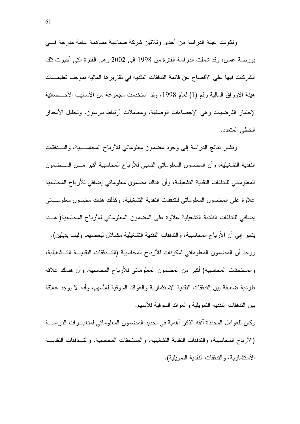ونكونت عينة الدراسة من أحدى وثلاثين شركة صناعية مساهمة عامة مدرجة فسي بورصة عمان، وقد شملت الدراسة الفترة من 1998 إلى 2002 وهي الفترة التي أجبرت نلك الشركات فيها على الأفصاح عن قائمة التدفقات النقدية في تقارير ها المالية بموجب تعليمـــات هيئة الأوراق المالية رقم (1) لعام 1998، وقد استخدمت مجموعة من الأساليب الأحـــصـائية لإختبار الفرضيات وهي الإحصاءات الوصفية، ومعاملات أرتباط بيرسون، وتحليل الأنحدار الخطي المتعدد.

ونتثبير نتائج الدراسة إلى وجود مضمون معلوماتي للأرباح المحاســبية، والتـــدفقات النقدية التشغيلية، وأن المضمون المعلوماتي النسبي للأرباح المحاسبية أكبر مـــن المـــضمون المعلوماتي للتدفقات النقدية التشغيلية، وأن هناك مضمون معلوماتي إضافي للأرباح المحاسبية علاوة على المضمون المعلوماتي للتدفقات النقدية التشغيلية، وكذلك هناك مضمون معلومـــاتي إضافي للتدفقات النقدية التشغيلية علاوة على المضمون المعلوماتي للأرباح المحاسبية( هــذا يشير إلى أن الأرباح المحاسبية، والتدفقات النقدية التشغيلية مكملان لبعضهما وليسا بديلين). ووجد أن المضمون المعلوماتي لمكونات للأرباح المحاسبية (التـــدفقات النقديــــة التـــشغيلية، و المستحقات المحاسبية) أكبر ٍ من المضمون المعلوماتي للأرباح المحاسبية. و أن هنالك علاقة طردية ضعيفة بين التدفقات النقدية الاستثمارية والعوائد السوقية للأسهم، وأنه لا يوجد علاقة ببن التدفقات النقدبة التمو بلبة و العو ائد السو قبة للأسهم.

وكان للعو امل المحددة آنفه الذكر أهمية في تحديد المضمون المعلوماتي لمتغيـــر ات الدر اســــة (الأر باح المحاسبية، والندفقات النقدية التشغيلية، والمستحقات المحاسبية، والتسدفقات النقديسة الأستثمارية، والندفقات النقدية النمويلية).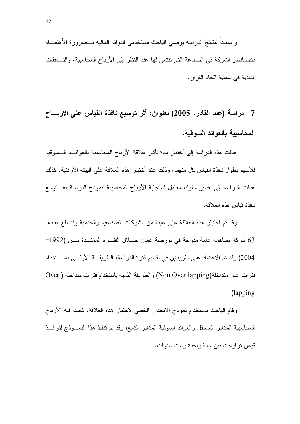واسنتاداً لننتائج الدراسة بوصىي الباحث مستخدمي القوائم المالية بــضرورة الأهتمـــام بخصائص الشركة في الصناعة التي تتتمي لها عند النظر إلى الأرباح المحاسبية، والتــدفقات النقدية في عملية اتخاذ القر ار .

7– دراسة (عبد القادر ، 2005) بعنوان: أثر توسيع نافذة القياس على الأربـــاح المحاسبية بالعوائد السوقية.

هدفت هذه الدراسة إلى أختبار مدة تأثير علاقة الأرباح المحاسبية بالعوائــد الــسوفية للأسهم بطول نافذة القياس كل منهما، وذلك عند أختبار ٍ هذه العلاقة على البيئة الأردنية. كذلك هدفت الدراسة إلى نفسير سلوك معامل استجابة الأرباح المحاسبية لنموذج الدراسة عند نوسع نافذة قباس هذه العلاقة.

وقد تم اختبار هذه العلاقة على عينة من الشركات الصناعية والخدمية وقد بلغ عددها 63 شركة مساهمة عامة مدرجة في بورصة عمان خـــلال الفتـــرة الممتـــدة مـــن (1992– 2004).وقد تم الاعتماد على طريقتين في تقسيم فترة الدراسة، الطريقــــة الأولــــي بـاســـتخدام فترات غير متداخلة(Non Over lapping) والطريقة الثانية باستخدام فترات متداخلة ( Over .(lapping)

وقام الباحث باستخدام نموذج الانحدار الخطى لاختبار هذه العلاقة، كانت فيه الأرباح المحاسبية المتغير المستقل والعوائد السوقية المتغير التابع، وقد تم تتفيذ هذا النمــوذج لنوافــذ قياس تر او حت بين سنة و احدة وست سنو ات.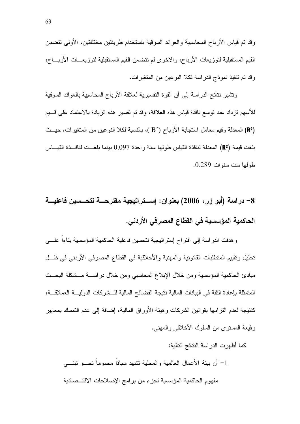وقد تم قياس الأرباح المحاسبية والعوائد السوقية باستخدام طريقتين مختلفتين، الأولى نتضمن القيم المستقبلية لتوزيعات الأرباح، والاخرى لم تتضمن القيم المستقبلية لتوزيعـــات الأربــــاح، وقد تم نتفيذ نموذج الدراسة لكلا النوعين من المتغيرات.

ونتثنير نتائج الدراسة إلى أن القوة التفسيرية لعلاقة الأرباح المحاسبية بالعوائد السوقية للأسهم نزداد عند نوسع نافذة قياس هذه العلاقة، وقد نم نفسير ٍ هذه الزيادة بالاعتماد على قسيم (R2) المعدلة وقيم معامل استجابة الأرباح (^B )، بالنسبة لكلا النوعين من المتغير ات، حيــث بلغت قيمة (R°) المعدلة لنافذة القياس طولها سنة واحدة 0.097 بينما بلغــت لنافــذة القيـــاس طولها ست سنوات 0.289.

8– دراسة (أبو زر، 2006) بعنوان: إســـتراتيجية مقترحـــة لتحـــسين فاعليـــة الحاكمية المؤسسية في القطاع المصرفي الأردني.

وهدفت الدراسة إلى اقتراح إستراتيجية لتحسين فاعلية الحاكمية المؤسسية بناءاً علـــي تحليل وتقييم المتطلبات القانونية والمهنية والأخلاقية في القطاع المصرفي الأردني في ظــل مبادئ الحاكمية المؤسسية ومن خلال الإبلاغ المحاسبي ومن خلال دراســـة مـــشكلة البحــث المتمثلة بإعادة الثقة في البيانات المالية نتيجة الفضائح المالية للـــشركات الدوليــــة العملاقــــة، كنتيجة لعدم النز امها بقوانين الشركات وهيئة الأوراق المالية، إضافة إلى عدم النمسك بمعايير رِ فِيعةِ المسنوِّي من السلوكِ الأخلاقي والمهنى.

كما أظهرت الدر اسة النتائج التالية:

1– أن بيئة الأعمال العالمية والمحلية تشهد سباقاً محموماً نحـــو تبنــــى مفهوم الحاكمية المؤسسية لجزء من برامج الإصلاحات الاقتــصادية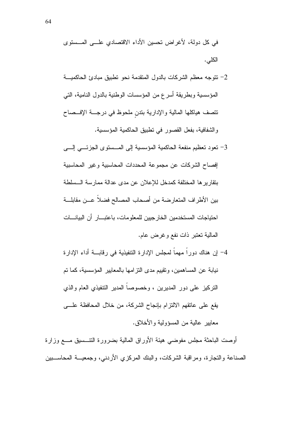- 2– نتوجه معظم الشركات بالدول المتقدمة نحو نطبيق مبادئ الحاكميـــة المؤسسية وبطريقة أسرع من المؤسسات الوطنية بالدول النامية، التي نتصف هياكلها المالية والإدارية بندن ملحوظ في درجـــة الإفـــصـاح والشفافية، بفعل القصور في نطبيق الحاكمية المؤسسية.
- 3– تعود تعظيم منفعة الحاكمية المؤسسية إلى المسستوى الجزئسي إلسي إفصاح الشركات عن مجموعة المحددات المحاسبية وغير المحاسبية بتقارير ها المختلفة كمدخل للإعلان عن مدى عدالة ممارسة السلطة بين الأطراف المتعارضة من أصحاب المصالح فضلا عــن مقابلـــة احتباجات المستخدمين الخار جبين للمعلومات، باعتبـــار أن الببانـــات المالية تعتبر ذات نفع وغرض عام.
- 4– إن هناك دوراً مهماً لمجلس الإدارة التنفيذية في رقابـــة أداء الإدارة نيابة عن المساهمين، وتقييم مدى النز امها بالمعايير المؤسسية، كما تم النركيز على دور المديرين ، وخصوصاً المدير النتفيذي العام والذي يقع على عاتقهم الالتزام بإنجاح الشركة، من خلال المحافظة علـــى معابير عالية من المسؤولية والأخلاق.

أوصت الباحثة مجلس مفوضبي هيئة الأوراق المالية بضرورة النتــسيق مـــع وزارة الصناعة والنجارة، ومراقبة الشركات، والبنك المركزي الأردنبي، وجمعيـــة المحاســـبين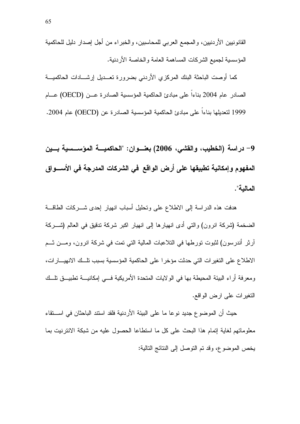القانونيين الأردنيين، والمجمع العربي للمحاسبين، والخبراء من أجل إصدار دليل للحاكمية المؤسسية لجميع الشركات المساهمة العامة والخاصة الأردنية.

كما أوصت الباحثة البنك المركزي الأردني بضرورة نعــديل إرشـــادات الحاكميـــة الصادر عام 2004 بناءا على مبادئ الحاكمية المؤسسية الصادرة عـــن (OECD) عـــام 1999 لتعديلها بناءا على مبادئ الحاكمية المؤسسية الصادرة عن (OECD) عام 2004.

9– دراسة (الخطيب، والقشى، 2006) بعنـــوان: "الحاكميــــة المؤســــسية بــــين المفهوم وإمكانية تطبيقها على أرض الواقع في الشركات المدرجة في الأســـواق المالية".

هدفت هذه الدراسة إلى الاطلاع على وتحليل أسباب انهيار إحدى شـــركات الطاقـــة الضخمة (شركة انرون) والتي أدى انهيارها إلى انهيار اكبر شركة تدقيق في العالم (شـــركة آرِثرِ أندرسون) لثبوت تورطها في التلاعبات المالية التي تمت في شركة انرون، ومـــن ثـــم الاطلاع على التغيرات التي حدثت مؤخرا على الحاكمية المؤسسية بسبب تلك الانهيارات، ومعرفة أراء البيئة المحيطة بها في الولايات المتحدة الأمريكية فسي إمكانيـــة تطبيـــق نلـــك التغير ات علمي ارض الواقع.

حيث أن الموضوع جديد نوعا ما على البيئة الأردنية فلقد استند الباحثان في اســـتقاء معلوماتهم لغاية إتمام هذا البحث على كل ما استطاعا الحصول عليه من شبكة الانترنيت بما يخص الموضوع، وقد تم التوصل إلى النتائج التالية: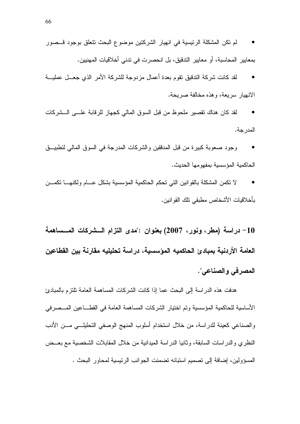- لقد كانت شركة التدقيق نقوم بعدة أعمال مزدوجة للشركة الأمر الذي جعـــل عمليـــة الانهيار سريعة، وهذه مخالفة صريحة.
- لقد كان هناك تقصير ملحوظ من قبل السوق المالي كجهاز للرقابة علـــي الـــشركات  $\bullet$ المدر جة.
- وجود صعوبة كبيرة من قبل المدققين والشركات المدرجة في السوق المالي لنطبيــق الحاكمية المؤسسية بمفهومها الحديث.
- لا نكمن المشكلة بالقوانين التي تحكم الحاكمية المؤسسية بشكل عسام ولكنهسا نكمسن بأخلاقيات الأشخاص مطبقي نلك القوانين.

10– دراسة (مطر، ونور، 2007) بعنوان :"مدى التزام الــــشركات المــــساهمة العامة الأردنية بمبادئ الحاكميه المؤسسية، دراسة تحليليه مقارنة بين القطاعين المصرفي والصناعي".

هدفت هذه الدراسة إلى البحث عما إذا كانت الشركات المساهمة العامة تلتزم بالمبادئ الأساسية للحاكمية المؤسسية وتم اختيار الشركات المساهمة العامة في القطـــاعين المـــصرفي والصناعي كعينة للدراسة، من خلال استخدام أسلوب المنهج الوصفي التحليلـــي مـــن الأدب النظري والدر اسات السابقة، وثانيا الدراسة الميدانية من خلال المقابلات الشخصية مع بعــض المسؤولين، إضافة إلى تصميم استبانه تضمنت الجوانب الرئيسية لمحاور البحث .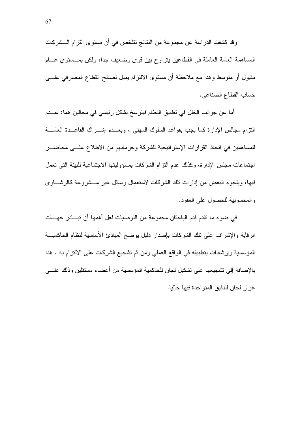وقد كشفت الدراسة عن مجموعة من النتائج نتلخص في أن مستوى التزام الـــشركات المساهمة العامة العاملة في القطاعين بتراوح بين قوى وضعيف جدا، ولكن بمــستوى عـــام مقبول أو منوسط وهذا مع ملاحظة أن مستوى الالتزام بميل لصالح القطاع المصرفي علسى حساب القطاع الصناعي.

أما عن جوانب الخلل في تطبيق النظام فيترسخ بشكل رئيسي في مجالين هما: عـــدم النَّزام مجالس الإدارة كما يجب بقواعد السلوك المهنى ، وبعــدم إشـــراك القاعــدة العامـــة للمساهمين في اتخاذ القرارات الإستراتيجية للشركة وحرمانهم من الاطلاع علـــي محاضـــر اجتماعات مجلس الإدارة، وكذلك عدم النزام الشركات بمسؤوليتها الاجتماعية للبيئة التي تعمل فيها، وبلجوء البعض من إدارات نلك الشركات لاستعمال وسائل غير مسشروعة كالرشساوي والمحسوبية للحصول على العقود.

في ضوء ما نقدم قدم الباحثان مجموعة من النوصيات لعل أهمها أن نبـــادر جهـــات الرقابة والإشراف على نلك الشركات بإصدار دليل يوضح المبادئ الأساسية لنظام الحاكميـــة المؤسسية وإرشادات بتطبيقه في الواقع العملي ومن ثم تشجيع الشركات على الالتزام به . هذا بالإضافة إلى تشجيعها على تشكيل لجان للحاكمية المؤسسية من أعضاء مستقلين وذلك علـــى غرار لجان لندفيق المتواجدة فيها حاليا.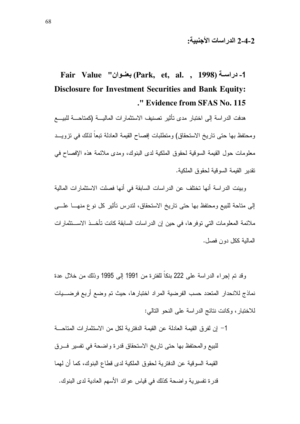# Fair Value "بعنوان") (Park, et, al. , 1998). **Disclosure for Investment Securities and Bank Equity:** ." Evidence from SFAS No. 115

هدفت الدراسة إلى اختبار مدى تأثير تصنيف الاستثمارات الماليسة (كمتاحسة للبيسع ومحتفظ بها حتى تاريخ الاستحقاق) ومتطلبات إفصاح القيمة العادلة تبعاً لذلك في تزويــد معلومات حول القيمة السوقية لحقوق الملكية لدى البنوك، ومدى ملائمة هذه الإفصاح في نقدبر القبمة السوقبة لحقوق الملكبة.

وبينت الدراسة أنها تختلف عن الدراسات السابقة في أنها فصلت الاستثمارات المالية إلى مناحة للبيع ومحتفظ بها حتى ناريخ الاستحقاق، لندرس نأثير كل نوع منهـــا علــــى ملائمة المعلومات التي توفر ها، في حين إن الدراسات السابقة كانت تأخــذ الاســـنثمارات المالية ككل دون فصل.

وقد تم إجراء الدراسة على 222 بنكاً للفترة من 1991 إلى 1995 وذلك من خلال عدة نماذج للانحدار المتعدد حسب الفرضية المراد اختبارها، حيث تم وضع أربع فرضــــيات للاختبار ، وكانت نتائج الدر اسة على النحو التالي:

1– إن لفرق القيمة العادلة عن القيمة الدفترية لكل من الاستثمارات المتاحــــة للبيع والمحتفظ بها حتى تاريخ الاستحقاق قدرة واضحة في تفسير فسرق القيمة السوقية عن الدفترية لحقوق الملكية لدى قطاع البنوك، كما أن لهما قدرة تفسيرية واضحة كذلك في قياس عوائد الأسهم العادية لدى البنوك.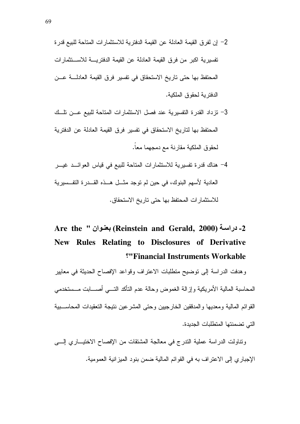- 2– إن لفر ق القيمة العادلة عن القيمة الدفتر ية للاستثمار ات المتاحة للبيع قدر ة تفسير بـة اكبر من فر ق القيمة العادلة عن القيمة الدفتر بـــة للاســـتثمار ات المحتفظ بها حتى تاريخ الاستحقاق في تفسير فرق القيمة العادلـــة عـــن الدفتر بـة لـحقوق الملكبة.
- 3– تزداد القدرة التفسيرية عند فصل الاستثمارات المتاحة للبيع عـــن تلـــك المحتفظ بها لتاريخ الاستحقاق في تفسير فرق القيمة العادلة عن الدفترية لحقوق الملكية مقارنة مع دمجهما معاً.
- 4– هناك قدرة نفسيرية للاستثمارات المتاحة للبيع في قياس العوائــد غيـــر العادية لأسهم البنوك، في حين لم توجد مثـــل هـــذه القـــدر ة التفــسير ية للاستثمارات المحتفظ بها حتى تاريخ الاستحقاق.

# Are the '' بعنوان (Reinstein and Gerald, 2000). New Rules Relating to Disclosures of Derivative "Financial Instruments Workable

وهدفت الدراسة إلى نوضيح منطلبات الاعتراف وقواعد الإفصاح الحديثة في معايير المحاسبة المالبة الأمر بكبة وإز الة الغموض وحالة عدم التأكد التسى أصسابت مسستخدمي القوائم المالية ومعديها والمدققين الخارجيين وحتى المشرعين نتيجة التعقيدات المحاســبية التي تضمنتها المتطلبات الجدبدة.

ونتاولت الدراسة عملية الندرج في معالجة المشتقات من الإفصاح الاختيـــاري إلــــي الإجباري إلى الاعتراف به في القوائم المالية ضمن بنود الميزانية العمومية.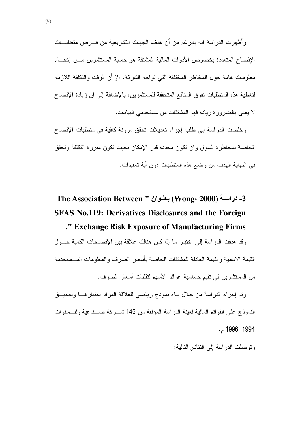وأظهرت الدراسة انه بالرغم من أن هدف الجهات التشريعية من فـــرض متطلبـــات الإفصاح المتعددة بخصوص الأدوات المالبة المشتقة هو حماية المستثمرين مسن إخفساء معلومات هامة حول المخاطر المختلفة التي تواجه الشركة، الإ أن الوقت والتكلفة اللازمة لتغطية هذه المتطلبات تفوق المنافع المتحققة للمستثمرين، بالإضافة إلى أن زيادة الإفصاح لا يعني بالضرورة زيادة فهم المشتقات من مستخدمي البيانات.

و خلصت الدر اسة إلى طلب إجر اء تعديلات تحقق مر ونة كافية في منطلبات الإفصاح الخاصة بمخاطرة السوق وان تكون محددة قدر الإمكان بحيث تكون مبررة التكلفة وتحقق في النهاية الهدف من وضع هذه المتطلبات دون أية تعقيدات.

# 3- دراسة (2000 ،Wong) بعنوان " The Association Between **SFAS No.119: Derivatives Disclosures and the Foreign** ." Exchange Risk Exposure of Manufacturing Firms

وقد هدفت الدراسة إلى اختبار ما إذا كان هنالك علاقة بين الإفصاحات الكمية حسول القيمة الاسمية والقيمة العادلة للمشتقات الخاصة بأسعار الصر ف والمعلومات المــستخدمة من المستثمرين في تقيم حساسية عوائد الأسهم لتقلبات أسعار الصر ف.

ونم إجراء الدراسة من خلال بناء نموذج رياضي للعلاقة المراد اختبارهـــا ونطبيـــق النموذج على القوائم المالية لعينة الدر اسة المؤلفة من 145 شـــركة صـــناعية وللـــسنوات 1994–1996 م.

وتوصلت الدراسة إلى النتائج التالية: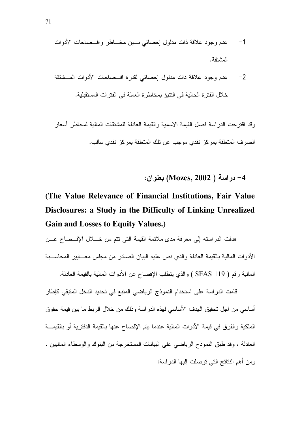وقد اقترحت الدراسة فصل القيمة الاسمية والقيمة العادلة للمشتقات المالية لمخاطر أسعار الصر ف المتعلقة بمركز نقدى موجب عن تلك المتعلقة بمركز نقدى سالب.

4- دراسة ( Mozes, 2002) بعنوان:

# (The Value Relevance of Financial Institutions, Fair Value Disclosures: a Study in the Difficulty of Linking Unrealized **Gain and Losses to Equity Values.)**

هدفت الدراسته إلى معرفة مدى ملائمة القيمة التي نتم من خـــلال الإفــصـاح عـــن الأدوات المالية بالقيمة العادلة والذي نص عليه البيان الصادر من مجلس معــابير المحاســبة

المالية رقم ( SFAS 119 ) والذي يتطلب الإفصاح عن الأدوات المالية بالقيمة العادلة.

قامت الدراسة على استخدام النموذج الرياضي المتبع في تحديد الدخل المتبقي كإطار أساسي من اجل تحقيق الهدف الأساسي لهذه الدراسة وذلك من خلال الربط ما بين قيمة حقوق الملكية والفرق في قيمة الأدوات المالية عندما يتم الإفصاح عنها بالقيمة الدفترية أو بالقيمـــة العادلة ، وقد طبق النموذج الرياضي على البيانات المستخرجة من البنوك والوسطاء الماليين . ومن أهم النتائج التي توصلت إليها الدر اسة: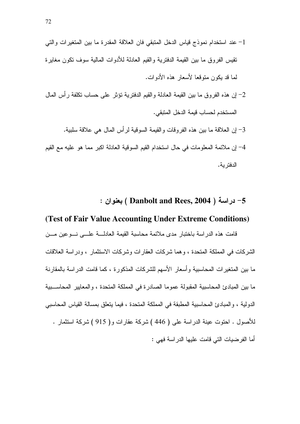- 1– عند استخدام نموذج فياس الدخل المنبقى فان العلاقة المقدرة ما بين المتغيرات والتي تقبس الفر و ق ما بين القبمة الدفتر بـة و القبم العادلـة للأدو ات المالبـة سوف تكون مغابر ة لما قد بكون منوقعا لأسعار هذه الأدوات.
- 2– إن هذه الفروق ما بين القيمة العادلة والقيم الدفترية نؤثر على حساب نكلفة رأس المال المستخدم لحساب قيمة الدخل المتبقى.
- 3– إن العلاقة ما بين هذه الفر وقات و القيمة السوقية لر أس المال هي علاقة سلبية. 4– إن ملائمة المعلومات في حال استخدام القيم السوقية العادلة اكبر مما هو عليه مع القيم الدفتر ية.

5- دراسة ( Danbolt and Rees, 2004 ) بعنوان :

#### (Test of Fair Value Accounting Under Extreme Conditions)

قامت هذه الدراسة باختبار مدى ملائمة محاسبة القيمة العادلـــة علـــي نـــوعين مـــن الشركات في المملكة المتحدة ، و هما شركات العقار ات وشركات الاستثمار ، ودر اسة العلاقات ما بين المتغير ات المحاسبية وأسعار الأسهم للشركات المذكورة ، كما قامت الدر اسة بالمقارنة ما بين المبادئ المحاسبية المقبولة عموما الصادرة في المملكة المتحدة ، والمعايير المحاســبية الدولية ، والمبادئ المحاسبية المطبقة في المملكة المتحدة ، فيما يتعلق بمسالة القياس المحاسبي للأصول . احتوت عينة الدراسة على ( 446 ) شركة عقارات و( 915 ) شركة استثمار . أما الفر ضبات التي قامت علبها الدر اسة فهي :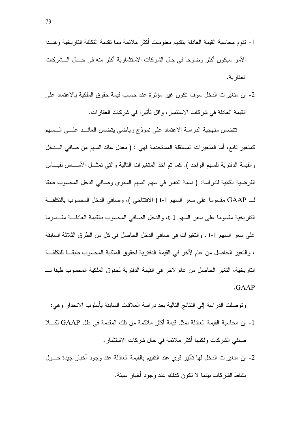- 1- نقوم محاسبة القيمة العادلة بنقديم معلومات أكثر ملائمة مما نقدمة النكلفة الناريخية وهسذا الأمر سبكون أكثر وضوحا في حال الشر كات الاستثمار بـة أكثر منه في حـــال الـــشر كات العقار ية.
- 2- إن متغيرات الدخل سوف نكون غير مؤثرة عند حساب قيمة حقوق الملكية بالاعتماد على القيمة العادلة في شركات الاستثمار ، و اقل تأثير ا في شركات العقار ات.

تتضمن منهجية الدراسة الاعتماد على نموذج رياضي يتضمن العائـــد علـــي الـــسهم كمتغير تابع، أما المتغيرات المستقلة المستخدمة فهي : ( معدل عائد السهم من صافي الـــدخل والقيمة الدفترية للسهم الواحد ). كما تم اخذ المتغيرات التالية والتي تمثـــل الأســــاس لقيـــاس الفرضية الثانية للدراسة: ( نسبة التغير في سهم السهم السنوي وصافى الدخل المحسوب طبقا لـــ GAAP مقسوما على سعر السهم t-1 ( الافتتاحي )، وصافى الدخل المحسوب بالتكلفة التاريخية مقسوما على سعر السهم t-1، والدخل الصافي المحسوب بالقيمة العادلـــة مقـــسوما على سعر السهم t-1 ، والنغيرات في صافي الدخل الحاصل في كل من الطرق الثلاثة السابقة ، والتغير الحاصل من عام لآخر في القيمة الدفترية لحقوق الملكية المحسوب طبقـــا للتكلفـــة التاريخية، التغير الحاصل من عام لآخر في القيمة الدفترية لحقوق الملكية المحسوب طبقا لــــ .GAAP

و توصلت الدر اسة إلى النتائج التالية بعد در اسة العلاقات السابقة بأسلوب الانحدار و هي: 1- إن محاسبة القيمة العادلة تمثل قيمة أكثر ملائمة من تلك المقدمة في ظل GAAP لكـــلا صنفي الشركات ولكنها أكثر ملائمة في حال شركات الاستثمار .

2- إن متغيرات الدخل لها تأثير قوى عند التقييم بالقيمة العادلة عند وجود أخبار جيدة حـــول نشاط الشركات بينما لا نكون كذلك عند وجود أخبار سيئة.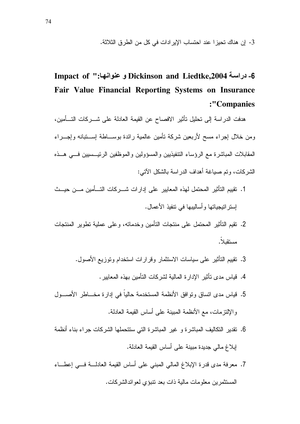3- إن هناك تحيزا عند احتساب الإيرادات في كل من الطرق الثلاثة.

# 6- دراسة Dickinson and Liedtke,2004 و عنوانها:" Impact of Fair Value Financial Reporting Systems on Insurance :"Companies

هدفت الدر اسة إلى تحليل تأثير الافصاح عن القيمة العادلة على شـــركات التـــأمين، ومن خلال إجراء مسح لأربعين شركة نأمين عالمية رائدة بوســاطة إســتبانه وإجـــراء المقابلات المباشرة مع الرؤساء التنفيذيين والمسؤولين والموظفين الرئيـــسيين فــــى هـــذه الشركات، وتم صباغة أهداف الدراسة بالشكل الآتي:

- 1. تقييم التأثير المحتمل لهذه المعايير على إدارات شـــركات التـــأمين مـــن حيـــث لِستر انتِجياتها وأساليبها في نتفيذ الأعمال.
- 2. نقيم التأثير المحتمل على منتجات التأمين وخدماته، و على عملية تطوير المنتجات مستقبلاً.
	- 3. نقييم التأثير على سياسات الاستثمار وقرارات استخدام وتوزيع الأصول.
		- 4. قياس مدى تأثير الإدار ة المالية لشر كات التأمين بهذه المعابير .
- 5. قياس مدى اتساق وتوافق الأنظمة المستخدمة حالياً في إدارة مخـــاطر الأصــــول والإلتزيمات، مع الأنظمة المبينة على أساس القيمة العادلة.
- 6. نقدير التكاليف المباشرة و غير المباشرة التي ستتحملها الشركات جراء بناء أنظمة إبلاغ مالي جديدة مبينة على أساس القيمة العادلة.
- 7. معرفة مدى قدرة الإبلاغ المالي المبنى على أساس القيمة العادلـــة فـــي إعطـــاء المستثمرين معلومات مالية ذات بعد نتبؤى لعوائدالشركات.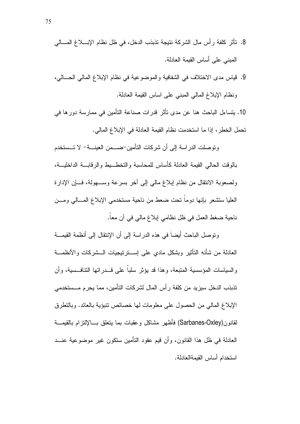- 8. تأثِّر كلفة رأس مال الشركة نتيجة تذبذب الدخل، في ظل نظام الإبــــلاغ المــــالي المبنى على أساس القبمة العادلة.
- 9. فياس مدى الاختلاف في الشفافية والموضوعية في نظام الإبلاغ المالي الحـــالي، ونظام الإبلاغ المالي المبنى على اساس القيمة العادلة.

10. بِتساءلِ الباحث هنا عن مدى تأثر قدرات صناعة التأمين في ممارسة دورِ ها في تحمل الخطر ، إذا ما استخدمت نظام القيمة العادلة في الإبلاغ المالي.

وتوصلت الدراسة إلى أن شركات التأمين-ضـــمن العينـــة- لا تــستخدم بالوقت الحالي القيمة العادلة كأساس للمحاسبة والتخط بط والر قابسة الداخليسة، ولصعوبة الانتقال من نظام إبلاغ مالي إلى أخر بسرعة وســـهولة، فـــان الإدارة العليا ستشعر بإنها دوما نحت ضعط من ناحية مستخدمي الإبلاغ المسالبي ومسن ناحية ضغط العمل في ظل نظامي إبلاغ مالي في أن معاً.

وتوصل الباحث أيضاً في هذه الدراسة إلى أن الإنتقال إلى أنظمة القيمـــة العادلة من شأنه التأثير وبشكل مادى على إســـترتيجيات الـــشركات والأنظمـــة والسياسات المؤسسية المتبعة، وهذا قد يؤثِّر سلباً على قــدراتها التنافــسية، وأن تذبذب الدخل سيزيد من كلفة رأس المال لشركات التأمين، مما يحرم مـــستخدمي الإبلاغ المالي من الحصول على معلومات لما خصائص تتبؤبة بالعائد. وبالتطرق لقانون(Sarbanes-Oxley) فأظهر مشاكل وعقبات بما بِتعلِّق بِسالإلتز ام بِالقَيْمِسَةِ العادلة في ظل هذا القانون، وأن قيم عقود التأمين ستكون غير موضوعية عنــد استخدام أساس القيمةالعادلة.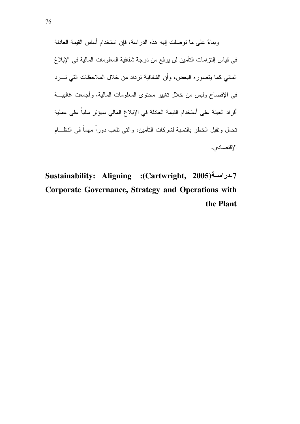وبناءً على ما نوصلت إليه هذه الدر اسة، فإن استخدام أساس القيمة العادلة في قياس إلتزامات التأمين لن يرفع من درجة شفافية المعلومات المالية في الإبلاغ المالي كما يتصوره البعض، وأن الشفافية نزداد من خلال الملاحظات التي تسرد في الإفصاح وليس من خلال تغيير محتوى المعلومات المالية، وأجمعت غالبيـــة أفراد العينة على أستخدام القيمة العادلة في الإبلاغ المالي سيؤثر سلباً على عملية تحمل وتقبل الخطر بالنسبة لشركات التأمين، والتي نلعب دوراً مهماً في النظـــام الإقتصادي.

Sustainability: Aligning :(Cartwright, 2005) Corporate Governance, Strategy and Operations with the Plant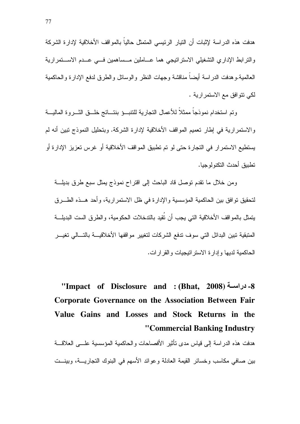هدفت هذه الدر اسة لإثبات أن النيار الرئيسي المنمثل حالياً بالمو اقف الأخلاقية لإدار ة الشركة والترابط الإداري التشغيلي الاستراتيجي هما عــاملين مــساهمين فـــي عــدم الاســـتمرارية العالمية.وهدفت الدراسة أيضاً مناقشة وجهات النظر والوسائل والطرق لدفع الإدارة والحاكمية لكي نتوافق مع الاستمر ارية .

وتم استخدام نموذجاً ممثلاً للأعمال التجارية للتنبسؤ بنتسائج خلسق الشبروة الماليسة و الاستمر ارية في إطار تعميم المواقف الأخلاقية لإدار ة الشركة. وبتحليل النموذج تبين أنه لم يستطيع الاستمرار في التجارة حتى لو تم تطبيق المواقف الأخلاقية أو غرس تعزيز الإدارة أو تطببق أحدث التكنولو جبا.

ومن خلال ما نقدم نوصل قاد الباحث إلى اقتراح نموذج بمثل سبع طرق بديلة لتحقيق نوافق بين الحاكمية المؤسسية والإدارة في ظل الاستمر ارية، وأحد هــذه الطـــرق يتمثل بالمواقف الأخلاقية التي يجب أن تُقيد بالتدخلات الحكومية، والطرق الست البديلة المتبقية تبين البدائل التي سوف تدفع الشركات لتغيير مواقفها الأخلاقيسة بالتسالي تغيسر الحاكمية لديها وادار ة الاستر اتبجيات والقر ارات.

"Impact of Disclosure and : (Bhat, 2008) 4- دراسـة ( **Corporate Governance on the Association Between Fair** Value Gains and Losses and Stock Returns in the "Commercial Banking Industry

هدفت هذه الدر اسة إلى قياس مدى تأثير الأفصاحات والحاكمية المؤسسية علـــى العلاقـــة بين صافى مكاسب وخسائر القيمة العادلة وعوائد الأسهم في البنوك التجاريــــة، وبينـــت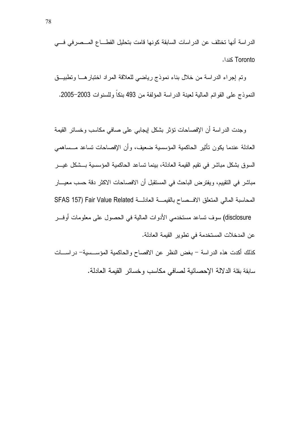الدر اسة أنها تختلف عن الدر اسات السابقة كونها قامت بتحليل القطــــاع المـــصـرفي فــــي Toronto كندا.

ونم إجراء الدراسة من خلال بناء نموذج رياضي للعلاقة المراد اختبارهـــا ونطبيـــق النموذج على القوائم المالية لعينة الدراسة المؤلفة من 493 بنكا وللسنوات 2003–2005.

وجدت الدراسة أن الإفصـاحات نؤثر بشكل إيجابـي علـى صـافـي مكاسب وخسائر القيمة العادلة عندما يكون تأثير الحاكمية المؤسسية ضعيف، وأن الإفصاحات تساعد مـــساهمي السوق بشكل مباشر في تقيم القيمة العادلة، بينما تساعد الحاكمية المؤسسية بـــشكل غيـــر مباشر في التقييم، ويفترض الباحث في المستقبل أن الافصـاحات الاكثر دقة حسب معيــــار المحاسبة المالي المتعلق الافـــصـاح بالقيمــــة العادلــــة SFAS 157) Fair Value Related disclosure) سوف تساعد مستخدمي الأدوات المالية في الحصول على معلومات أوفـــر عن المدخلات المستخدمة في تطوير القيمة العادلة.

كذلك أكدت هذه الدراسة – بغض النظر عن الافصاح والحاكمية المؤســـسية– دراســـات سابقة بقلة الدلالة الإحصائية لصافي مكاسب وخسائر القيمة العادلة.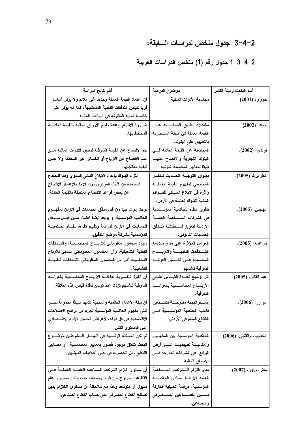### 2–4–3 جدول ملخص لدراسات السابقة:

### 1-3-4-2 جدول رقم (1) ملخص الدراسات العربية

| أهم نتائج الدراسة                                                    | موضوع الدراسة                                 | أسم الباحث وسنة النشر   |
|----------------------------------------------------------------------|-----------------------------------------------|-------------------------|
| أن اعتماد القيمة العادلة وحدها غير ملائم ولا يوفر أساسا              | محاسبة الأدوات المالية.                       | خور ي، (2001).          |
| قوياً لقياس التدفقات النقدية المستقبلية، كما انه يؤثر على            |                                               |                         |
| خاصية ڤابلية المقارنة في البيانات المالية.                           |                                               |                         |
| ضرورة الالتزام بإعادة تقييم الأوراق المالية بالقيمة العادلسة         | مشكلات تطبيق المحاسسبة عسن                    | $(2002)$ حماد،          |
| المحتفظ بها.                                                         | القيمة العادلة في البيئة المـــصرية           |                         |
|                                                                      | بالتطبيق على البنوك.                          |                         |
| يتم الإفصاح عن القيمة السوقية لبعض الأدوات المالية مسع               | المحاسبة عن القيمة العادلة فـــى              | لوندي، (2002).          |
| عدم الإفصاح عن الأرباح أو الخسائر غير المحققة ولا عـــن              | البنوك التجارية والإفصاح عنهسا                |                         |
| كبِفية معالجتها.                                                     | طبقا لمعايير المحاسبة الدولية.                |                         |
| التزام البنوك بإعداد الإبلاغ المالى السنوي وفقا للنماذج              | بعنوان التوجسه الحسديث للفكس                  | الطرايرة، (2005).       |
| المعتمدة من البنك المركز ي دون الأخذ بالاعتبار الإفصاح               | المحاسبي لمفهوم القيمة العادلسة               |                         |
| عن بعض قواعد الإفصاح المتعلقة بالقيمة العادلة.                       | وأثره في الإبلاغ المسالي للقسوائم             |                         |
|                                                                      | المالية للبنوك العاملة في الأردن.             |                         |
| يوجد إدراك جيد من قبل مدفق الحسابات في الأردن لمفهـــوم              | تطوير نظام للحاكمية المؤسسسية                 | الهنيني, (2005).        |
| الحاكمية المؤسسية. و يوجد ايضا اهتمام مـــن قبـــل مـــدقق           | فى الشركات المسساهمة العامسة                  |                         |
| الحسابات في الأردن لدراسة وتقييم كفاءة نظـــام الحاكميــــة          | الأردنية لتعزيز اسستقلالية مسدقق              |                         |
| المؤسسية للشركة موضع التدقيق.                                        | الحسابات القانوني.                            |                         |
| وجود مضمون معلوماتى للأربساح المحاسسبية، والتسدفقات                  | العوامل المؤثرة على مدى ملاءمة                | دراغمه، (2005).         |
| النقدية التشغيلية، وأن المضمون المعلوماتي النسبي للأرباح             | التسدفقات النقديسسة والأربسساح                |                         |
| المحاسبية أكبر من المضمون المعلوماتي للتـــدفقات النقديــــة         | المحاسبية فسي تفسير العوائد                   |                         |
| التشغيلية.                                                           | السوقية للأسهم.                               |                         |
| أن القوة التفسيرية لعلاقــــة الأربــــاح المحاســــبية بالعوائــــد | أثر توسيع نافسذة القيساس علسى                 | عبد القادر، (2005).     |
| السوقية للأسهم تزداد عند توسع نافذة قياس هذه العلاقة.                | الأربســـاح المحاســــــبية بالعوائـــــد     |                         |
|                                                                      | السوقية.                                      |                         |
| أن بيئة الأعمال العالمية والمحلية تشهد سباقاً محموماً نحـــو         | إسستر اتيجية مقترحسة لتحسسين                  | أبو زر، (2006).         |
| تبني مفهوم الحاكمية المؤسسية لجزء من برامج الإصلاحات                 | فاعلية الحاكمية المؤسسيية فسي                 |                         |
| الاقتصادية في كل دولة، لأغراض تحسين الأداء الاقتـــصادي              | الفطاع المصرفي الأردني.                       |                         |
| على المستوى الكلي.                                                   |                                               |                         |
| لم تكن المشكلة الرئيسية في انهيـــار الـــشركتين موضـــوع            | الحاكمية المؤسسية بين المفهـــوم              | الخطيب، والقشى، (2006). |
| البحث تتعلق بوجود قصور بمعايير المحاســبة، أو معـــايير              | وإمكانيسة تطبيقهسا علسمى أرض                  |                         |
| التدقيق، بل انحصرت في تدنى أخلاقيات المهنيين.                        | الواقع   في الشركات  المدرجة فــي             |                         |
|                                                                      | الأسواق المالية.                              |                         |
| أن مستوى التزام الشركات المساهمة العامــــة العاملــــة فــــى       | مدى التزام السشركات المسساهمة                 | مطر، ونور، (2007).      |
| القطاعين يتراوح بين قوى وضعيف جدا، ولكن بمستوى عام                   | العامة الأردنية بمبادئ الحاكميـــه            |                         |
| مقبول أو متوسط وهذا مع ملاحظة أن مستوى الالتزام يميل                 | المؤسسية، دراسة تحليليه مقارنة                |                         |
| لصالح القطاع المصرفي على حساب القطاع الصناعي.                        | بـــــــــين الفطـــــــــاعين المـــــــصرفى |                         |
|                                                                      | والصناعي.                                     |                         |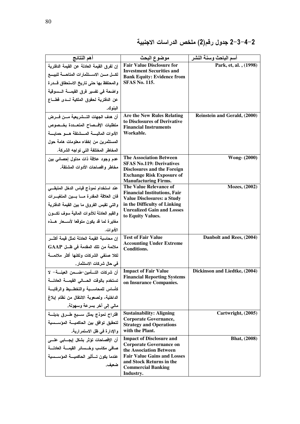2–4–3–2 جدول رقم(2) ملخص الدراسات الاجنبية

| أهم النتائج                                            | موضوع البحث                                                       | أسم الباحث وسنة النشر         |
|--------------------------------------------------------|-------------------------------------------------------------------|-------------------------------|
| إن لفرق القيمة العادلة عن القيمة الدفترية              | <b>Fair Value Disclosure for</b>                                  | Park, et, al., (1998)         |
| لكسل مسن الاسستثمارات المتاحسة للبيسع                  | <b>Investment Securities and</b>                                  |                               |
| والمحتفظ بها حتى تاريخ الاستحقاق قـــدرة               | <b>Bank Equity: Evidence from</b><br><b>SFAS No. 115.</b>         |                               |
| واضحة في تفسير فرق القيمـــة الـــسوقية                |                                                                   |                               |
| عن الدفترية لحقوق الملكية لسدى قطساع                   |                                                                   |                               |
| البنوك.                                                |                                                                   |                               |
| أن هدف الجهات التـــــثـــريــعيــة مـــــن فـــــــرض | <b>Are the New Rules Relating</b>                                 | Reinstein and Gerald, (2000)  |
| متطلبات الإفىصاح المتعددة بخىصوص                       | to Disclosures of Derivative<br><b>Financial Instruments</b>      |                               |
| الأدوات الماليسة المسشتقة هسو حمايسة                   | Workable.                                                         |                               |
| المستثمرين من إخفاء معلومات هامة حول                   |                                                                   |                               |
| المخاطر المختلفة التي تواجه الشركة.                    |                                                                   |                               |
| عدم وجود علاقة ذات مدلول إحصائي بين                    | <b>The Association Between</b><br><b>SFAS No.119: Derivatives</b> | <b>Wong</b> (2000)            |
| مخاطر وافصاحات الأدوات المشتقة.                        | <b>Disclosures and the Foreign</b>                                |                               |
|                                                        | <b>Exchange Risk Exposure of</b>                                  |                               |
| عند استخدام نموذج قياس الدخل المتبقـــى                | <b>Manufacturing Firms.</b><br>The Value Relevance of             | Mozes, (2002)                 |
| فان العلاقة المقدرة مسا بسين المتغيسرات                | <b>Financial Institutions, Fair</b>                               |                               |
|                                                        | <b>Value Disclosures: a Study</b>                                 |                               |
| والتي تقيس الفروق ما بين القيمة الدفترية               | in the Difficulty of Linking<br><b>Unrealized Gain and Losses</b> |                               |
| والقيم العادلة للأدوات المالية سوف تكسون               | to Equity Values.                                                 |                               |
| مغايرة لما قد يكون متوقعا لأســـعار هـــذه             |                                                                   |                               |
| الأدوات.                                               |                                                                   |                               |
| إن محاسبة القيمة العادلة تمثل قيمة أكثـــر             | <b>Test of Fair Value</b>                                         | Danbolt and Rees, (2004)      |
| ملائمة من تلك المقدمة في ظــل GAAP                     | <b>Accounting Under Extreme</b><br><b>Conditions.</b>             |                               |
| لكلا صنفى الشركات ولكنها أكثر ملائمسة                  |                                                                   |                               |
| في حال شركات الاستثمار .                               |                                                                   |                               |
| أن شركات التسأمين-ضـــمن العينــــة- لا                | <b>Impact of Fair Value</b>                                       | Dickinson and Liedtke, (2004) |
| تستخدم بالوقت الحسالى القيمسة العادلسة                 | <b>Financial Reporting Systems</b><br>on Insurance Companies.     |                               |
| كأساس للمحاسسبة والتخطسيط والرقابسة                    |                                                                   |                               |
| الداخلية، ولصعوبة الانتقال من نظام إبلاغ               |                                                                   |                               |
| مالي إلى آخر بسرعة وسهولة.                             |                                                                   |                               |
| اقتراح نموذج يمثل سسبع طسرق بديلسة                     | <b>Sustainability: Aligning</b><br><b>Corporate Governance,</b>   | Cartwright, (2005)            |
| لتحقيق توافق بين الحاكميــــة المؤســـسية              | <b>Strategy and Operations</b>                                    |                               |
| والإدارة في ظل الاستمرارية.                            | with the Plant.                                                   |                               |
| أن الإفصاحات تؤثر بشكل إيجـــابي علـــي                | <b>Impact of Disclosure and</b>                                   | <b>Bhat, (2008)</b>           |
| صافى مكاسب وخسسائر القيمسة العادلسة                    | <b>Corporate Governance on</b><br>the Association Between         |                               |
| عندما يكون تسأثير الحاكميسة المؤسسسية                  | <b>Fair Value Gains and Losses</b>                                |                               |
| ضعيف.                                                  | and Stock Returns in the                                          |                               |
|                                                        | <b>Commercial Banking</b><br>Industry.                            |                               |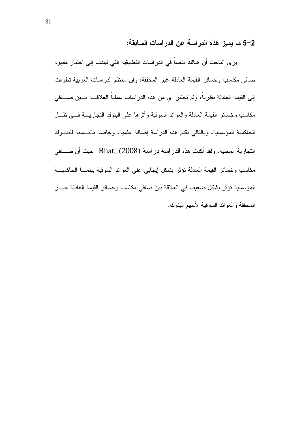2–5 ما يميز هذه الدراسة عن الدراسات السابقة:

ير ي الباحث أن هنالك نقصاً في الدر اسات التطبيقية التي تهدف إلى اختبار مفهوم صـافـي مكاسب وخسائر القيمة الـعادلـة غير المحققة، وأن معظم الدراسات الـعربية نطرقت إلى القيمة العادلة نظرياً، ولم تختبر اي من هذه الدراسات عملياً العلاقـــة بــــين صـــــافـي مكاسب وخسائر القيمة العادلة والعوائد السوقية وأثرها على البنوك النجاريسة فسي ظل الحاكمية المؤسسية، وبالنالي نقدم هذه الدراسة إضافة علمية، وخاصة بالنسسبة للبنسوك النجار بة المحلية، ولقد أكدت هذه الدر اسة در اسة Bhat, (2008) حيث أن صـــافي مكاسب وخسائر القيمة العادلة تؤثر بشكل إيجابي على العوائد السوقية بينمـــا الحاكميـــة المؤسسية نؤثر بشكل ضعيف في العلاقة بين صافي مكاسب وخسائر القيمة العادلة غيــر المحققة والعوائد السوقية لأسهم البنوك.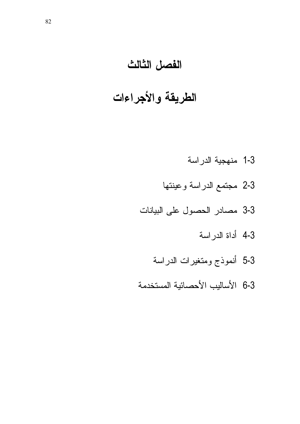# الفصل الثالث

# الطريقة والأجراءات

- 1-3 منهجية الدراسة
- 2-3 مجتمع الدراسة وعينتها
- 3-3 مصادر الحصول على البيانات
	- 4-3 أداة الدراسة
	- 5-3 أنموذج ومتغيرات الدراسة
- 6-3 الأساليب الأحصائية المستخدمة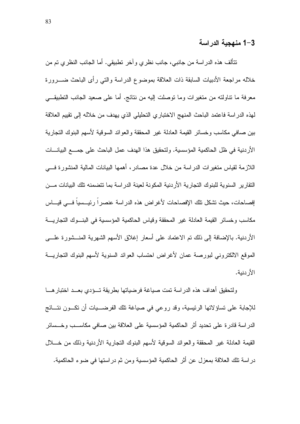#### 1-3 منهجية الدراسة

نتألف هذه الدراسة من جانبي، جانب نظري وأخر نطبيقي. أما الجانب النظري تم من خلاله مراجعة الأدبيات السابقة ذات العلاقة بموضوع الدراسة والتبي رأى الباحث ضــــرورة معرفة ما نتاولته من متغيرات وما نوصلت إليه من نتائج. أما على صعيد الجانب التطبيقــي لهذه الدراسة فاعتمد الباحث المنهج الاختباري التحليلي الذي يهدف من خلاله إلى تقييم العلاقة بين صافي مكاسب وخسائر القيمة العادلة غير المحققة والعوائد السوقية لأسهم البنوك التجارية الأر دنية في ظل الحاكمية المؤسسية. ولتحقيق هذا الهدف عمل الباحث على جمــــع البيانــــات اللازمة لقياس متغير ات الدر اسة من خلال عدة مصادر ، أهمها البيانات المالية المنشور ة فسي النقار بر السنو ية للبنو ك النجار ية الأر دنية المكو نة لعينة الدر اسة بما نتضمنه تلك البيانات مـــن إفصاحات، حيث نشكل نلك الإفصاحات لأغراض هذه الدراسة عنصرا رئيـــسيا فـــي فيـــاس مكاسب وخسائر القيمة العادلة غير المحققة وقياس الحاكمية المؤسسية في البنسوك التجاريسة الأردنية. بالإضافة إلى ذلك تم الاعتماد على أسعار إغلاق الأسهم الشهرية المنـــشورة علــــي الموقع الالكتروني لبورصة عمان لأغراض احتساب العوائد السنوية لأسهم البنوك التجاريـــة الأر دنية.

ولتحقيق أهداف هذه الدراسة تمت صياغة فرضياتها بطريقة تسؤدي بعسد اختبار هسا للإجابة على تساؤ لاتها الرئيسية، وقد روعي في صياغة تلك الفرضــــيات أن تكـــون نتـــائج الدراسة قادرة على تحديد أثر الحاكمية المؤسسية على العلاقة بين صافي مكاسـب وخــسائر القيمة العادلة غير المحققة والعوائد السوقية لأسهم البنوك التجارية الأردنية وذلك من خـــلال در اسة تلك العلاقة بمعز ل عن أثر الحاكمية المؤسسية ومن ثم در استها في ضو ء الحاكمية.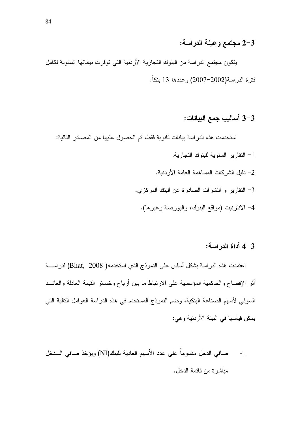#### 2-3 مجتمع وعينة الدراسة:

يتكون مجتمع الدراسة من البنوك التجارية الأردنية التي توفرت بياناتها السنوية لكامل فترة الدراسة(2002–2007) وعددها 13 بنكاً.

### 3-3 أساليب جمع البيانات:

استخدمت هذه الدراسة بيانات ثانوية فقط، تم الحصول عليها من المصادر التالية:

- 1– النقارير السنوية للبنوك التجارية.
- 2– دليل الشركات المساهمة العامة الأر دنية.
- 3- النقارير و النشرات الصادرة عن البنك المركزى.
	- 4– الانترنيت (مواقع البنوك، والبورصة وغيرها).

#### 4-3 أداة الدر اسة:

اعتمدت هذه الدراسة بشكل أساس على النموذج الذي استخدمه( Bhat, 2008) لدراســـة أثر الإفصاح والحاكمية المؤسسية على الارتباط ما بين أرباح وخسائر القيمة العادلة والعائــد السوقي لأسهم الصناعة البنكية، وضم النموذج المستخدم في هذه الدراسة العوامل التالية التي يمكن قياسها في البيئة الأردنية و هي:

صافي الدخل مقسوماً على عدد الأسهم العادية للبنك(NI) ويؤخذ صافي السدخل  $-1$ مباشر ة من قائمة الدخل.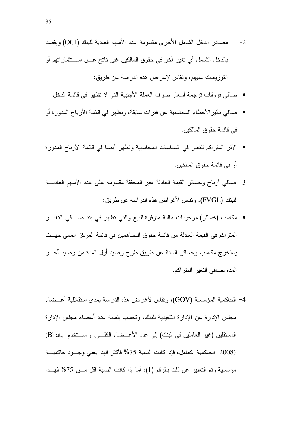- مصادر الدخل الشامل الأخرى مقسومة عدد الأسهم العادية للبنك (OCI) ويقصد  $-2$ بالدخل الشامل أي تغير آخر في حقوق المالكين غير ناتج عـــن اســـتثماراتهم أو النوزيعات عليهم، ونقاس لإغراض هذه الدراسة عن طريق:
	- صافي فروقات ترجمة أسعار صرف العملة الأجنبية التي لا تظهر في قائمة الدخل.
- صافي تأثير الأخطاء المحاسبية عن فنر ات سابقة، وتظهر في قائمة الأرباح المدورة أو في قائمة حقو ق المالكين.
- الأثر المنزاكم للنغير في السياسات المحاسبية ونظهر أيضا في قائمة الأرباح المدورة أو في فائمة حقوق المالكين.
- 3- صافى أرباح وخسائر القيمة العادلة غير المحققة مقسومه على عدد الأسهم العاديسة للبنك (FVGL). ونقاس لأغراض هذه الدراسة عن طريق:
- مكاسب (خسائر ) موجودات مالية متوفرة للبيع والتي تظهر ً في بند صـــافي التغيـــر المنز اكم في القيمة العادلة من قائمة حقوق المساهمين في قائمة المركز المالي حيـــث يستخرج مكاسب وخسائر السنة عن طريق طرح رصيد أول المدة من رصيد آخـــر المدة لصافي التغير المتراكم.
- 4− الحاكمية المؤسسية (GOV)، وتقاس لأغر اض هذه الدر اسة بمدى استقلالية أعــضـاء مجلس الإدار ة عن الإدار ة التنفيذية للبنك، وتحسب بنسبة عدد أعضاء مجلس الإدار ة المستقلين (غير العاملين في البنك) إلى عدد الأعــضاء الكلـــي. واســـتخدم ,Bhat) (2008 الحاكمية كعامل، فإذا كانت النسبة 75% فأكثر فهذا يعني وجسود حاكميسة مؤسسية ونم التعبير عن ذلك بالرقم (1)، أما إذا كانت النسبة أقل مـــن 75% فهــذا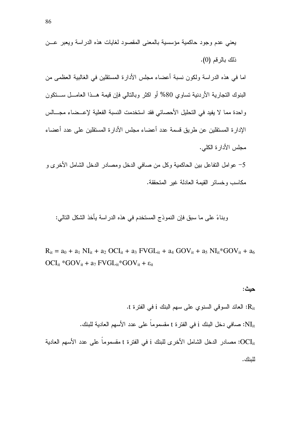5– عوامل النفاعل بين الحاكمية وكل من صافي الدخل ومصادر الدخل الشامل الأخرى و مكاسب وخسائر القيمة العادلة غير المتحققة.

وبناءً على ما سبق فإن النموذج المستخدم في هذه الدراسة بأخذ الشكل التالي:

 $R_{it} = a_0 + a_1 N I_{it} + a_2 OCl_{it} + a_3 FVGL_{it} + a_4 GOV_{it} + a_5 N I_{it}^* GOV_{it} + a_6$  $\label{eq:ocli} OCI_{it} * GOV_{it} + a_7\, FVGL_{it} * GOV_{it} + \epsilon_{it}$ 

$$
H_{\rm it}
$$
 : العائد السوقي السنوي على سهم البنك  $i$  في الفترة 1.  
\n $R_{\rm it}$  :  $R_{\rm it}$  :  $N_{\rm it}$  :  $N_{\rm it}$  :  $N_{\rm it}$  :  $N_{\rm it}$  :  $N_{\rm it}$  :  $N_{\rm it}$  :  $OCl_{\rm it}$  :  $OCl_{\rm it}$  :  $OCl_{\rm it}$  :  $OCl_{\rm it}$  :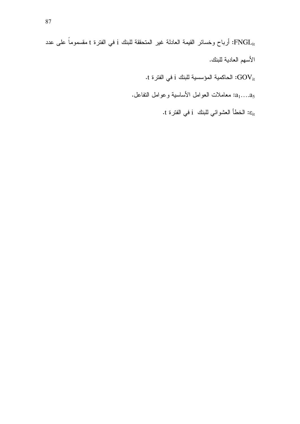FNGL<sub>it</sub>: أرباح وخسائر القيمة العادلة غير المتحققة للبنك i في الفترة t مقسموماً على عدد الأسهم العادية للبنك.

.t في الفترة: الحاكمية المؤسسية للبنك i في الفترة:

 $a_1...a_5$ : معاملات العوامل الأساسية وعوامل النفاعل.

:8 الخطأ العشوائي للبنك i في الفترة t.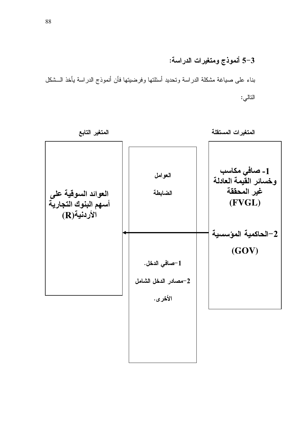### 3-5 أنموذج ومتغيرات الدراسة:

بناء على صياغة مشكلة الدراسة وتحديد أسئلتها وفرضيتها فأن أنموذج الدراسة يأخذ الـــشكل التالي:

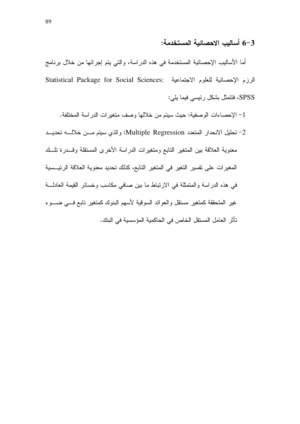#### 3–6 أساليب الاحصائية المستخدمة:

أما الأساليب الإحصائية المستخدمة في هذه الدراسة، والتي يتم إجرائها من خلال برنامج Statistical Package for Social Sciences: الرزم الإحصائية للعلوم الاجتماعية SPSS، فتتمثل بشكل رئيسي فيما يلي:

- 1– الإحصاءات الوصفية: حيث سيتم من خلالها وصف متغيرات الدراسة المختلفة.
- 2- تحليل الانحدار المتعدد Multiple Regression: والذي سيتم مـــن خلالــــه تحديـــد معنوية العلاقة بين المتغير التابع ومتغيرات الدراسة الأخرى المستقلة وقـــدرة نلـــك المغيرات على تفسير التغير في المتغير التابع، كذلك تحديد معنوية العلاقة الرئيسية في هذه الدراسة والمتمثلة في الارتباط ما بين صافي مكاسب وخسائر القيمة العادلـــة غير المتحققة كمتغير مستقل والعوائد السوقية لأسهم البنوك كمتغير تابع فسي ضسوء تأثر العامل المستقل الخاص في الحاكمية المؤسسية في البنك.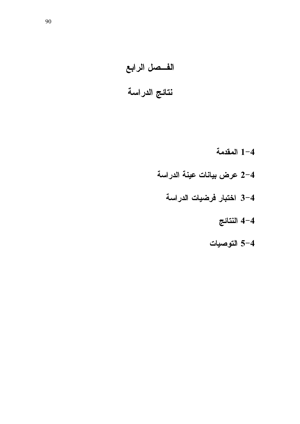# الفسصل الرابع نتائج الدراسة

- 1-4 المقدمة
- 2-4 عرض بيانات عينة الدراسة
	- 3-4 اختبار فرضيات الدراسة
		- 4-4 النتائج
		- 4–5 التوصيات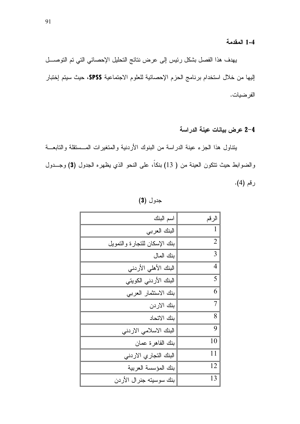#### 1-4 المقدمة

يهدف هذا الفصل بشكل رئيس إلى عرض نتائج التحليل الإحصائي التي تم التوصـــل إليها من خلال استخدام برنامج الحزم الإحصائية للعلوم الاجتماعية SPSS، حيث سيتم إختبار الفرضيات.

#### 2-4 عرض بيانات عينة الدراسة

يتناول هذا الجزء عينة الدراسة من البنوك الأردنية والمتغيرات المسستقلة والتابعــة والضوابط حيث نتكون العينة من ( 13) بنكاً، على النحو الذي يظهره الجدول (3) وجـــدول رقم (4).

جدول (3)

| الرقم          | اسم البنك                    |
|----------------|------------------------------|
| 1              | البنك العربي                 |
| $\overline{2}$ | بنك الإسكان للتجارة والتمويل |
| 3              | بنك المال                    |
| $\overline{4}$ | البنك الأهلى الأردني         |
| 5              | البنك الأردني الكويتي        |
| 6              | بنك الاستثمار العربي         |
| 7              | بنك الاردن                   |
| 8              | بنك الاتحاد                  |
| 9              | البنك الاسلامي الاردني       |
| 10             | بنك القاهرة عمان             |
| 11             | البنك التجاري الاردني        |
| 12             | بنك المؤسسة العربية          |
| 13             | بنك سوسيته جنرال الأردن      |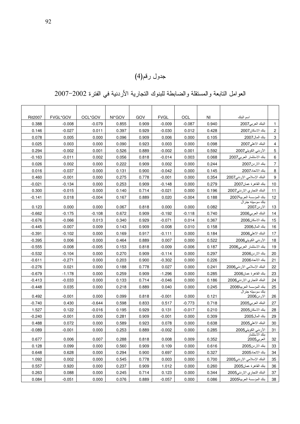### جدول رقم(4)

العوامل التابعة والمستقلة والضابطة للبنوك التجارية الأردنية في الفترة 2002–2007

|                           | اسم البنك                      | ΝI    | OCL      | <b>FVGL</b> | GOV   | NI*GOV | OCL*GOV  | FVGL*GOV | <b>Rit2007</b> |
|---------------------------|--------------------------------|-------|----------|-------------|-------|--------|----------|----------|----------------|
| 1                         | البنك العربي2007               | 0.940 | $-0.087$ | $-0.009$    | 0.909 | 0.855  | $-0.079$ | $-0.008$ | 0.388          |
| $\overline{2}$            | بنك الاسكان2007                | 0.428 | 0.012    | $-0.030$    | 0.929 | 0.397  | 0.011    | $-0.027$ | 0.146          |
| $\ensuremath{\mathsf{3}}$ | بنك المال2007                  | 0.105 | 0.000    | 0.006       | 0.909 | 0.096  | 0.000    | 0.005    | 0.078          |
| $\overline{\mathbf{4}}$   | البنك الاهلي2007               | 0.098 | 0.000    | 0.003       | 0.923 | 0.090  | 0.000    | 0.003    | 0.025          |
| $\overline{5}$            | الأردني الكويتي2007            | 0.592 | 0.001    | $-0.002$    | 0.889 | 0.526  | 0.001    | $-0.002$ | 0.294          |
| 6                         | بنك الاستثمار العربي2007       | 0.068 | 0.003    | $-0.014$    | 0.818 | 0.056  | 0.002    | $-0.011$ | $-0.163$       |
| $\boldsymbol{7}$          | بنك الار دن2007                | 0.244 | 0.000    | 0.002       | 0.909 | 0.222  | 0.000    | 0.002    | 0.026          |
| 8                         | بنك الاتحاد2007                | 0.145 | 0.000    | $-0.042$    | 0.900 | 0.131  | 0.000    | $-0.037$ | 0.016          |
| $\overline{9}$            | البنك الإسلامي الاردني2007     | 0.354 | 0.000    | $-0.001$    | 0.778 | 0.275  | 0.000    | $-0.001$ | 0.460          |
| 10                        | بنك القاهرة عمان2007           | 0.279 | 0.000    | $-0.148$    | 0.909 | 0.253  | 0.000    | $-0.134$ | $-0.021$       |
| 11                        | البنك التجاري الاردني2007      | 0.196 | 0.000    | $-0.021$    | 0.714 | 0.140  | 0.000    | $-0.015$ | 0.300          |
| 12                        | بنك المؤسسة العربية2007        | 0.188 | $-0.004$ | 0.020       | 0.889 | 0.167  | $-0.004$ | 0.018    | $-0.141$       |
| 13                        | بنك سوسيته جنرال<br>الاردن2007 | 0.082 | 0.000    | 0.000       | 0.818 | 0.067  | 0.000    | 0.000    | 0.123          |
| 14                        | البنك العربي2006               | 0.740 | $-0.118$ | $-0.192$    | 0.909 | 0.672  | $-0.108$ | $-0.175$ | $-0.662$       |
| 15                        | بنك الاسكان2006                | 0.367 | 0.014    | $-0.071$    | 0.929 | 0.340  | 0.013    | $-0.066$ | $-0.676$       |
| 16                        | بنك المال2006                  | 0.158 | 0.010    | $-0.008$    | 0.909 | 0.143  | 0.009    | $-0.007$ | $-0.445$       |
| 17                        | البنك الاهلي2006               | 0.184 | 0.000    | $-0.111$    | 0.917 | 0.169  | 0.000    | $-0.102$ | $-0.391$       |
| 18                        | الأردني الكويتي2006            | 0.522 | 0.000    | 0.007       | 0.889 | 0.464  | 0.000    | 0.006    | $-0.395$       |
| <u>19</u>                 | بنك الاستثمار العربي2006       | 0.187 | $-0.006$ | $-0.009$    | 0.818 | 0.153  | $-0.005$ | $-0.008$ | $-0.555$       |
| 20                        | بنك الاردن2006                 | 0.297 | 0.000    | $-0.114$    | 0.909 | 0.270  | 0.000    | $-0.104$ | $-0.532$       |
| 21                        | بنك الاتحاد2006                | 0.226 | 0.000    | $-0.302$    | 0.900 | 0.203  | 0.000    | $-0.271$ | $-0.611$       |
| 22                        | البنك الإسلامي الاردني2006     | 0.241 | 0.000    | 0.027       | 0.778 | 0.188  | 0.000    | 0.021    | $-0.276$       |
| 23                        | بنك القاهرة عمان2006           | 0.285 | 0.000    | $-1.296$    | 0.909 | 0.259  | 0.000    | $-1.178$ | $-0.679$       |
| 24                        | البنك التجاري الاردني2006      | 0.186 | 0.000    | $-0.046$    | 0.714 | 0.133  | 0.000    | $-0.033$ | $-0.413$       |
| 25                        | بنك المؤسسة العربية2006        | 0.245 | 0.000    | 0.040       | 0.889 | 0.218  | 0.000    | 0.035    | $-0.448$       |
| 26                        | بنك سوسيته جنرال<br>الاردن2006 | 0.121 | 0.000    | $-0.001$    | 0.818 | 0.099  | 0.000    | $-0.001$ | 0.492          |
| 27                        | البنك العربي2005               | 0.718 | $-0.773$ | 0.517       | 0.833 | 0.598  | $-0.644$ | 0.430    | $-0.740$       |
| 28                        | بنك الاسكان2005                | 0.210 | $-0.017$ | 0.131       | 0.929 | 0.195  | $-0.016$ | 0.122    | 1.527          |
| 29                        | بنك المال2005                  | 0.309 | 0.000    | $-0.001$    | 0.909 | 0.281  | 0.000    | $-0.001$ | $-0.240$       |
| 30                        | البنك الاهلي2005               | 0.638 | 0.000    | 0.078       | 0.923 | 0.589  | 0.000    | 0.072    | 0.488          |
| 31                        | الأر دني الكو بني5005          | 0.285 | 0.000    | $-0.002$    | 0.889 | 0.253  | 0.000    | $-0.001$ | $-0.089$       |
| 32                        | بنك الاستثمار<br>العربي2005    | 0.352 | 0.009    | 0.008       | 0.818 | 0.288  | 0.007    | 0.006    | 0.677          |
| 33                        | بنك الاردن2005                 | 0.616 | 0.000    | 0.109       | 0.909 | 0.560  | 0.000    | 0.099    | 0.128          |
| 34                        | بنك الاتحاد2005                | 0.327 | 0.000    | 0.697       | 0.900 | 0.294  | 0.000    | 0.628    | 0.648          |
| 35                        | البنك الإسلامي الار نني2005    | 0.700 | 0.000    | 0.003       | 0.778 | 0.545  | 0.000    | 0.002    | 1.092          |
| 36                        | بنك القاهرة عمان2005           | 0.260 | 0.000    | 1.012       | 0.909 | 0.237  | 0.000    | 0.920    | 0.557          |
| 37                        | البنك التجاري الاردنى2005      | 0.344 | 0.000    | 0.123       | 0.714 | 0.245  | 0.000    | 0.088    | 0.263          |
| 38                        | بنك المؤسسة العربية2005        | 0.086 | 0.000    |             | 0.889 |        | 0.000    | $-0.051$ | 0.084          |
|                           |                                |       |          | $-0.057$    |       | 0.076  |          |          |                |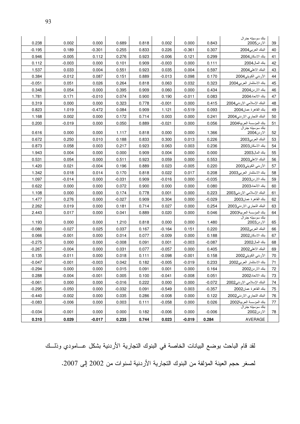| 0.238          | 0.002          | 0.000          | 0.689             | 0.818          | 0.002          | 0.000          | 0.843             | بنك سوسيته جنرال<br>الاردن2005                       | 39       |
|----------------|----------------|----------------|-------------------|----------------|----------------|----------------|-------------------|------------------------------------------------------|----------|
| $-0.195$       | 0.189          | $-0.301$       | 0.255             | 0.833          | 0.226          | $-0.361$       | 0.307             | البنك العربي2004                                     | 40       |
| 0.946          | $-0.005$       | 0.112          | 0.276             | 0.923          | $-0.006$       | 0.121          | 0.299             | بنك الاسكان2004                                      | 41       |
| 0.112          | $-0.003$       | 0.000          | 0.101             | 0.909          | $-0.003$       | 0.000          | 0.111             | بنك المال2004                                        | 42       |
| 1.537          | 0.033          | 0.004          | 0.551             | 0.923          | 0.035          | 0.004          | 0.597             | البنك الاهلي2004                                     | 43       |
| 0.384          | $-0.012$       | 0.087          | 0.151             | 0.889          | $-0.013$       | 0.098          | 0.170             | الأردني الكويتي2004                                  | 44       |
| $-0.051$       | 0.051          | 0.026          | 0.264             | 0.818          | 0.063          | 0.032          | 0.323             | بنك الاستثمار العربي2004                             | 45       |
| 0.348          | 0.054          | 0.000          | 0.395             | 0.909          | 0.060          | 0.000          | 0.434             | بنك الار دن2004                                      | 46       |
| 1.781          | 0.171          | $-0.010$       | 0.074             | 0.900          | 0.190          | $-0.011$       | 0.083             | بنك الاتحاد2004                                      | 47       |
| 0.319          | 0.000          | 0.000          | 0.323             | 0.778          | $-0.001$       | 0.000          | 0.415             | البنك الإسلامي الار نني2004                          | 48       |
| 0.823          | 1.019          | $-0.472$       | 0.084             | 0.909          | 1.121          | $-0.519$       | 0.093             | بنك القاهر ة عمان2004                                | 49       |
| 1.168          | 0.002          | 0.000          | 0.172             | 0.714          | 0.003          | 0.000          | 0.241             | البنك التجاري الاردنى2004                            | 50       |
| 0.200          | $-0.019$       | 0.000          | 0.050             | 0.889          | $-0.021$       | 0.000          | 0.056             | بنك المؤسسة العربية2004                              | 51       |
|                |                |                |                   |                |                |                |                   | بنك سوسيته جنرال                                     |          |
| 0.616          | 0.000<br>0.250 | 0.000          | 1.117             | 0.818          | 0.000          | 0.000          | 1.366             | الاردن2004                                           | 52       |
| 0.672          |                | 0.010          | 0.188             | 0.833          | 0.300          | 0.013          | 0.226             | البنك العربي2003                                     | 53       |
| 0.873          | 0.058<br>0.004 | 0.003<br>0.000 | 0.217<br>0.000    | 0.923<br>0.909 | 0.063          | 0.003          | 0.236             | بنك الاسكان2003<br>بنك المال2003                     | 54       |
| 1.943          | 0.054          |                |                   |                | 0.004          | 0.000          | 0.000             |                                                      | 55       |
| 0.531          |                | 0.000          | 0.511             | 0.923          | 0.059          | 0.000          | 0.553             | البنك الاهلي2003                                     | 56       |
| 1.420          | 0.021          | $-0.004$       | 0.196             | 0.889          | 0.023          | $-0.005$       | 0.220             | الأرنني الكويتي2003<br>بنك الاستثمار العربي2003      | 57       |
| 1.342          | 0.018          | 0.014          | 0.170             | 0.818          | 0.022          | 0.017          | 0.208             |                                                      | 58       |
| 1.097          | $-0.014$       | 0.000          | $-0.031$          | 0.909          | $-0.016$       | 0.000          | $-0.035$          | بنك الار دن2003                                      | 59       |
| 0.622          | 0.000          | 0.000          | 0.072             | 0.900          | 0.000          | 0.000          | 0.080             | بنك الاتحاد2003                                      | 60       |
| 1.108<br>1.477 | 0.000<br>0.276 | 0.000<br>0.000 | 0.174<br>$-0.027$ | 0.778<br>0.909 | 0.001<br>0.304 | 0.000<br>0.000 | 0.223<br>$-0.029$ | البنك الإسلامي الاردني2003<br>بنك القاهر ة عمان2003  | 61<br>62 |
| 2.262          | 0.019          | 0.000          | 0.181             | 0.714          | 0.027          | 0.000          | 0.254             |                                                      | 63       |
| 2.443          | 0.017          | 0.000          | 0.041             | 0.889          | 0.020          |                | 0.046             | البنك التجاري الاردني2003<br>بنك المؤسسة العربية2003 | 64       |
|                |                |                |                   |                |                | 0.000          |                   | بنك سوسيته جنرال                                     |          |
| 1.193          | 0.000          | 0.000          | 1.210             | 0.818          | 0.000          | 0.000          | 1.480             | الارىن2003                                           | 65       |
| $-0.080$       | $-0.027$       | 0.025          | 0.037             | 0.167          | $-0.164$       | 0.151          | 0.220             | البنك العربي2002                                     | 66       |
| 0.066          | $-0.001$       | 0.000          | 0.014             | 0.077          | $-0.009$       | 0.000          | 0.188             | بنك الاسكان2002                                      | 67       |
| $-0.275$       | 0.000          | 0.000          | $-0.008$          | 0.091          | 0.001          | $-0.003$       | $-0.087$          | بنك المال2002                                        | 68       |
| $-0.267$       | $-0.004$       | 0.000          | 0.031             | 0.077          | $-0.057$       | 0.000          | 0.405             | البنك الاهلي2002                                     | 69       |
| 0.135          | $-0.011$       | 0.000          | 0.018             | 0.111          | $-0.098$       | $-0.001$       | 0.158             | الأردني الكويتي2002                                  | 70       |
| $-0.047$       | $-0.001$       | $-0.003$       | 0.042             | 0.182          | $-0.005$       | $-0.019$       | 0.233             | بنك الاستثمار العربي2002                             | 71       |
| $-0.294$       | 0.000          | 0.000          | 0.015             | 0.091          | 0.001          | 0.000          | 0.164             | بنك الاردن2002                                       | 72       |
| 0.288          | $-0.004$       | $-0.001$       | 0.005             | 0.100          | $-0.041$       | $-0.008$       | 0.051             | بنك الاتحاد2002                                      | 73       |
| $-0.061$       | 0.000          | 0.000          | $-0.016$          | 0.222          | 0.000          | 0.000          | $-0.072$          | البنك الإسلامي الار دني2002                          | 74       |
| $-0.295$       | $-0.050$       | 0.000          | $-0.032$          | 0.091          | $-0.549$       | 0.003          | $-0.357$          | بنك القاهرة عمان2002                                 | 75       |
| $-0.440$       | $-0.002$       | 0.000          | 0.035             | 0.286          | $-0.008$       | 0.000          | 0.122             | البنك التجاري الاردنى2002                            | 76       |
| $-0.083$       | $-0.006$       | 0.000          | 0.003             | 0.111          | $-0.058$       | 0.000          | 0.026             | بنك المؤسسة العربية2002                              | 77       |
| $-0.034$       | $-0.001$       | 0.000          | 0.000             | 0.182          | $-0.006$       | 0.000          | $-0.006$          | بنك سو سيته جنر ال<br>الارىن2002                     | 78       |
| 0.310          | 0.029          | $-0.017$       | 0.235             | 0.744          | 0.023          | $-0.019$       | 0.284             | AVERAGE                                              |          |

لقد قام الباحث بوضع البيانات الخاصة في البنوك التجارية الأردنية بشكل عـــامودي وذلـــك لصغر حجم العينة المؤلفة من البنوك التجارية الأردنية لسنوات من 2002 إلى 2007.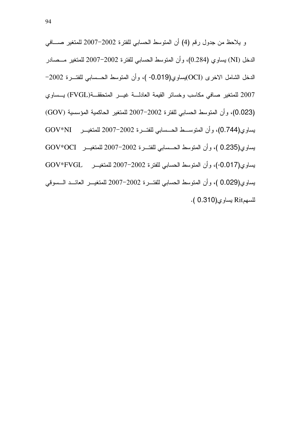'(% F 2007H2002 # ' 8 / (4) < 4 9: % F 2007H2002 # ' 8 / .(0.284) G (NI) 5 H2002 # ' 8 / .( -0.019)G(OCI) Q5A  5 G (FVGL) O \*5 1 '(% F 2007 (GOV) K F 2007H2002 # ' 8 / .(0.023) GOV\*NI F 2007H2002 # ' 8 / .(0.744)G GOV\*OCI F 2007H2002 # ' 8 / ( . 0.235)G GOV\*FVGL F 2007H2002 # ' 8 / .(-0.017)G '< \* F 2007H2002 # ' 8 / .( 0.029)G .( 0.310)G Rit-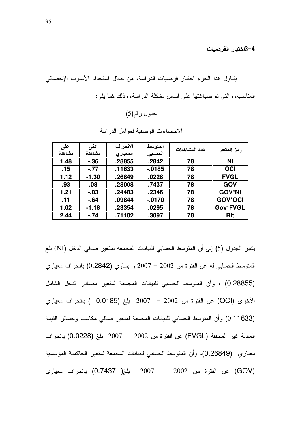4–3اختبار الفرضيات

| أعلمى<br>مشاهدة | أدنى<br>مشاهدة | الانحراف<br>المعيارى | المتوسط<br>الحسابى | عدد المشاهدات | رمز المتغير    |
|-----------------|----------------|----------------------|--------------------|---------------|----------------|
| 1.48            | $-36$          | .28855               | .2842              | 78            | ΝI             |
| .15             | $-.77$         | .11633               | $-0.0185$          | 78            | <b>OCI</b>     |
| 1.12            | $-1.30$        | .26849               | .0228              | 78            | <b>FVGL</b>    |
| .93             | .08            | .28008               | .7437              | 78            | <b>GOV</b>     |
| 1.21            | $-0.03$        | .24483               | .2346              | 78            | <b>GOV*NI</b>  |
| .11             | $-64$          | .09844               | $-0170$            | 78            | <b>GOV*OCI</b> |
| 1.02            | $-1.18$        | .23354               | .0295              | 78            | Gov*FVGL       |
| 2.44            | $-.74$         | .71102               | .3097              | 78            | Rit            |

الاحصباءات الوصفية لعوامل الدر اسة

يشير الجدول (5) إلى أن المتوسط الحسابي للبيانات المجمعه لمتغير صافي الدخل (NI) بلغ المتوسط الحسابي له عن الفترة من 2002 – 2007 و يساوي (0.2842) بانحراف معياري (0.28855) ، وأن المتوسط الحسابي للبيانات المجمعة لمتغير مصادر الدخل الشامل الأخرى (OCI) عن الفترة من 2002 – 2007 بلغ (0.0185- ) بانحراف معياري (0.11633) وأن المنوسط الحسابي للبيانات المجمعة لمنغير صافي مكاسب وخسائر القيمة العادلة غير المحققة (FVGL) عن الفترة من 2002 – 2007 بلغ (0.0228) بانحراف معياري (0.26849)، وأن المتوسط الحسابي للبيانات المجمعة لمتغير الحاكمية المؤسسية (GOV) عن الفترة من 2002 – 2007 بلغ( 0.7437) بانحراف معياري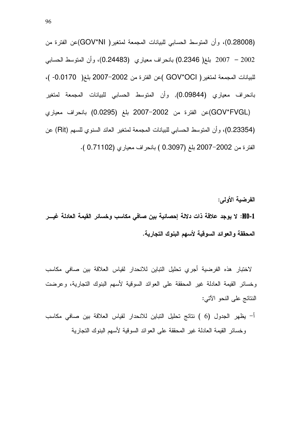(0.28008)، وأن المتوسط الحسابي للبيانات المجمعة لمتغير( GOV\*NI)عن الفترة من 2002 – 2007 بلغ( 0.2346) بانحراف معياري (0.24483)، وأن المتوسط الحسابي للبيانات المجمعة لمتغير ( GOV\*OCI )عن الفترة من 2002–2007 بلغ( 0.0170- )، بانحراف معياري (0.09844), وأن المنوسط الحسابي للبيانات المجمعة لمتغير (GOV\*FVGL)عن الفترة من 2002–2007 بلغ (0.0295) بانحراف معياري (0.23354)، وأن المنوسط الحسابي للبيانات المجمعة لمتغير العائد السنوى للسهم (Rit) عن الفترة من 2002–2007 بلغ (0.3097 ) بانحراف معياري (0.71102 ).

الفرضية الأولم: H0-1: لا يوجد علاقة ذات دلالة إحصائية بين صافى مكاسب وخسائر القيمة العادلة غيـــر المحققة والعوائد السوقية لأسهم البنوك التجارية.

لاختبار هذه الفرضية أجري تحليل التباين للانحدار لقياس العلاقة بين صافى مكاسب وخسائر القيمة العادلة غير المحققة على العوائد السوقية لأسهم البنوك التجارية، وعرضت النتائج على النحو الآتي:

أ– يظهر الجدول (6 ) نتائج تحليل التباين للانحدار لقياس العلاقة بين صافى مكاسب وخسائر القيمة العادلة غير المحققة على العوائد السوقية لأسهم البنوك التجارية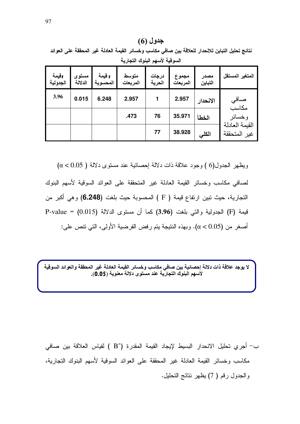$(6)$  جدول نتائج تحليل التباين للانحدار للعلاقة بين صافى مكاسب وخسائر القيمة العادلة غير المحققة على العوائد السوقية لأسهم البنوك التجارية

| اقيمة<br>الجدولية | مستوى<br>الدلالة | F قيمة<br>المحسوبة | متوسط<br>المربعات | درجات<br>الحرية | مجموع<br>المربعات | مصدر<br>التباين | المتغير المستقل                |
|-------------------|------------------|--------------------|-------------------|-----------------|-------------------|-----------------|--------------------------------|
| 3.96              | 0.015            | 6.248              | 2.957             |                 | 2.957             | الانحدار        | صافي<br>مكاسب                  |
|                   |                  |                    | .473              | 76              | 35.971            | الخطأ           | و خسائر                        |
|                   |                  |                    |                   | 77              | 38.928            | الكلى           | القيمة العادلة<br>غير المتحققة |

ويظهر الجدول(6 ) وجود علاقة ذات دلالة اِحصائية عند مستوى دلالة ( 0.05 ) ( 0.05 ) لصافي مكاسب وخسائر القيمة العادلة غير المتحققة على العوائد السوقية لأسهم البنوك التجارية، حيث تبين ارتفاع قيمة ( F ) المحسوبة حيث بلغت (**6.248)** وهي أكبر من قيمة (F) الجدولية والتي بلغت (3.96) كما أن مستوى الدلالة (P-value = (0.015 أصغر من  $(\alpha < 0.05)$ . وبهذه النتيجة يتم رفض الفرضية الأولى، التي تتص على:

لا يوجد علاقة ذات دلالة إحصائية بين صافي مكاسب وخسائر القيمة العادلة غير المحققة والعوائد السوقية لأُسهم البنوك التجارية عند مستوى دلالة معنوية (0.05).

ب– أجرى تحليل الانحدار البسيط لإيجاد القيمة المقدرة (^B ) لقياس العلاقة بين صـافي مكاسب وخسائر القيمة العادلة غير المحققة على العوائد السوقية لأسهم البنوك النجارية، والجدول رقم ( 7) يظهر نتائج التحليل.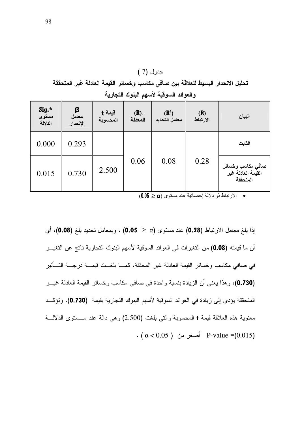|                           | – vr<br>— <del>بی</del> ں — سی - — ب ر — — ب<br><del>. .</del><br>والعوائد السوقية لأسهم البنوك التجارية |                               |                 |                                    |                 |                                                     |  |  |  |  |  |
|---------------------------|----------------------------------------------------------------------------------------------------------|-------------------------------|-----------------|------------------------------------|-----------------|-----------------------------------------------------|--|--|--|--|--|
| Sig.*<br>مستوى<br>الدلالة | β<br>معامل<br>الإنحدار                                                                                   | قيمة <del>t</del><br>المحسوبة | .(R)<br>المعدلة | (R <sup>2</sup> )<br>معامل التحديد | (R)<br>الارتباط | البيان                                              |  |  |  |  |  |
| 0.000                     | 0.293                                                                                                    |                               |                 |                                    |                 | الثابت                                              |  |  |  |  |  |
| 0.015                     | 0.730                                                                                                    | 2.500                         | 0.06            | 0.08                               | 0.28            | صافي مكاسب وخسائر<br>القيمة العادلة غير<br>المتحققة |  |  |  |  |  |

تحليل الانحدار اليسيط للعلاقة بين صافي مكاسب وخسائر القيمة العادلة غير المتحققة

جدول (7 )

 $(0.05 \geq \alpha)$  الارتباط ذو دلالة إحصائية عند مستوى  $\alpha$ 

إذا بلغ معامل الارتباط (0.28) عند مستوى (a, 2 × 0.05) ، وبمعامل تحديد بلغ (0.08)، أي أن ما قيمته (0.08) من التغيرات في العوائد السوقية لأسهم البنوك التجارية ناتج عن التغيـــر في صافي مكاسب وخسائر القيمة العادلة غير المحققة، كمـــا بلغـــت قيمـــة درجـــة التــــأثير (0.730)، وهذا يعني أن الزيادة بنسبة واحدة في صافي مكاسب وخسائر القيمة العادلة غيـــر المتحققة يؤدي إلى زيادة في العوائد السوقية لأسهم البنوك التجارية بقيمة (0.730). وتؤكــد معنوية هذه العلاقة قيمة t المحسوبة والتبي بلغت (2.500) وهي دالة عند مـستوى الدلالــة  $( \alpha < 0.05 )$  أصغر من P-value =(0.015)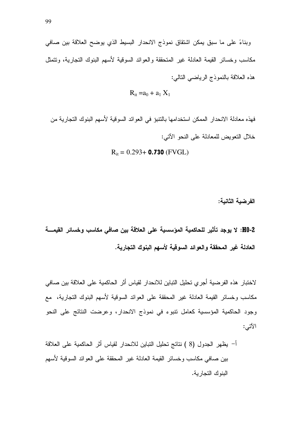وبناءً على ما سبق يمكن اشتقاق نموذج الانحدار البسيط الذي يوضح العلاقة بين صافى مكاسب وخسائر القيمة العادلة غير المتحققة والعوائد السوفية لأسهم البنوك التجارية، ونتمثل هذه العلاقة بالنموذج الرياضي النالي:

$$
R_{it} = a_0 + a_1 X_1
$$

$$
R_{it} = 0.293 +
$$
 **0.730** (FVGL)

الفرضية الثانية:

H0-2: لا يوجد تأثير للحاكمية المؤسسية على العلاقة بين صافي مكاسب وخسائر القيمــــة العادلة غير المحققة والعوائد السوقية لأسهم البنوك التجارية.

لاختبار هذه الفرضية أجري تحليل التباين للانحدار لقياس أثر الحاكمية على العلاقة بين صافي مكاسب وخسائر القيمة العادلة غير المحققة على العوائد السوقية لأسهم البنوك النجارية، مع وجود الحاكمية المؤسسية كعامل نتبوء في نموذج الانحدار، وعرضت النتائج على النحو الآتي:

أ– يظهر الجدول (8 ) نتائج تحليل النباين للانحدار لقياس أثر الحاكمية على العلاقة بين صافى مكاسب وخسائر القيمة العادلة غير المحققة على العوائد السوقية لأسهم البنوك التجارية.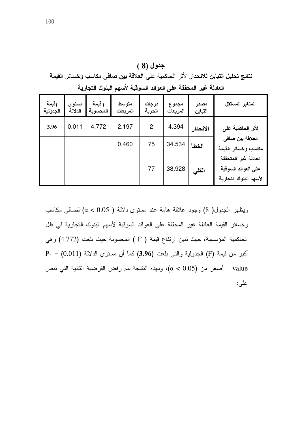جدول (8) نتائج تحليل التباين للانحدار لأثر الحاكمية على العلاقة بين صافى مكاسب وخسائر القيمة العادلة غير المحققة على العوائد السوقية لأسهم البنوك التجارية

| اقيمة<br>الجدولية | مستوى<br>الدلالة | F قيمة<br>المحسوبة | متوسط<br>المربعات | درجات<br>المرية | مجموع<br>المربعات | مصدر<br>التباين | المتغير المستقل                                                      |
|-------------------|------------------|--------------------|-------------------|-----------------|-------------------|-----------------|----------------------------------------------------------------------|
| 3.96              | 0.011            | 4.772              | 2.197             | $\overline{2}$  | 4.394             | الانحدار        | لأثر الحاكمية على                                                    |
|                   |                  |                    | 0.460             | 75              | 34.534            | الخطأ           | العلاقة بين صافي<br>مكاسب وخسائر القيمة                              |
|                   |                  |                    |                   | 77              | 38.928            | الكلى           | العادلة غير المتحققة<br>على العوائد السوقية<br>لأسهم البنوك التجارية |

ويظهر الجدول( 8) وجود علاقة هامة عند مستوى دلالة ( 0.05) ( 0.05) لصافى مكاسب وخسائر القيمة العادلة غير المحققة على العوائد السوقية لأسهم البنوك التجارية في ظل الحاكمية المؤسسية، حيث نبين ارتفاع قيمة ( F ) المحسوبة حيث بلغت (4.772) وهي P- = (0.011) الجدولية والتبي بلغت (3.96) كما أن مستوى الدلالة P- = (0.011) على: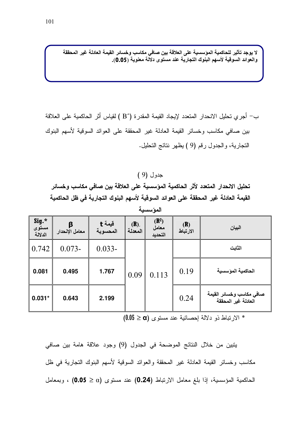لا يوجد تأثير للحاكمية المؤسسية على العلاقة بين صافي مكاسب وخسائر القيمة العادلة غير المحققة والعوائد السوقية لأسهم البنوك التجارية عند مستوى دلالة معنوية (0.05).

ب— أجرى تحليل الانحدار المتعدد لإيجاد القيمة المقدرة (^B ) لقياس أثر الحاكمية على العلاقة بين صافى مكاسب وخسائر القيمة العادلة غير المحققة على العوائد السوقية لأسهم البنوك التجارية، والجدول رقم (9) يظهر نتائج التحليل.

 $(9)$  جدول

تحليل الانحدار المتعدد لأثر الحاكمية المؤسسية على العلاقة بين صافى مكاسب وخسائر القيمة العادلة غير المحققة على العوائد السوقية لأسهم البنوك التجارية فى ظل الحاكمية

| Sig.*<br>مستوى<br>الدلالة | معامل الإنحدار | قيمة <b>t</b><br>المحسوبة | (R)<br>المعدلة | $(R^2)$ معامل<br>التحديد | ( <b>R</b> )<br>الارتباط | البيان                                          |
|---------------------------|----------------|---------------------------|----------------|--------------------------|--------------------------|-------------------------------------------------|
| 0.742                     | $0.073 -$      | $0.033 -$                 |                |                          |                          | الثابت                                          |
| 0.081                     | 0.495          | 1.767                     | 0.09           | 0.113                    | 0.19                     | الحاكمية المؤسسية                               |
| $0.031*$                  | 0.643          | 2.199                     |                |                          | 0.24                     | صافي مكاسب وخسائر القيمة<br>العادلة غير المحققة |

المؤسسية

\* الارتباط ذو دلالة إحصائية عند مستوى (0.05 ≥ 0.05)

يتبين من خلال النتائج الموضحة في الجدول (9) وجود علاقة هامة بين صافى مكاسب وخسائر القيمة العادلة غير المحققة والعوائد السوقية لأسهم البنوك التجارية في ظل الحاكمية المؤسسية، إذا بلغ معامل الارتباط (0.24) عند مستوى (α ≤ 0.05) ، وبمعامل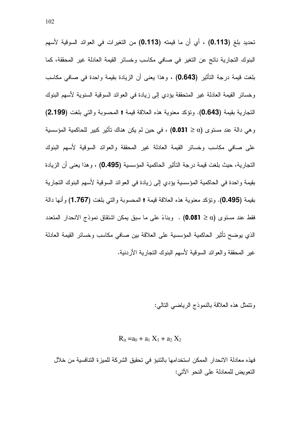تحديد بلغ (0.113) ، أي أن ما قيمته (0.113) من التغيرات في العوائد السوقية لأسهم البنوك التجارية ناتج عن التغير في صافي مكاسب وخسائر القيمة العادلة غير المحققة، كما بلغت قيمة درجة التأثير (0.643) ، وهذا يعني أن الزيادة بقيمة واحدة في صافي مكاسب وخسائر القيمة العادلة غير المتحققة يؤدي إلى زيادة في العوائد السوقية السنوية لأسهم البنوك التجارية بقيمة (0.643). وتؤكد معنوية هذه العلاقة قيمة t المحسوبة والتي بلغت (2.199) و هي دالة عند مستوى (@ ≤ 0.031) ، في حين لم يكن هناك تأثير كبير للحاكمية المؤسسية على صافى مكاسب وخسائر القيمة العادلة غير المحققة والعوائد السوقية لأسهم البنوك التجارية، حيث بلغت قيمة درجة التأثير الحاكمية المؤسسية (0.495) ، وهذا يعني أن الزيادة بقيمة واحدة في الحاكمية المؤسسية يؤدي إلى زيادة في العوائد السوقية لأسهم البنوك التجارية بقيمة (0.495). وتؤكد معنوية هذه العلاقة قيمة † المحسوبة والتي بلغت (1.767) وأنها دالة فقط عند مستوى (0.081 = 0.081) . وبناءً على ما سبق بمكن اشتقاق نموذج الانحدار المتعدد الذي يوضح نأثير الحاكمية المؤسسية على العلاقة بين صافى مكاسب وخسائر القيمة العادلة غير المحققة والعوائد السوقية لأسهم البنوك النجارية الأردنية.

ونتمثَّل هذه العلاقة بالنموذج الرياضي النالبي:

$$
R_{it} = a_0 + a_1 X_1 + a_2 X_2
$$

فهذه معادلة الانحدار الممكن استخدامها بالنتبوَ في تحقيق الشركة للميز ة النتافسية من خلال النعويض للمعادلة على النحو الآتي: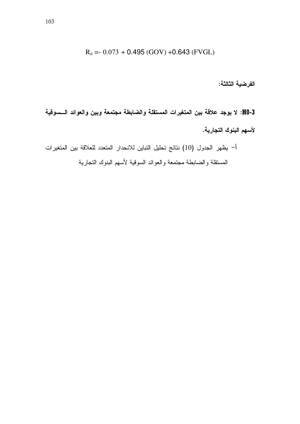$$
R_{it} = 0.073 + 0.495 (GOV) + 0.643 (FVGL)
$$

الفرضية الثالثة:

H0-3: لا يوجد علاقة بين المتغيرات المستقلة والضابطة مجتمعة وبين والعوائد الـــسوقية لأسهم البنوك التجارية.

أ– يظهر الجدول (10) نتائج تحليل النباين للانحدار المتعدد للعلاقة بين المتغيرات المستقلة والضابطة مجتمعة والعوائد السوقية لأسهم البنوك التجارية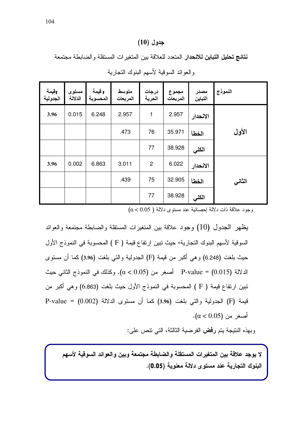#### جدول (10)

نتائج تحليل التباين للانحدار المتعدد للعلاقة بين المتغيرات المستقلة والضابطة مجتمعة

| وقيمة<br>الجدولية | مستوى<br>الدلالة | F قيمة<br>المحسوبة | متوسط<br>المربعات | درجات<br>الحرية | مجموع<br>المربعات | مصدر<br>التباين | النموذج |
|-------------------|------------------|--------------------|-------------------|-----------------|-------------------|-----------------|---------|
| 3.96              | 0.015            | 6.248              | 2.957             | 1               | 2.957             | الانحدار        |         |
|                   |                  |                    | .473              | 76              | 35.971            | الخطأ           | الأول   |
|                   |                  |                    |                   | 77              | 38.928            | الكلي           |         |
| 3.96              | 0.002            | 6.863              | 3.011             | $\overline{2}$  | 6.022             | الانحدار        |         |
|                   |                  |                    | .439              | 75              | 32.905            | الخطأ           | الثانى  |
|                   |                  |                    |                   | 77              | 38.928            | الكلي           |         |

و العو ائد السوقية لأسهم البنوك التجار ية

 $\alpha < 0.05$  وجود علاقة ذات دلالة احصائية عند مستوى دلالة (

يظهر الجدول (10) وجود علاقة بين المنغيرات المستقلة والضابطة مجتمعة والعوائد السوقية لأسهم البنوك التجارية، حيث تبين ارتفاع قيمة ( F ) المحسوبة في النموذج الأول حيث بلغت (6.248) وهي أكبر من قيمة (F) الجدولية والتي بلغت (3.96) كما أن مستوى الدلالة P-value = (0.015) أصغر من (0.05 ). وكذلك في النموذج الثاني حيث تبين ارتفاع قيمة ( F ) المحسوبة في النموذج الأول حيث بلغت (6.863) وهي أكبر من قيمة (F) الجدولية والتي بلغت (3.96) كما أن مستوى الدلالة (0.002) = P-value  $\cdot$ أصغر من  $(0.05)$ .

وبهذه النتيجة يتم **رفض** الفرضية الثالثة، التي تتص على:

لا يوجد علاقة بين المتغيرات المستقلة والضابطة مجتمعة وبين والعوائد السوقية لأسهم البنوك التجارية عند مستوى دلالة معنوية (0.05).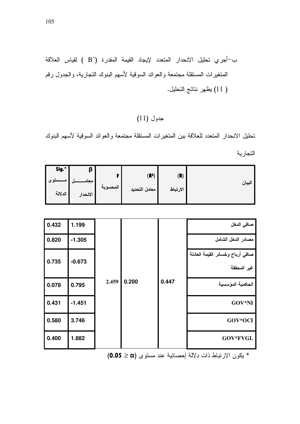# جدول (11)

نحليل الانحدار المنعدد للعلاقة بين المنغيرات المستقلة مجتمعة والعوائد السوقية لأسهم البنوك التجارية

| Sig.*                   | β                |          |                                    |                 |        |
|-------------------------|------------------|----------|------------------------------------|-----------------|--------|
| - مـــستوى -<br>الدلالة | معام<br>الانحدار | المحسوبه | (R <sup>2</sup> )<br>معامل التحديد | (R)<br>الارتباط | البيان |

| 0.432 | 1.199    |       |       |       | صافى الدخل                                      |
|-------|----------|-------|-------|-------|-------------------------------------------------|
| 0.820 | $-1.305$ |       |       |       | مصادر الدخل الشامل                              |
| 0.735 | $-0.673$ |       |       |       | صافي أرباح وخسائر القيمة العادلة<br>غير المحققة |
| 0.078 | 0.795    | 2.459 | 0.200 | 0.447 | الحاكمية المؤسسية                               |
| 0.431 | $-1.451$ |       |       |       | GOV*NI                                          |
| 0.580 | 3.746    |       |       |       | GOV*OCI                                         |
| 0.400 | 1.882    |       |       |       | GOV*FVGL                                        |

\* يكون الارتباط ذات دلالة إحصائية عند مستوى (0.05 ≥ 0.05)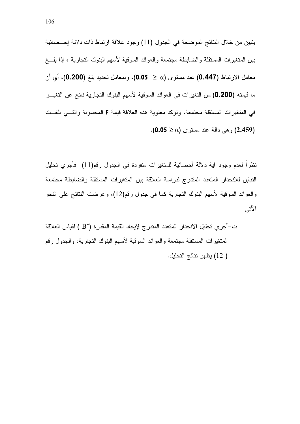يتبين من خلال النتائج الموضحة في الجدول (11) وجود علاقة ارتباط ذات دلالة إحــصائية بين المتغيرات المستقلة والضابطة مجتمعة والعوائد السوقية لأسهم البنوك التجارية ، إذا بلـــغ معامل الارتباط (**0.447)** عند مستوى (a ≤ 0.**05)**، وبمعامل تحديد بلغ (**0.200)**، أي أن ما قيمته (0.200) من التغيرات في العوائد السوقية لأسهم البنوك التجارية ناتج عن التغيـــر في المتغيرات المستقلة مجتمعة، وتؤكد معنوية هذه العلاقة قيمة F المحسوبة والتسي بلغــت وهي دالة عند مستوى (0.05  $(2.459)$ .

نظراً لعدم وجود اية دلالة أحصائية للمتغيرات منفردة في الجدول رقم(11) فأجري تحليل النباين للانحدار المنعدد المندرج لدراسة العلاقة بين المتغيرات المستقلة والضابطة مجتمعة والعوائد السوقية لأسهم البنوك التجارية كما في جدول رقم(12)، وعرضت النتائج على النحو الآتي: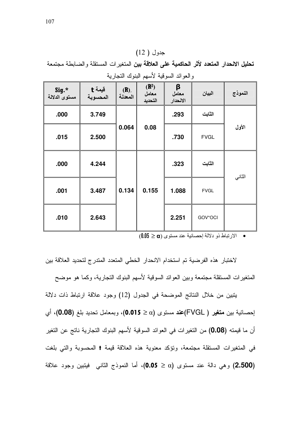## $(12)$  جدول

تحليل الانحدار المتعدد لأثر الحاكمية على العلاقة بين المتغيرات المستقلة والضابطة مجتمعة والعوائد السوقية لأسهم البنوك التجارية

| Sig.*<br>مستوى الدلالة | قيمة <del>t</del><br>المحسوبة | .(R)<br>المعدلة | (R <sup>2</sup> )<br>معامل<br>التحديد | β<br>معامل<br>الانحدار | البيان      | النموذج |
|------------------------|-------------------------------|-----------------|---------------------------------------|------------------------|-------------|---------|
| .000                   | 3.749                         |                 |                                       | .293                   | الثابت      |         |
| .015                   | 2.500                         | 0.064           | 0.08                                  | .730                   | <b>FVGL</b> | الأول   |
| .000                   | 4.244                         |                 |                                       | .323                   | الثابت      | الثاني  |
| .001                   | 3.487                         | 0.134           | 0.155                                 | 1.088                  | <b>FVGL</b> |         |
| .010                   | 2.643                         |                 |                                       | 2.251                  | GOV*OCI     |         |

 $(0.05 \geq \alpha)$  الارتباط ذو دلالة إحصائية عند مستوى  $(0.05 \geq \alpha)$ 

لاختبار هذه الفرضية تم استخدام الانحدار الخطي المتعدد المتدرج لتحديد العلاقة بين المتغير ات المستقلة مجتمعة وبين العوائد السوقية لأسهم البنوك التجارية، وكما هو موضح

يتبين من خلال النتائج الموضحة في الجدول (12) وجود علاقة ارتباط ذات دلالة إحصائية بين **متغير (** FVGL)عند مستوى (a.015 ≥ 0.015)، وبمعامل تحديد بلغ (0.08)، أي أن ما قيمته (0.08) من التغيرات في العوائد السوقية لأسهم البنوك التجارية ناتج عن التغير في المتغيرات المستقلة مجتمعة، ونؤكد معنوية هذه العلاقة قيمة † المحسوبة والتي بلغت (2.500) وهي دالة عند مستوى (α ≤ 0.05)، أما النموذج الثانبي فيتبين وجود علاقة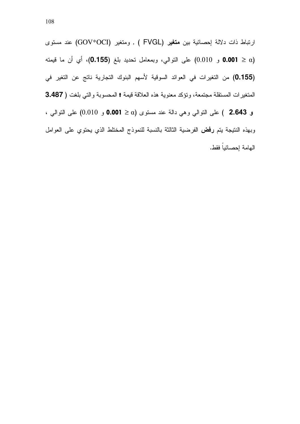ارتباط ذات دلالة إحصائية بين م**تغير (FVGL )** , ومتغير (GOV\*OCI) عند مستوى و 0.001) على التوالي، وبمعامل تحديد بلغ (0.155)، أي أن ما قيمته  $(0.155)$ (0.155) من التغيرات في العوائد السوقية لأسهم البنوك التجارية ناتج عن التغير في المتغيرات المستقلة مجتمعة، وتؤكد معنوية هذه العلاقة قيمة † المحسوبة والتي بلغت ( 3.487

و 2.643 ) على النوالي وهي دالة عند مستوى (a < 0.001 و 0.010) على النوالي ، وبهذه النتيجة يتم **رفض** الفرضية الثالثة بالنسبة للنموذج المختلط الذي يحتوى على العوامل الهامة إحصائياً فقط.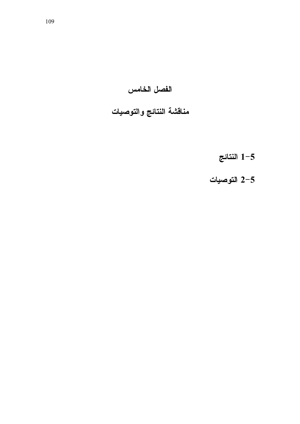الفصل الخامس

مناقشة النتائج والتوصيات

النتائج  $1\text{--}5$ 

2-5 التوصيات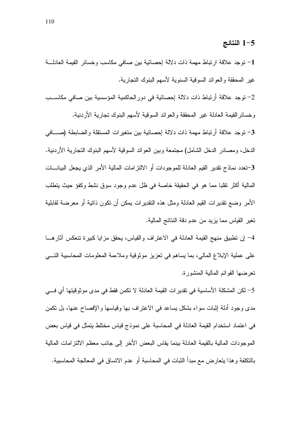### 1-5 النتائج

1– نوجد علاقة ارتباط مهمة ذات دلالة إحصائية بين صافي مكاسب وخسائر القيمة العادلــــة غير المحققة والعوائد السوقية السنوية لأسهم البنوك التجارية.

2– توجد علاقة أرتباط ذات دلالة إحصائية في دور الحاكمية المؤسسية بين صافي مكاســب وخسائر القيمة العادلة غير المحققة والعوائد السوقية لأسهم البنوك تجارية الأردنية.

3– توجد علاقة أرتباط مهمة ذات دلالة إحصائية بين متغيرات المستقلة والضابطة (صــــافي الدخل، ومصـادر الدخل الشامل) مجتمعة وبين العوائد السوقية لأسهم البنوك التجارية الأردنية. 3–تعدد نماذج نقدير القيم العادلة للموجودات أو الالنزامات المالية الأمر الذي يجعل البيانـــات المالية أكثر نقلبا مما هو في الحقيقة خاصة في ظل عدم وجود سوق نشط وكفؤ حيث يتطلب الأمر وضع تقديرات القيم العادلة ومثل هذه النقديرات يمكن أن نكون ذاتية أو معرضة لقابلية تغير القياس مما يزيد من عدم دقة النتائج المالية.

4– إن نطبيق منهج القيمة العادلة في الاعتراف والقياس، يحقق مزايا كبيرة نتعكس أثار هـــا على عملية الإبلاغ المالي، بما يساهم في تعزيز موثوقية وملاءمة المعلومات المحاسبية التـــي نعر ضها القوائم المالية المنشور ة.

5– لكن المشكلة الأساسية في تقديرات القيمة العادلة لا تكمن فقط في مدى موثوقيتها أي فـــي مدى وجود أدلَّة إثبات سواء بشكل يساعد في الاعتراف بها وقياسها والإفصاح عنها، بل نكمن في اعتماد استخدام القيمة العادلة في المحاسبة على نموذج قياس مختلط يتمثل في قياس بعض الموجودات المالية بالقيمة العادلة بينما يقاس البعض الأخر إلى جانب معظم الالنز امات المالية بالنكلفة وهذا يتعارض مع مبدأ الثبات في المحاسبة أو عدم الاتساق في المعالجة المحاسبية.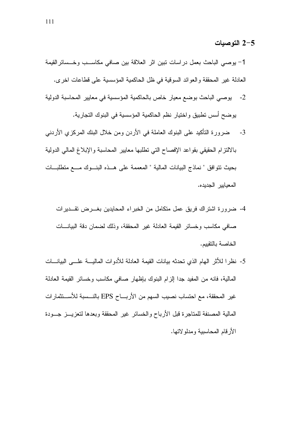1– يوصبي الباحث بعمل در اسات نبين اثر العلاقة بين صافي مكاســـب وخـــسائر القيمة العادلة غير المحققة والعوائد السوقية في ظل الحاكمية المؤسسية على قطاعات اخرى.

- 2- يوصبي الباحث بوضع معيار خاص بالحاكمية المؤسسية في معايير المحاسبة الدولية يوضح أسس تطبيق واختيار نظم الحاكمية المؤسسية في البنوك التجارية.
- 3- ضرورة التأكيد على البنوك العاملة في الأردن ومن خلال البنك المركزي الأردني بالالتزام الحقيقى بقواعد الإفصاح التبى تطلبها معايير المحاسبة والإبلاغ المالمي الدولية بحيث نتوافق " نماذج البيانات المالية " المعممة على هــذه البنــوك مـــع منطلبــات المعيابير الجديده.
	- 4- ضرورة اشتراك فريق عمل متكامل من الخبراء المحايدين بغـــرض تقـــديرات صافى مكاسب وخسائر القيمة العادلة غير المحققة، وذلك لضمان دقة البيانـــات الخاصة بالتقييم.
- 5- نظر ا للأثر الهام الذي تحدثه بيانات القيمة العادلة للأدو ات الماليـــة علــــى البيانــــات المالية، فانه من المفيد جدا إلزام البنوك بإظهار صافى مكاسب وخسائر القيمة العادلة غير المحققة، مع احتساب نصيب السهم من الأربـــاح EPS بالنـــسبة للأســـنثمارات المالية المصنفة للمتاجرة قبل الأرباح والخسائر غير المحققة وبعدها لتعزيـــز جـــودة الأرقام المحاسبية ومدلولاتها.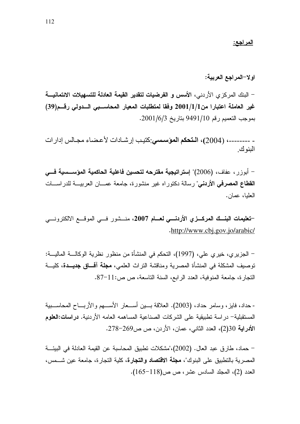اولا–المراجع العربية:

– البنك المركزى الأردني، الأسس و ا**لفرضيات لتقدير القيمة العادلة للتسهيلات الائتمانيـــة** غير العاملة اعتبارا من1/1/1ه وفقا لمتطلبات المعيار المحاسسبي السدولي رقسم(39) بموجب التعميم رقم 9491/10 بتاريخ 2001/6/3.

- --------، (2004)، ا**لتحكم المؤسسي**:كتيب إر شـادات لأعـضـاء مجـالس إدار ات البنو ك

– أبوزر ، عفاف، (2006)" إستراتيجية مقترحه لتحسين فاعلية الحاكمية المؤســسية فـــي **القطاع المصرفي الأردني**" رسالة دكتور اه غير منشورة، جامعة عصــان العربيـــة للدر اســـات العلبا، عمان.

-تعليمات البنسك العركسزي الأردنسي لعسام 2007، منسشور فسي الموقسع الالكترونسي .http://www.cbj.gov.jo/arabic/

– الجزيري، خيري علي، (1997)، التحكم في المنشأة من منظور نظرية الوكالــــة الماليــــة: توصيف المشكلة في المنشأة المصرية ومناقشة النراث العلمي، **مجلة آفاق جديــدة**، كليـــة النجار ة، جامعة المنوفية، العدد الرابع، السنة التاسعة، ص ص:11-87.

- حداد، فايز ، وسامر حداد، (2003). العلاقة بسين أســعار الأســـهم والأربـــاح المحاســـبية المستقبلية– در اسة تطبيقية على الشركات الصناعية المساهمه العامه الأر دنية. دراسات:العلوم الأدراية 30(2)، العدد الثاني، عمان، الأردن، ص ص260-278.

– حماد، طارق عبد العال. (2002)،"مشكلات تطبيق المحاسبة عن القيمة العادلة في البيئة المصر ية بالتطبيق على البنوك"، **مجلة الاقتصاد والتجارة**، كلية التجار ة، جامعة عين شـــمس، العدد (2)، المجلد السادس عشر ، ص ص(118–165).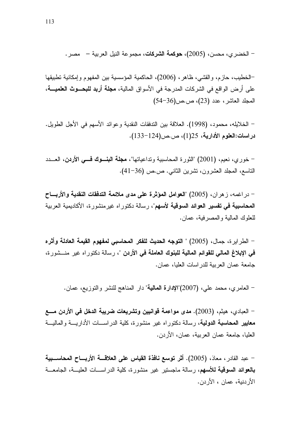– الخضر ي، محسن، (2005)، **حوكمة الشركات**، مجموعة النيل العربية – مصر .

–الخطيب، حازم، والقشي، ظاهر، (2006)، الحاكمية المؤسسية بين المفهوم وإمكانية تطبيقها على أرض الواقع في الشركات المدرجة في الأسواق المالية، **مجلة أربد للبحـــوث العلميــــة،** المجلد العاشر، عدد (23)، ص.ص(36-54)

– الخلايله، محمود، (1998). العلاقة بين الندفقات النقدية وعوائد الأسهم في الأجل الطويل. دراسات:العلوم الأدارية، 25(1)، ص.ص(124–133).

– خوري، نعيم، (2001) "الثورة المحاسبية ونداعياتها"، **مجلة البنـــوك فــــى الأردن**، العـــدد الناسع، المجلد العشرون، تشرين الثانبي. ص.ص (36–41).

– در اغمه، ز هر ان، (2005) "المعوامل الموئثرة على مدى ملائمة التدفقات النقدية والأربـــاح **المحاسبية في تفسير العوائد السوقية لأسهم**"، رسالة دكتور اه غير منشور ة، الأكاديمية العربية للعلوك المالية والمصرفية، عمان.

– الطر ابر ة، جمال، (2005) " ا**لتوجه الحديث للفكر المحاسب***ى* **لمفهو**م ا**لقيمة العادلة و**أثر ه في الإبلاغ المالي للقوائم المالية للبنوك العاملة في الأردن "، رسالة دكتوراه غير منـــشورة، جامعة عمان العربية للدر اسات العليا، عمان.

– العامري، محمد علي، (2007)"الإدارة المعالية" دار المناهج للنشر والنوزيع، عمان.

– العبادي، هيثم، (2003). مدى مواعمة قوانيين وتشريعات ضريبة الدخل في الأردن مسع **معايير المحاسبة الدولية**، رسالة دكتوراه غير منشورة، كلية الدراســـات الأداريـــة والماليـــة العليا، جامعة عمان العربية، عمان، الأردن.

– عبد القادر ، معاذ ، (2005). أثر توسع نافذة القياس على العلاقــــة الأربــــاح المحاســـبية بالعوائد السوقية للأسهم، رسالة ماجستير غير منشورة، كلية الدراســـات العليـــة، الجامعـــة الأر دنية، عمان ، الأر دن.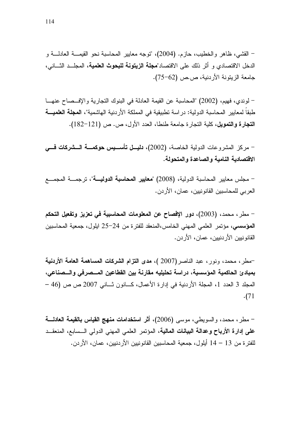– القشي، ظاهر والخطيب، حازم. (2004)، "توجه معايير المحاسبة نحو القيمـــة العادلـــة و الدخل الاقتصادي و أثر ذلك على الاقتصاد"**مجلة الزيتونة للبحوث العلمية**، المجلــد الثـــاني، جامعة الزيتونة الأردنية، ص.ص (62–75).

– لوندى، فهيم، (2002) "المحاسبة عن القيمة العادلة في البنوك التجارية والإفسصاح عنهــا طبقا لمعايير المحاسبة الدولية: در اسة تطبيقية في المملكة الأر دنية الهاشمية"، **المجلة العلميـــة** التجارة والتمويل، كلية التجارة جامعة طنطا، العدد الأول، ص. ص (121-182).

– مركز المشروعات الدولية الخاصة، (2002)، **دليــل تأســـيس حوكمـــة الـــشركات فـــى** الاقتصادية النامية والصاعدة والمتحولة.

– مجلس معايير المحاسبة الدولية، (2008) "معايير المحاسبة الدوليـــة"، ترجمـــة المجمـــع العربي للمحاسبين القانونيين، عمان، الأردن.

– مطر ، محمد، (2003)، دور الإفصاح عن المعلومات المحاسبية في تعزيز وتفعيل التحكم المؤسسي، مؤتمر العلمي المهني الخامس،المنعقد للفترة من 24–25 ايلول، جمعية المحاسبين القانو نبين الأر دنبين، عمان، الأر دن.

-مطر، محمد، ونور، عبد الناصر(2007 )، مدى التزام الشركات المساهمة العامة الأردنية بمبادئ الحاكمية المؤسسية، دراسة تحليليه مقارنة بين القطاعين المـــصرفي والـــصناعي، المجلد 3 العدد 1، المجلة الأردنية في إدارة الأعمال، كـــانون ثـــاني 2007 ص ص (46 –  $(71)$ 

– مطر، محمد، والسويطي، موسى (2006)، أثر استخدامات منهج القياس بالقيمة العادلــــة على إدارة الأرباح وعدالة البيانات المالية، المؤتمر العلمي المهنى الدولي السسابع، المنعقــد للفتر ة من 13 – 14 أيلول، جمعية المحاسبين القانونيين الأردنيين، عمان، الأردن.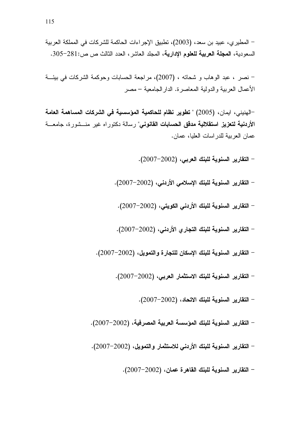– نصر ، عبد الوهاب و شحاته ، (2007)، مراجعة الحسابات وحوكمة الشركات في بيئة الأعمال العربية والدولية المعاصرة. الدار الجامعية – مصر

–الهنيني، ايمان، (2005) " تطوير نظام للحاكمية المؤسسية في الشركات المساهمة العامة الأردنية لتعزيز استقلالية مدقق الحسابات القانوني" رسالة دكتوراه غير منــشورة، جامعـــة عمان العربية للدر اسات العليا، عمان.

- التقارير السنوية للبنك العربي، (2002–2007).

- التقارير السنوية للبنك الإسلامى الأردنى، (2002–2007).
	- التقارير السنوية للبنك الأردنى الكويتى، (2002–2007).
- التقارير السنوية للبنك التجاري الأردني، (2002–2007).
- التقارير السنوية للبنك الإسكان للتجارة والتمويل، (2002–2007).
	- التقارير السنوية للبنك الاستثمار العربي، (2002–2007).
		- التقارير السنوية للبنك الاتحاد، (2002–2007).
- التقارير السنوية للبنك المؤسسة العربية المصرفية، (2002–2007).
- التقارير السنوية للبنك الأردنى للاستثمار والتمويل، (2002–2007).
	- التقارير السنوية للبنك القاهرة عمان، (2002–2007).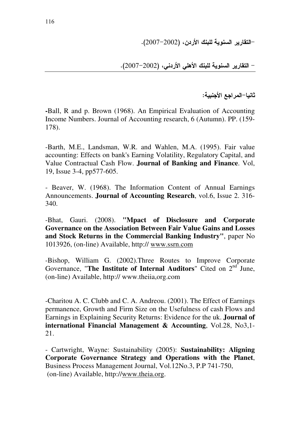-التقارير السنوية للبنك الأردن، (2002–2007).

– التقارير السنوية للبنك الأهلي الأردني، (2002–2007).

ثانيا–المراجع الأجنبية:

**-**Ball, R and p. Brown (1968). An Empirical Evaluation of Accounting Income Numbers. Journal of Accounting research, 6 (Autumn). PP. (159- 178).

-Barth, M.E., Landsman, W.R. and Wahlen, M.A. (1995). Fair value accounting: Effects on bank's Earning Volatility, Regulatory Capital, and Value Contractual Cash Flow. **Journal of Banking and Finance**. Vol, 19, Issue 3-4, pp577-605.

- Beaver, W. (1968). The Information Content of Annual Earnings Announcements. **Journal of Accounting Research**, vol.6, Issue 2. 316- 340.

-Bhat, Gauri. (2008). **"Mpact of Disclosure and Corporate Governance on the Association Between Fair Value Gains and Losses and Stock Returns in the Commercial Banking Industry"**, paper No 1013926, (on-line) Available, http:// www.ssrn.com

-Bishop, William G. (2002).Three Routes to Improve Corporate Governance, "The Institute of Internal Auditors" Cited on 2<sup>nd</sup> June, (on-line) Available, http:// www.theiia,org.com

-Charitou A. C. Clubb and C. A. Andreou. (2001). The Effect of Earnings permanence, Growth and Firm Size on the Usefulness of cash Flows and Earnings in Explaining Security Returns: Evidence for the uk. **Journal of international Financial Management & Accounting**, Vol.28, No3,1- 21.

- Cartwright, Wayne: Sustainability (2005): **Sustainability: Aligning Corporate Governance Strategy and Operations with the Planet**, Business Process Management Journal, Vol.12No.3, P.P 741-750, (on-line) Available, http://www.theia.org.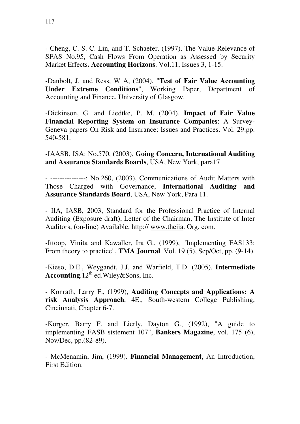- Cheng, C. S. C. Lin, and T. Schaefer. (1997). The Value-Relevance of SFAS No.95, Cash Flows From Operation as Assessed by Security Market Effects**. Accounting Horizons**. Vol.11, Issues 3, 1-15.

-Danbolt, J, and Ress, W A, (2004), "**Test of Fair Value Accounting Under Extreme Conditions**", Working Paper, Department of Accounting and Finance, University of Glasgow.

-Dickinson, G. and Liedtke, P. M. (2004). **Impact of Fair Value Financial Reporting System on Insurance Companies**: A Survey-Geneva papers On Risk and Insurance: Issues and Practices. Vol. 29.pp. 540-581.

-IAASB, ISA: No.570, (2003), **Going Concern, International Auditing and Assurance Standards Boards**, USA, New York, para17.

- ---------------: No.260, (2003), Communications of Audit Matters with Those Charged with Governance, **International Auditing and Assurance Standards Board**, USA, New York, Para 11.

- IIA, IASB, 2003, Standard for the Professional Practice of Internal Auditing (Exposure draft), Letter of the Chairman, The Institute of Inter Auditors, (on-line) Available, http:// www.theiia. Org. com.

-Ittoop, Vinita and Kawaller, Ira G., (1999), "Implementing FAS133: From theory to practice", **TMA Journal**. Vol. 19 (5), Sep/Oct, pp. (9-14).

-Kieso, D.E., Weygandt, J.J. and Warfield, T.D. (2005). **Intermediate Accounting**.12<sup>th</sup> ed.Wiley&Sons, Inc.

- Konrath, Larry F., (1999), **Auditing Concepts and Applications: A risk Analysis Approach**, 4E., South-western College Publishing, Cincinnati, Chapter 6-7.

-Korger, Barry F. and Lierly, Dayton G., (1992), "A guide to implementing FASB ststement 107", **Bankers Magazine**, vol. 175 (6), Nov/Dec, pp.(82-89).

- McMenamin, Jim, (1999). **Financial Management**, An Introduction, First Edition.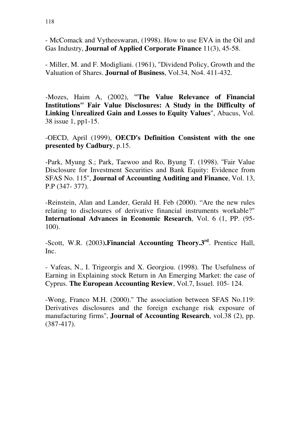- McComack and Vytheeswaran, (1998). How to use EVA in the Oil and Gas Industry, **Journal of Applied Corporate Finance** 11(3), 45-58.

- Miller, M. and F. Modigliani. (1961), "Dividend Policy, Growth and the Valuation of Shares. **Journal of Business**, Vol.34, No4. 411-432.

-Mozes, Haim A, (2002), **"The Value Relevance of Financial Institutions" Fair Value Disclosures: A Study in the Difficulty of Linking Unrealized Gain and Losses to Equity Values**", Abacus, Vol. 38 issue 1, pp1-15.

-OECD, April (1999), **OECD's Definition Consistent with the one presented by Cadbury**, p.15.

-Park, Myung S.; Park, Taewoo and Ro, Byung T. (1998). ''Fair Value Disclosure for Investment Securities and Bank Equity: Evidence from SFAS No. 115'', **Journal of Accounting Auditing and Finance**, Vol. 13, P.P (347- 377).

-Reinstein, Alan and Lander, Gerald H. Feb (2000). "Are the new rules relating to disclosures of derivative financial instruments workable?" **International Advances in Economic Research**, Vol. 6 (1, PP. (95- 100).

-Scott, W.R. (2003**).Financial Accounting Theory.3rd**. Prentice Hall, Inc.

- Vafeas, N., I. Trigeorgis and X. Georgiou. (1998). The Usefulness of Earning in Explaining stock Return in An Emerging Market: the case of Cyprus. **The European Accounting Review**, Vol.7, Issuel. 105- 124.

-Wong, Franco M.H. (2000).'' The association between SFAS No.119: Derivatives disclosures and the foreign exchange risk exposure of manufacturing firms'', **Journal of Accounting Research**, vol.38 (2), pp. (387-417).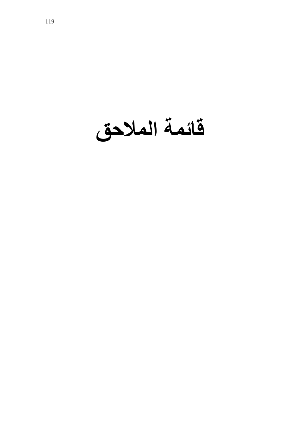قائمة الملاحق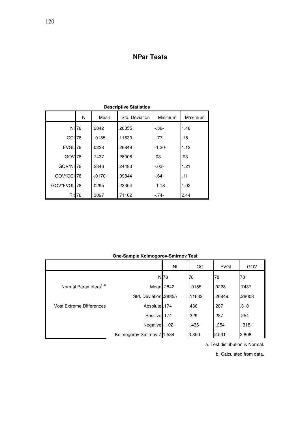## **NPar Tests**

|                        | N                 | Std. Deviation<br>Mean |        | Minimum   | Maximum |  |  |
|------------------------|-------------------|------------------------|--------|-----------|---------|--|--|
|                        | NI 78             | .2842                  | .28855 | -.36-     | 1.48    |  |  |
| OCI <sub>78</sub>      |                   | $-0.0185-$             | .11633 | $-.77-$   | .15     |  |  |
| FVGL <sup>78</sup>     |                   | .0228                  | .26849 | $-1.30-$  | 1.12    |  |  |
| GOV <sub>78</sub>      |                   | .7437                  | .28008 | .08       | .93     |  |  |
| GOV*NI <sup>78</sup>   |                   | .2346                  | .24483 | $-0.03 -$ | 1.21    |  |  |
| GOV*OCI 78             |                   | $-0170-$               | .09844 | $-64-$    | .11     |  |  |
| GOV*FVGL <sup>78</sup> |                   | .0295                  | .23354 | $-1.18-$  | 1.02    |  |  |
|                        | Rit <sub>78</sub> | .3097                  | .71102 | $-.74-$   | 2.44    |  |  |

**Descriptive Statistics**

**One-Sample Kolmogorov-Smirnov Test**

|                                   |                            | ΝI              | OCI        | <b>FVGL</b> | GOV     |
|-----------------------------------|----------------------------|-----------------|------------|-------------|---------|
|                                   |                            | N <sub>78</sub> | 78         | 78          | 78      |
| Normal Parameters <sup>a,,b</sup> |                            | Mean .2842      | $-0.0185-$ | .0228       | .7437   |
|                                   | Std. Deviation .28855      |                 | .11633     | .26849      | .28008  |
| <b>Most Extreme Differences</b>   | Absolute .174              |                 | .436       | .287        | .318    |
|                                   | Positive .174              |                 | .329       | .287        | .254    |
|                                   | Negative -. 102-           |                 | $-436-$    | $-254-$     | $-318-$ |
|                                   | Kolmogorov-Smirnov Z 1.534 |                 | 3.850      | 2.531       | 2.808   |

a. Test distribution is Normal.

b. Calculated from data.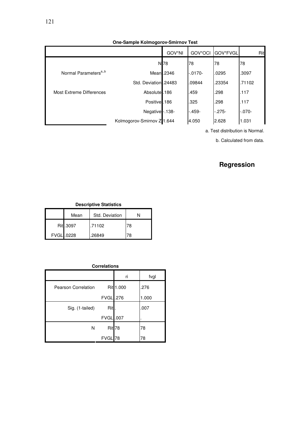|                                   |                            | GOV*NI          | GOV*OCI    | GOV*FVGL | Rit        |
|-----------------------------------|----------------------------|-----------------|------------|----------|------------|
|                                   |                            | N <sub>78</sub> | 78         | 78       | 78         |
| Normal Parameters <sup>a,,b</sup> |                            | Mean.2346       | $-0.0170-$ | .0295    | .3097      |
|                                   | Std. Deviation .24483      |                 | .09844     | .23354   | .71102     |
| Most Extreme Differences          | Absolute.                  | .186            | .459       | .298     | .117       |
|                                   | Positive.                  | .186            | .325       | .298     | .117       |
|                                   | Negative -. 138-           |                 | $-.459-$   | $-275-$  | $-0.070 -$ |
|                                   | Kolmogorov-Smirnov Z 1.644 |                 | 4.050      | 2.628    | 1.031      |

a. Test distribution is Normal.

b. Calculated from data.

# **Regression**

| <b>Descriptive Statistics</b> |           |                |    |  |  |
|-------------------------------|-----------|----------------|----|--|--|
|                               | Mean      | Std. Deviation | N  |  |  |
|                               | Rit .3097 | .71102         | 78 |  |  |
| FVGL .0228                    |           | .26849         | 78 |  |  |

|                            |                   | ri        | fvgl  |
|----------------------------|-------------------|-----------|-------|
| <b>Pearson Correlation</b> |                   | Rit 1.000 | .276  |
|                            | <b>FVGL</b> .276  |           | 1.000 |
| Sig. (1-tailed)            | Rit.              |           | .007  |
|                            | <b>FVGL</b> .007  |           |       |
| N                          | Rit <sub>78</sub> |           | 78    |
|                            | <b>FVGI</b>       | 78        | 78    |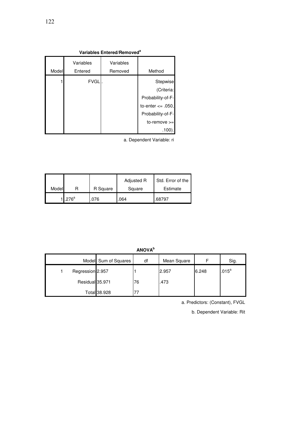| Variables Entered/Removed <sup>a</sup> |             |           |                       |  |  |
|----------------------------------------|-------------|-----------|-----------------------|--|--|
|                                        | Variables   | Variables |                       |  |  |
| Model                                  | Entered     | Removed   | Method                |  |  |
|                                        | <b>FVGL</b> |           | Stepwise              |  |  |
|                                        |             |           | (Criteria:            |  |  |
|                                        |             |           | Probability-of-F-     |  |  |
|                                        |             |           | to-enter $\leq$ .050, |  |  |
|                                        |             |           | Probability-of-F-     |  |  |
|                                        |             |           | $to$ -remove $>=$     |  |  |
|                                        |             |           | .100).                |  |  |

a. Dependent Variable: ri

|       |         |          | Adjusted R | Std. Error of the |
|-------|---------|----------|------------|-------------------|
| Model |         | R Square | Square     | Estimate          |
|       | $276^a$ | 076.     | .064       | .68797            |

**ANOVA<sup>b</sup>**

|                  | Model Sum of Squares | df | Mean Square |       | Sig.              |
|------------------|----------------------|----|-------------|-------|-------------------|
| Regression 2.957 |                      |    | 2.957       | 6.248 | .015 <sup>a</sup> |
| Residual 35.971  |                      | 76 | .473        |       |                   |
|                  | Total 38.928         |    |             |       |                   |

a. Predictors: (Constant), FVGL

b. Dependent Variable: Rit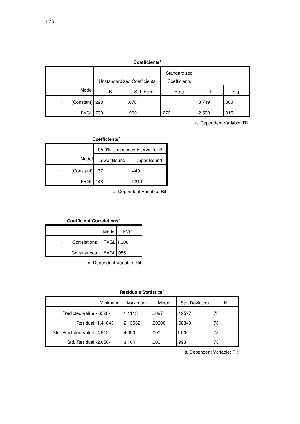| <b>Coefficients<sup>ª</sup></b> |   |                              |             |       |      |
|---------------------------------|---|------------------------------|-------------|-------|------|
| Unstandardized Coefficients     |   | Standardized<br>Coefficients |             |       |      |
| Model                           | В | Std. Error                   | <b>Beta</b> |       | Sig. |
| (Constant) .293                 |   | .078                         |             | 3.749 | .000 |
| <b>FVGL</b> .730                |   | .292                         | .276        | 2.500 | .015 |

a. Dependent Variable: Rit

| Coefficients <sup>a</sup> |                                 |             |  |  |
|---------------------------|---------------------------------|-------------|--|--|
|                           | 95.0% Confidence Interval for B |             |  |  |
| Model                     | Lower Bound                     | Upper Bound |  |  |
| (Constant) .137           |                                 | .449        |  |  |
| <b>FVGL</b>               | .148                            | 1.311       |  |  |

a. Dependent Variable: Rit

#### **Coefficient Correlations<sup>a</sup>**

|                         | Model | FVGL |
|-------------------------|-------|------|
| Correlations FVGL 1.000 |       |      |
| Covariances FVGL .085   |       |      |

a. Dependent Variable: Rit

**Residuals Statistics<sup>a</sup>**

|                               | Minimum            | <b>Maximum</b> | Mean   | Std. Deviation | N  |
|-------------------------------|--------------------|----------------|--------|----------------|----|
| Predicted Value -. 6528-      |                    | 1.1113         | .3097  | .19597         | 78 |
|                               | Residual -1.41043- | 2.13532        | .00000 | .68349         | 78 |
| Std. Predicted Value - 4.912- |                    | 4.090          | .000   | 1.000          | 78 |
| Std. Residual -2.050-         |                    | 3.104          | .000   | .993           | 78 |

a. Dependent Variable: Rit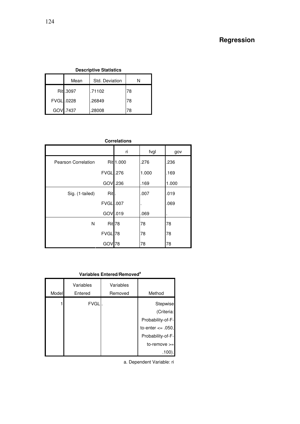## **Regression**

### **Descriptive Statistics**

|            | Mean      | Std. Deviation |    |
|------------|-----------|----------------|----|
|            | Rit .3097 | .71102         | 78 |
| FVGL .0228 |           | .26849         | 78 |
|            | GOV .7437 | .28008         | 78 |

| <b>Correlations</b> |
|---------------------|
|                     |
|                     |

|                            |                    | ri        | fvgl  | gov   |
|----------------------------|--------------------|-----------|-------|-------|
| <b>Pearson Correlation</b> |                    | Rit 1.000 | .276  | .236  |
|                            | <b>FVGL</b> .276   |           | 1.000 | .169  |
|                            | GOV                | .236      | .169  | 1.000 |
| Sig. (1-tailed)            | Rit.               |           | .007  | .019  |
|                            | <b>FVGL</b> .007   |           |       | .069  |
|                            | GOV .019           |           | .069  |       |
| N                          | Rit <sub>78</sub>  |           | 78    | 78    |
|                            | FVGL <sup>78</sup> |           | 78    | 78    |
|                            | GO\                | 78        | 78    | 78    |

|       | Variables Entered/Removed <sup>a</sup> |           |                       |  |  |  |
|-------|----------------------------------------|-----------|-----------------------|--|--|--|
|       | Variables                              | Variables |                       |  |  |  |
| Model | Entered                                | Removed   | Method                |  |  |  |
|       | <b>FVGLI</b>                           |           | Stepwise              |  |  |  |
|       |                                        |           | (Criteria:            |  |  |  |
|       |                                        |           | Probability-of-F-     |  |  |  |
|       |                                        |           | to-enter $\leq$ .050, |  |  |  |
|       |                                        |           | Probability-of-F-     |  |  |  |
|       |                                        |           | $to$ -remove $>=$     |  |  |  |
|       |                                        |           |                       |  |  |  |

a. Dependent Variable: ri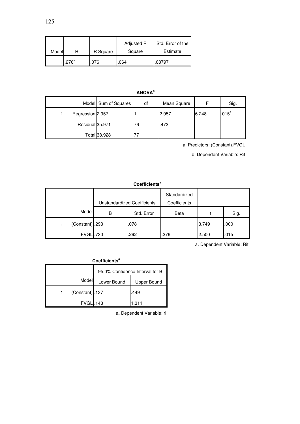|       |                    |          | Adjusted R | Std. Error of the |
|-------|--------------------|----------|------------|-------------------|
| Model |                    | R Square | Square     | Estimate          |
|       | 1.276 <sup>a</sup> | 076      | 064        | .68797            |

| <b>ANOVA</b> <sup>b</sup> |                      |    |             |       |          |
|---------------------------|----------------------|----|-------------|-------|----------|
|                           | Model Sum of Squares | df | Mean Square | F     | Sig.     |
| Regression 2.957          |                      |    | 2.957       | 6.248 | $.015^a$ |
| Residual 35.971           |                      | 76 | .473        |       |          |
|                           | Total 38.928         |    |             |       |          |

a. Predictors: (Constant),FVGL

b. Dependent Variable: Rit

| <b>Coefficients<sup>a</sup></b> |   |                             |                              |       |      |  |
|---------------------------------|---|-----------------------------|------------------------------|-------|------|--|
|                                 |   | Unstandardized Coefficients | Standardized<br>Coefficients |       |      |  |
| Model                           | В | Std. Error                  | Beta                         |       | Sig. |  |
| (Constant) .293                 |   | .078                        |                              | 3.749 | .000 |  |
| <b>FVGL</b> .730                |   | .292                        | .276                         | 2.500 | .015 |  |

a. Dependent Variable: Rit

| Coefficients <sup>a</sup>           |  |       |  |  |  |
|-------------------------------------|--|-------|--|--|--|
| 95.0% Confidence Interval for B     |  |       |  |  |  |
| Model<br>Lower Bound<br>Upper Bound |  |       |  |  |  |
| (Constant) .137                     |  | .449  |  |  |  |
| <b>FVGL</b> .148                    |  | 1.311 |  |  |  |

a. Dependent Variable: ri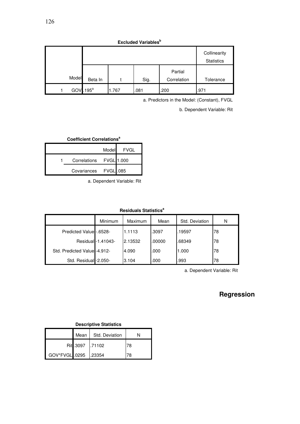| <b>Excluded Variables</b> <sup>b</sup> |         |       |      |             |                   |
|----------------------------------------|---------|-------|------|-------------|-------------------|
|                                        |         |       |      |             | Collinearity      |
|                                        |         |       |      |             | <b>Statistics</b> |
|                                        |         |       |      | Partial     |                   |
| Model                                  | Beta In |       | Sig. | Correlation | Tolerance         |
| GOV                                    | $195^a$ | 1.767 | .081 | .200        | .971              |

a. Predictors in the Model: (Constant), FVGL

b. Dependent Variable: Rit

**Coefficient Correlations<sup>a</sup>**

|                         | Model | FVGL |
|-------------------------|-------|------|
| Correlations FVGL 1.000 |       |      |
| Covariances FVGL .085   |       |      |

a. Dependent Variable: Rit

#### **Residuals Statistics<sup>a</sup>**

|                              | Minimum             | Maximum | Mean   | Std. Deviation | N  |
|------------------------------|---------------------|---------|--------|----------------|----|
| Predicted Value -. 6528-     |                     | 1.1113  | .3097  | .19597         | 78 |
|                              | Residual - 1.41043- | 2.13532 | .00000 | .68349         | 78 |
| Std. Predicted Value -4.912- |                     | 4.090   | .000   | 1.000          | 78 |
| Std. Residual -2.050-        |                     | 3.104   | .000   | .993           | 78 |

a. Dependent Variable: Rit

## **Regression**

#### **Descriptive Statistics**

|                       |                   | Mean   Std. Deviation |    |
|-----------------------|-------------------|-----------------------|----|
|                       | Rit .3097 1.71102 |                       | 78 |
| GOV*FVGL .0295 .23354 |                   |                       |    |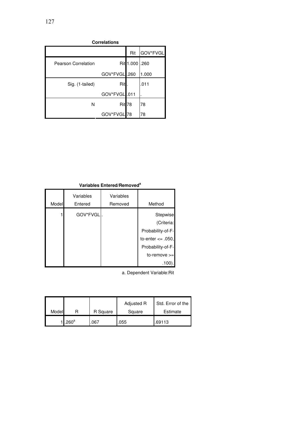| <b>Correlations</b> |              |                   |          |  |
|---------------------|--------------|-------------------|----------|--|
|                     |              | Rit               | GOV*FVGL |  |
| Pearson Correlation |              | Rit 1.000 .260    |          |  |
|                     | GOV*FVGL.260 |                   | 1.000    |  |
| Sig. (1-tailed)     | Rit          |                   | .011     |  |
|                     | GOV*FVGL.011 |                   |          |  |
| N                   |              | Rit <sub>78</sub> | 78       |  |
|                     | GOV*FVGL     | 78                | 78       |  |

#### **Variables Entered/Removed<sup>a</sup>**

|       | Variables | Variables |                       |
|-------|-----------|-----------|-----------------------|
| Model | Entered   | Removed   | Method                |
|       | GOV*FVGL. |           | Stepwise              |
|       |           |           | (Criteria:            |
|       |           |           | Probability-of-F-     |
|       |           |           | to-enter $\leq$ .050, |
|       |           |           | Probability-of-F-     |
|       |           |           | $to$ -remove $>=$     |
|       |           |           | .100).                |

a. Dependent Variable:Rit

| Model |                   | R Square | Adjusted R<br>Square | Std. Error of the<br>Estimate |
|-------|-------------------|----------|----------------------|-------------------------------|
|       | .260 <sup>a</sup> | 067.     | .055                 | .69113                        |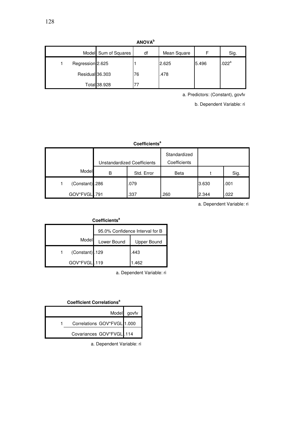**ANOVA<sup>b</sup>**

|                  | Model Sum of Squares | df | Mean Square |       | Sig.                |
|------------------|----------------------|----|-------------|-------|---------------------|
| Regression 2.625 |                      |    | 2.625       | 5.496 | $.022$ <sup>a</sup> |
| Residual 36.303  |                      | 76 | .478        |       |                     |
|                  | Total 38.928         |    |             |       |                     |

a. Predictors: (Constant), govfv

b. Dependent Variable: ri

#### **Coefficients<sup>a</sup>**

|                 |   | Unstandardized Coefficients | Standardized<br>Coefficients |       |      |
|-----------------|---|-----------------------------|------------------------------|-------|------|
| Model           | B | Std. Error                  | Beta                         |       | Sig. |
| (Constant) .286 |   | .079                        |                              | 3.630 | .001 |
| GOV*FVGL.791    |   | .337                        | .260                         | 2.344 | .022 |

a. Dependent Variable: ri

| Coefficients <sup>a</sup>       |                 |             |             |  |  |  |
|---------------------------------|-----------------|-------------|-------------|--|--|--|
| 95.0% Confidence Interval for B |                 |             |             |  |  |  |
|                                 | Model           | Lower Bound | Upper Bound |  |  |  |
|                                 | (Constant) .129 |             | .443        |  |  |  |
|                                 | GOV*FVGL.119    |             | 1.462       |  |  |  |

a. Dependent Variable: ri

#### **Coefficient Correlations<sup>a</sup>**

|                             | Model govfv |
|-----------------------------|-------------|
| Correlations GOV*FVGL 1.000 |             |
| Covariances GOV*FVGL .114   |             |

a. Dependent Variable: ri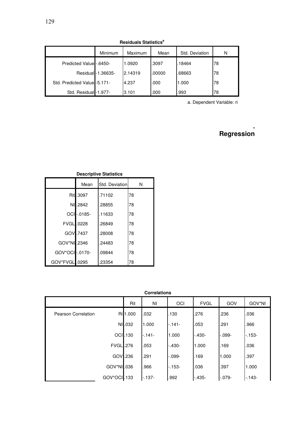| nesiuuais Jialistius          |                   |         |        |                |    |  |  |
|-------------------------------|-------------------|---------|--------|----------------|----|--|--|
|                               | Minimum           | Maximum | Mean   | Std. Deviation | N  |  |  |
| Predicted Value -. 6450-      |                   | 1.0920  | .3097  | .18464         | 78 |  |  |
|                               | Residual-1.36635- | 2.14319 | .00000 | .68663         | 78 |  |  |
| Std. Predicted Value - 5.171- |                   | 4.237   | .000   | 1.000          | 78 |  |  |
| Std. Residual -1.977-         |                   | 3.101   | .000   | .993           | 78 |  |  |

**Residuals Statistics<sup>a</sup>**

a. Dependent Variable: ri

# **Regression**

**.**

| Desainter omnands |           |                |    |  |  |  |  |
|-------------------|-----------|----------------|----|--|--|--|--|
|                   | Mean      | Std. Deviation | N  |  |  |  |  |
|                   | Rit .3097 | .71102         | 78 |  |  |  |  |
|                   | NI.2842   | .28855         | 78 |  |  |  |  |
|                   | OCI-0185- | .11633         | 78 |  |  |  |  |
| FVGL .0228        |           | .26849         | 78 |  |  |  |  |
|                   | GOV .7437 | .28008         | 78 |  |  |  |  |
| GOV*NI1.2346      |           | .24483         | 78 |  |  |  |  |
| GOV*OCI -.0170-   |           | .09844         | 78 |  |  |  |  |
| GOV*FVGL .0295    |           | .23354         | 78 |  |  |  |  |

#### **Descriptive Statistics**

**Correlations**

|                            | Rit             | ΝI      | OCI        | <b>FVGL</b> | GOV        | GOV*NI  |
|----------------------------|-----------------|---------|------------|-------------|------------|---------|
| <b>Pearson Correlation</b> | Ri 1.000        | .032    | .130       | .276        | .236       | .036    |
|                            | NI .032         | 1.000   | $-141-$    | .053        | .291       | .966    |
|                            | <b>OCI</b> .130 | $-141-$ | 1.000      | $-.430-$    | $-0.099 -$ | $-153-$ |
| <b>FVGL</b> .276           |                 | .053    | $-.430-$   | 1.000       | .169       | .036    |
|                            | GOV .236        | .291    | $-0.099 -$ | .169        | 1.000      | .397    |
| GOV*NI .036                |                 | .966    | $-153-$    | .036        | .397       | 1.000   |
| GOV*OCI .133               |                 | $-137-$ | .992       | $-435-$     | $-0.079 -$ | $-143-$ |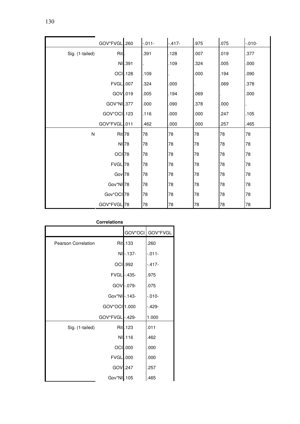| GOV*FVGL.260           |                   | $-011-$ | $-417-$ | .975 | .075 | $-010-$ |
|------------------------|-------------------|---------|---------|------|------|---------|
| Rit<br>Sig. (1-tailed) |                   | .391    | .128    | .007 | .019 | .377    |
|                        | NI .391           |         | .109    | .324 | .005 | .000    |
|                        | <b>OCI</b> .128   | .109    |         | .000 | .194 | .090    |
|                        | <b>FVGL</b> .007  | .324    | .000    |      | .069 | .378    |
|                        | GOV .019          | .005    | .194    | .069 |      | .000    |
| GOV*NI .377            |                   | .000    | .090    | .378 | .000 |         |
| GOV*OCI.123            |                   | .116    | .000    | .000 | .247 | .105    |
| GOV*FVGL.011           |                   | .462    | .000    | .000 | .257 | .465    |
| $\mathsf{N}$           | Rit <sub>78</sub> | 78      | 78      | 78   | 78   | 78      |
|                        | NI 78             | 78      | 78      | 78   | 78   | 78      |
|                        | OCI <sub>78</sub> | 78      | 78      | 78   | 78   | 78      |
| FVGL 78                |                   | 78      | 78      | 78   | 78   | 78      |
|                        | Gov <sub>78</sub> | 78      | 78      | 78   | 78   | 78      |
| Gov*NI <sup>78</sup>   |                   | 78      | 78      | 78   | 78   | 78      |
| Gov*OCI <sub>78</sub>  |                   | 78      | 78      | 78   | 78   | 78      |
| GOV*FVGL 78            |                   | 78      | 78      | 78   | 78   | 78      |

 $\blacksquare$ 

| <b>Correlations</b> |  |  |
|---------------------|--|--|
|---------------------|--|--|

|                            |                  |                 | GOV*OCI GOV*FVGL |
|----------------------------|------------------|-----------------|------------------|
| <b>Pearson Correlation</b> |                  | Rit.133         | .260             |
|                            |                  | NI-137-         | $-011-$          |
|                            |                  | <b>OCI</b> .992 | $-417-$          |
|                            |                  | FVGL-.435-      | .975             |
|                            |                  | GOV-.079-       | .075             |
|                            | Gov*NI-.143-     |                 | $-010-$          |
|                            | GOV*OCI 1.000    |                 | $-.429-$         |
|                            | GOV*FVGL -.429-  |                 | 1.000            |
| Sig. (1-tailed)            |                  | Rit.123         | .011             |
|                            |                  | NI.116          | .462             |
|                            |                  | OCI .000        | .000             |
|                            | <b>FVGL</b> .000 |                 | .000             |
|                            | GOV .247         |                 | .257             |
|                            | Gov*NI .105      |                 | .465             |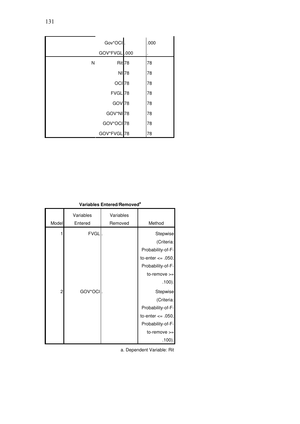|   | Gov*OCI.             |       | .000 |
|---|----------------------|-------|------|
|   | GOV*FVGL.000         |       |      |
| N | Rit <sup>78</sup>    |       | 78   |
|   |                      | NI 78 | 78   |
|   | OCI <sub>78</sub>    |       | 78   |
|   | FVGL 78              |       | 78   |
|   | GOV <sub>78</sub>    |       | 78   |
|   | GOV*NI <sup>78</sup> |       | 78   |
|   | GOV*OCI 78           |       | 78   |
|   | GOV*FVGL 78          |       | 78   |

#### **Variables Entered/Removed<sup>a</sup>**

|       | Variables   | Variables |                       |
|-------|-------------|-----------|-----------------------|
| Model | Entered     | Removed   | Method                |
|       | <b>FVGL</b> |           | Stepwise              |
|       |             |           | (Criteria:            |
|       |             |           | Probability-of-F-     |
|       |             |           | to-enter $\leq$ .050, |
|       |             |           | Probability-of-F-     |
|       |             |           | $to$ -remove $>=$     |
|       |             |           | .100).                |
| 2     | GOV*OCI     |           | Stepwise              |
|       |             |           | (Criteria:            |
|       |             |           | Probability-of-F-     |
|       |             |           | to-enter $\leq$ .050, |
|       |             |           | Probability-of-F-     |
|       |             |           | $to$ -remove $>=$     |
|       |             |           | .100).                |

a. Dependent Variable: Rit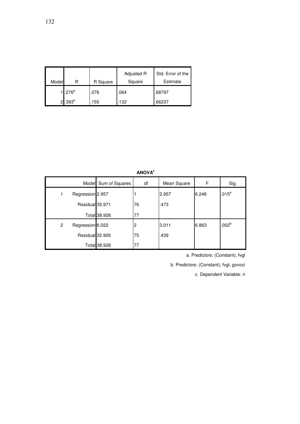|       |                 |          | Adjusted R | Std. Error of the |
|-------|-----------------|----------|------------|-------------------|
| Model |                 | R Square | Square     | Estimate          |
|       | $1.276^a$       | .076     | .064       | .68797            |
|       | $2^{1.393^{b}}$ | .155     | .132       | .66237            |

| <b>ANOVA<sup>c</sup></b> |                  |                      |    |             |       |                   |
|--------------------------|------------------|----------------------|----|-------------|-------|-------------------|
|                          |                  | Model Sum of Squares | df | Mean Square | F     | Sig.              |
|                          | Regression 2.957 |                      |    | 2.957       | 6.248 | $.015^a$          |
|                          | Residual 35.971  |                      | 76 | .473        |       |                   |
|                          |                  | Total 38.928         | 77 |             |       |                   |
| 2                        | Regression 6.022 |                      | 2  | 3.011       | 6.863 | .002 <sup>b</sup> |
|                          | Residual 32.905  |                      | 75 | .439        |       |                   |
|                          |                  | Total 38.928         | 77 |             |       |                   |

a. Predictors: (Constant), fvgl

b. Predictors: (Constant), fvgl, govoci

c. Dependent Variable: ri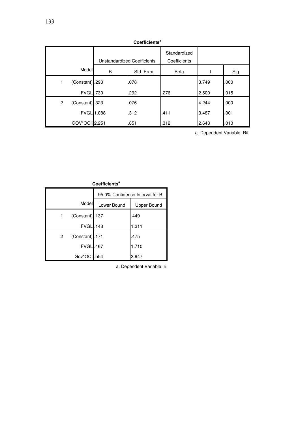| <b>CO</b> CONTINGERTS             |                             |            |                              |       |      |
|-----------------------------------|-----------------------------|------------|------------------------------|-------|------|
|                                   | Unstandardized Coefficients |            | Standardized<br>Coefficients |       |      |
| Model                             | B                           | Std. Error | <b>Beta</b>                  |       | Sig. |
| (Constant) .293<br>1              |                             | .078       |                              | 3.749 | .000 |
| <b>FVGL</b> .730                  |                             | .292       | .276                         | 2.500 | .015 |
| (Constant) .323<br>$\overline{2}$ |                             | .076       |                              | 4.244 | .000 |
| <b>FVGL 1.088</b>                 |                             | .312       | .411                         | 3.487 | .001 |
| GOV*OCIi 2.251                    |                             | .851       | .312                         | 2.643 | .010 |

**Coefficients<sup>a</sup>**

a. Dependent Variable: Rit

| <b>Coefficients<sup>a</sup></b> |                  |                                 |       |  |
|---------------------------------|------------------|---------------------------------|-------|--|
|                                 |                  | 95.0% Confidence Interval for B |       |  |
|                                 | Model            | Lower Bound<br>Upper Bound      |       |  |
| 1                               | (Constant) .137  |                                 | .449  |  |
|                                 | <b>FVGL</b> .148 |                                 | 1.311 |  |
| 2                               | (Constant) .171  |                                 | .475  |  |
|                                 | <b>FVGL</b>      | .467                            | 1.710 |  |
|                                 | Gov*OCI          | .554                            | 3.947 |  |

a. Dependent Variable: ri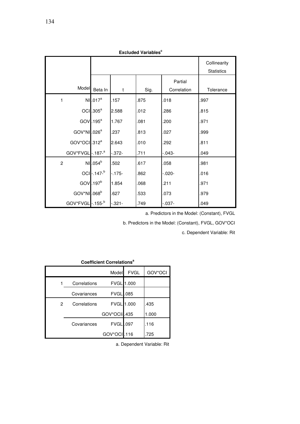| <b>Excluded Variables</b>   |                      |              |      |                        |                                   |
|-----------------------------|----------------------|--------------|------|------------------------|-----------------------------------|
|                             |                      |              |      |                        | Collinearity<br><b>Statistics</b> |
| Model                       | Beta In              | $\mathsf{t}$ | Sig. | Partial<br>Correlation | Tolerance                         |
| $\mathbf{1}$                | NI.017 <sup>a</sup>  | .157         | .875 | .018                   | .997                              |
|                             | $OCI$ .305 $a$       | 2.588        | .012 | .286                   | .815                              |
|                             | $GOV$ . 195 $a$      | 1.767        | .081 | .200                   | .971                              |
| GOV*NI .026 <sup>a</sup>    |                      | .237         | 813  | .027                   | .999                              |
| GOV*OCI.312 <sup>a</sup>    |                      | 2.643        | .010 | .292                   | .811                              |
| GOV*FVGL-.187- <sup>a</sup> |                      | $-372-$      | .711 | $-0.043 -$             | .049                              |
| $\overline{c}$              | NI .054 <sup>b</sup> | .502         | 617  | .058                   | .981                              |
|                             | OCI - .147-b         | -.175-       | 862  | $-0.020 -$             | .016                              |
|                             | $GOV$ . 197 $b$      | 1.854        | .068 | .211                   | .971                              |
| GOV*NI .068 <sup>b</sup>    |                      | .627         | 533  | .073                   | .979                              |
| GOV*FVGL-.155-b             |                      | $-0.321 -$   | .749 | $-0.037 -$             | .049                              |

**Excluded Variables<sup>c</sup>**

a. Predictors in the Model: (Constant), FVGL

b. Predictors in the Model: (Constant), FVGL, GOV\*OCI

c. Dependent Variable: Rit

## **Coefficient Correlations<sup>a</sup>**

|   |              | Model            | <b>FVGL</b>       | GOV*OCI |
|---|--------------|------------------|-------------------|---------|
|   | Correlations |                  | <b>FVGL 1.000</b> |         |
|   | Covariances  | <b>FVGL</b> .085 |                   |         |
| 2 | Correlations |                  | <b>FVGL 1.000</b> | .435    |
|   |              | GOV*OCli.435     |                   | 1.000   |
|   | Covariances  | <b>FVGL</b> .097 |                   | .116    |
|   |              | GOV*OCI.116      |                   | 725     |

a. Dependent Variable: Rit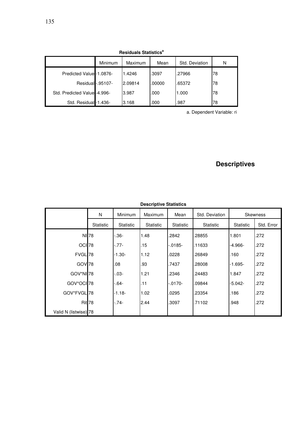| <b>Residuals Statistics<sup>a</sup></b> |         |         |        |                |    |
|-----------------------------------------|---------|---------|--------|----------------|----|
|                                         | Minimum | Maximum | Mean   | Std. Deviation | N  |
| Predicted Value - 1.0876-               |         | 1.4246  | .3097  | .27966         | 78 |
| Residual-.95107-                        |         | 2.09814 | .00000 | .65372         | 78 |
| Std. Predicted Value - 4.996-           |         | 3.987   | .000   | 1.000          | 78 |
| Std. Residual -1.436-                   |         | 3.168   | .000   | .987           | 78 |

a. Dependent Variable: ri

## **Descriptives**

|                       | N                | Minimum   | Maximum   | Mean             | Std. Deviation |                  | <b>Skewness</b> |
|-----------------------|------------------|-----------|-----------|------------------|----------------|------------------|-----------------|
|                       | <b>Statistic</b> | Statistic | Statistic | <b>Statistic</b> | Statistic      | <b>Statistic</b> | Std. Error      |
|                       | NI 78            | -.36-     | 1.48      | .2842            | .28855         | 1.801            | .272            |
| OCI <sub>78</sub>     |                  | -.77-     | .15       | $-0185-$         | .11633         | -4.966-          | .272            |
| FVGL <sup>78</sup>    |                  | $-1.30-$  | 1.12      | .0228            | .26849         | .160             | .272            |
| GOV <sub>78</sub>     |                  | .08       | .93       | .7437            | .28008         | $-1.695-$        | .272            |
| GOV*NI <sup>78</sup>  |                  | $-0.03 -$ | 1.21      | .2346            | .24483         | 1.847            | .272            |
| GOV*OCI <sub>78</sub> |                  | -.64-     | .11       | -.0170-          | .09844         | -5.042-          | .272            |
| GOV*FVGL 78           |                  | $-1.18-$  | 1.02      | .0295            | .23354         | .186             | .272            |
|                       | <b>Rit</b> 78    | $-74-$    | 2.44      | .3097            | .71102         | .948             | .272            |
| Valid N (listwise) 78 |                  |           |           |                  |                |                  |                 |

## **Descriptive Statistics**